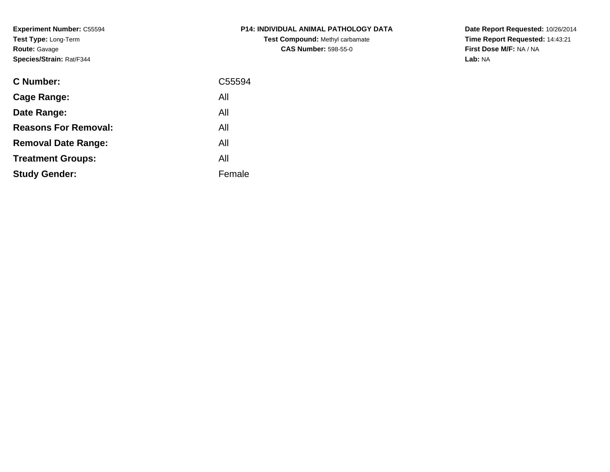**Experiment Number:** C55594**Test Type:** Long-Term**Route:** Gavage**Species/Strain:** Rat/F344

| <b>P14: INDIVIDUAL ANIMAL PATHOLOGY DATA</b> |
|----------------------------------------------|
| <b>Test Compound: Methyl carbamate</b>       |
| <b>CAS Number: 598-55-0</b>                  |

| <b>C</b> Number:            | C <sub>55594</sub> |
|-----------------------------|--------------------|
| Cage Range:                 | All                |
| Date Range:                 | All                |
| <b>Reasons For Removal:</b> | All                |
| <b>Removal Date Range:</b>  | All                |
| <b>Treatment Groups:</b>    | All                |
| <b>Study Gender:</b>        | Female             |
|                             |                    |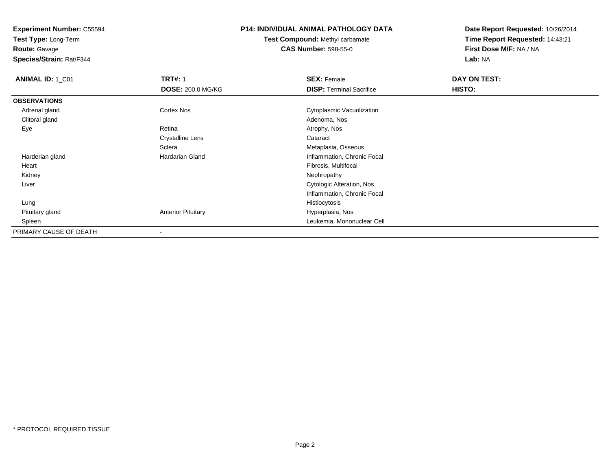**Test Type:** Long-Term

**Route:** Gavage

**Species/Strain:** Rat/F344

# **P14: INDIVIDUAL ANIMAL PATHOLOGY DATA**

**Test Compound:** Methyl carbamate**CAS Number:** 598-55-0

| ANIMAL ID: 1_C01       | <b>TRT#: 1</b>            | <b>SEX: Female</b>              | DAY ON TEST: |  |
|------------------------|---------------------------|---------------------------------|--------------|--|
|                        | <b>DOSE: 200.0 MG/KG</b>  | <b>DISP: Terminal Sacrifice</b> | HISTO:       |  |
| <b>OBSERVATIONS</b>    |                           |                                 |              |  |
| Adrenal gland          | <b>Cortex Nos</b>         | Cytoplasmic Vacuolization       |              |  |
| Clitoral gland         |                           | Adenoma, Nos                    |              |  |
| Eye                    | Retina                    | Atrophy, Nos                    |              |  |
|                        | <b>Crystalline Lens</b>   | Cataract                        |              |  |
|                        | Sclera                    | Metaplasia, Osseous             |              |  |
| Harderian gland        | Hardarian Gland           | Inflammation, Chronic Focal     |              |  |
| Heart                  |                           | Fibrosis, Multifocal            |              |  |
| Kidney                 |                           | Nephropathy                     |              |  |
| Liver                  |                           | Cytologic Alteration, Nos       |              |  |
|                        |                           | Inflammation, Chronic Focal     |              |  |
| Lung                   |                           | Histiocytosis                   |              |  |
| Pituitary gland        | <b>Anterior Pituitary</b> | Hyperplasia, Nos                |              |  |
| Spleen                 |                           | Leukemia, Mononuclear Cell      |              |  |
| PRIMARY CAUSE OF DEATH | -                         |                                 |              |  |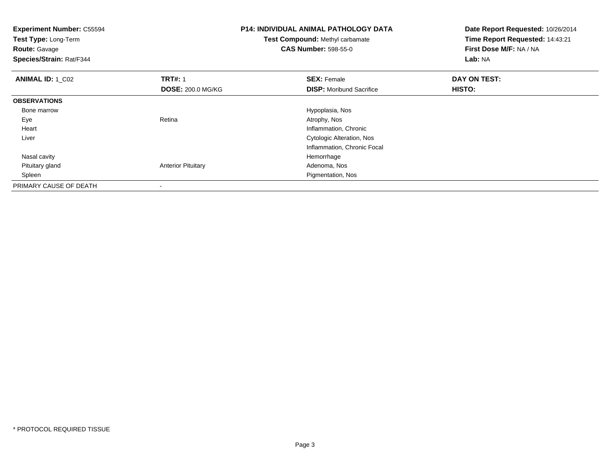| <b>Experiment Number: C55594</b><br>Test Type: Long-Term<br><b>Route: Gavage</b><br>Species/Strain: Rat/F344 |                           | <b>P14: INDIVIDUAL ANIMAL PATHOLOGY DATA</b><br><b>Test Compound: Methyl carbamate</b><br><b>CAS Number: 598-55-0</b> | Date Report Requested: 10/26/2014<br>Time Report Requested: 14:43:21<br>First Dose M/F: NA / NA<br>Lab: NA |  |
|--------------------------------------------------------------------------------------------------------------|---------------------------|-----------------------------------------------------------------------------------------------------------------------|------------------------------------------------------------------------------------------------------------|--|
| <b>ANIMAL ID: 1 C02</b>                                                                                      | <b>TRT#: 1</b>            | <b>SEX: Female</b>                                                                                                    | DAY ON TEST:                                                                                               |  |
|                                                                                                              | <b>DOSE: 200.0 MG/KG</b>  | <b>DISP:</b> Moribund Sacrifice                                                                                       | <b>HISTO:</b>                                                                                              |  |
| <b>OBSERVATIONS</b>                                                                                          |                           |                                                                                                                       |                                                                                                            |  |
| Bone marrow                                                                                                  |                           | Hypoplasia, Nos                                                                                                       |                                                                                                            |  |
| Eye                                                                                                          | Retina                    | Atrophy, Nos                                                                                                          |                                                                                                            |  |
| Heart                                                                                                        |                           | Inflammation, Chronic                                                                                                 |                                                                                                            |  |
| Liver                                                                                                        |                           | Cytologic Alteration, Nos                                                                                             |                                                                                                            |  |
|                                                                                                              |                           | Inflammation, Chronic Focal                                                                                           |                                                                                                            |  |
| Nasal cavity                                                                                                 |                           | Hemorrhage                                                                                                            |                                                                                                            |  |
| Pituitary gland                                                                                              | <b>Anterior Pituitary</b> | Adenoma, Nos                                                                                                          |                                                                                                            |  |
| Spleen                                                                                                       |                           | Pigmentation, Nos                                                                                                     |                                                                                                            |  |
| PRIMARY CAUSE OF DEATH                                                                                       |                           |                                                                                                                       |                                                                                                            |  |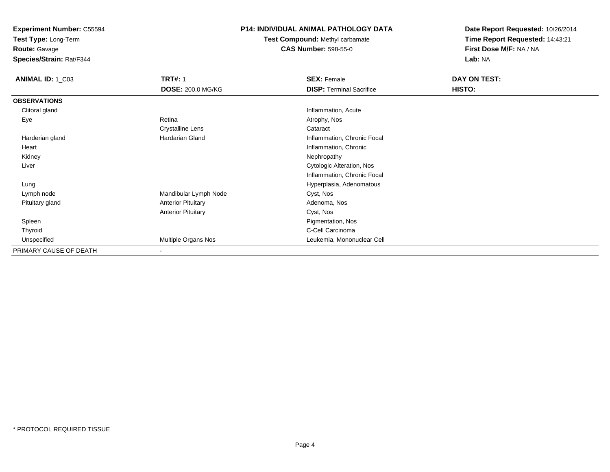**Test Type:** Long-Term

**Route:** Gavage

**Species/Strain:** Rat/F344

# **P14: INDIVIDUAL ANIMAL PATHOLOGY DATA**

**Test Compound:** Methyl carbamate**CAS Number:** 598-55-0

| ANIMAL ID: 1_C03       | <b>TRT#: 1</b>            | <b>SEX: Female</b>              | DAY ON TEST: |  |
|------------------------|---------------------------|---------------------------------|--------------|--|
|                        | DOSE: 200.0 MG/KG         | <b>DISP: Terminal Sacrifice</b> | HISTO:       |  |
| <b>OBSERVATIONS</b>    |                           |                                 |              |  |
| Clitoral gland         |                           | Inflammation, Acute             |              |  |
| Eye                    | Retina                    | Atrophy, Nos                    |              |  |
|                        | <b>Crystalline Lens</b>   | Cataract                        |              |  |
| Harderian gland        | Hardarian Gland           | Inflammation, Chronic Focal     |              |  |
| Heart                  |                           | Inflammation, Chronic           |              |  |
| Kidney                 |                           | Nephropathy                     |              |  |
| Liver                  |                           | Cytologic Alteration, Nos       |              |  |
|                        |                           | Inflammation, Chronic Focal     |              |  |
| Lung                   |                           | Hyperplasia, Adenomatous        |              |  |
| Lymph node             | Mandibular Lymph Node     | Cyst, Nos                       |              |  |
| Pituitary gland        | <b>Anterior Pituitary</b> | Adenoma, Nos                    |              |  |
|                        | <b>Anterior Pituitary</b> | Cyst, Nos                       |              |  |
| Spleen                 |                           | Pigmentation, Nos               |              |  |
| Thyroid                |                           | C-Cell Carcinoma                |              |  |
| Unspecified            | Multiple Organs Nos       | Leukemia, Mononuclear Cell      |              |  |
| PRIMARY CAUSE OF DEATH |                           |                                 |              |  |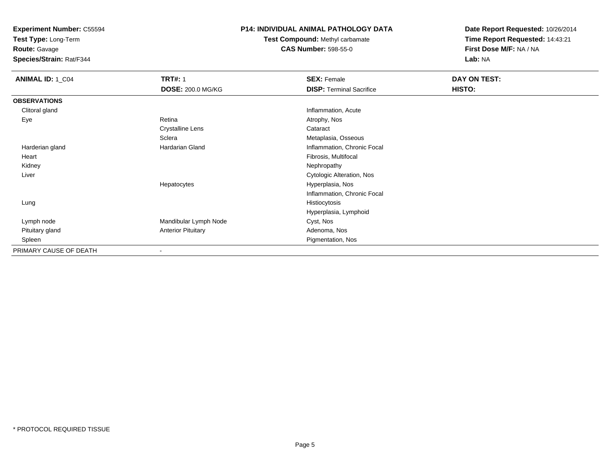**Test Type:** Long-Term

**Route:** Gavage

**Species/Strain:** Rat/F344

# **P14: INDIVIDUAL ANIMAL PATHOLOGY DATA**

**Test Compound:** Methyl carbamate**CAS Number:** 598-55-0

| <b>ANIMAL ID: 1_C04</b> | <b>TRT#: 1</b>            | <b>SEX: Female</b>              | DAY ON TEST: |  |
|-------------------------|---------------------------|---------------------------------|--------------|--|
|                         | <b>DOSE: 200.0 MG/KG</b>  | <b>DISP: Terminal Sacrifice</b> | HISTO:       |  |
| <b>OBSERVATIONS</b>     |                           |                                 |              |  |
| Clitoral gland          |                           | Inflammation, Acute             |              |  |
| Eye                     | Retina                    | Atrophy, Nos                    |              |  |
|                         | <b>Crystalline Lens</b>   | Cataract                        |              |  |
|                         | Sclera                    | Metaplasia, Osseous             |              |  |
| Harderian gland         | <b>Hardarian Gland</b>    | Inflammation, Chronic Focal     |              |  |
| Heart                   |                           | Fibrosis, Multifocal            |              |  |
| Kidney                  |                           | Nephropathy                     |              |  |
| Liver                   |                           | Cytologic Alteration, Nos       |              |  |
|                         | Hepatocytes               | Hyperplasia, Nos                |              |  |
|                         |                           | Inflammation, Chronic Focal     |              |  |
| Lung                    |                           | Histiocytosis                   |              |  |
|                         |                           | Hyperplasia, Lymphoid           |              |  |
| Lymph node              | Mandibular Lymph Node     | Cyst, Nos                       |              |  |
| Pituitary gland         | <b>Anterior Pituitary</b> | Adenoma, Nos                    |              |  |
| Spleen                  |                           | Pigmentation, Nos               |              |  |
| PRIMARY CAUSE OF DEATH  |                           |                                 |              |  |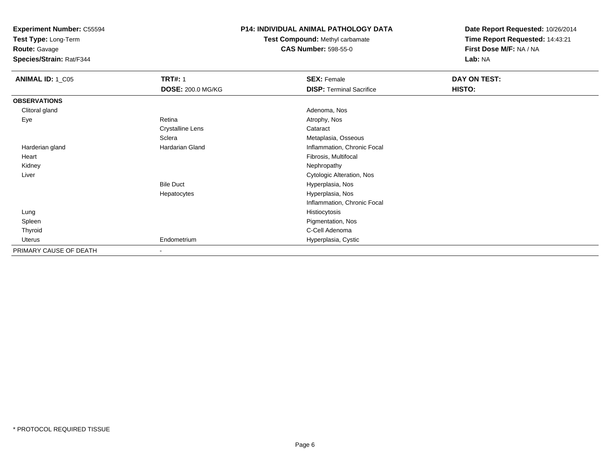**Test Type:** Long-Term

**Route:** Gavage

**Species/Strain:** Rat/F344

# **P14: INDIVIDUAL ANIMAL PATHOLOGY DATA**

**Test Compound:** Methyl carbamate**CAS Number:** 598-55-0

| <b>ANIMAL ID: 1_C05</b> | <b>TRT#: 1</b>           | <b>SEX: Female</b>              | DAY ON TEST: |  |
|-------------------------|--------------------------|---------------------------------|--------------|--|
|                         | <b>DOSE: 200.0 MG/KG</b> | <b>DISP: Terminal Sacrifice</b> | HISTO:       |  |
| <b>OBSERVATIONS</b>     |                          |                                 |              |  |
| Clitoral gland          |                          | Adenoma, Nos                    |              |  |
| Eye                     | Retina                   | Atrophy, Nos                    |              |  |
|                         | <b>Crystalline Lens</b>  | Cataract                        |              |  |
|                         | Sclera                   | Metaplasia, Osseous             |              |  |
| Harderian gland         | Hardarian Gland          | Inflammation, Chronic Focal     |              |  |
| Heart                   |                          | Fibrosis, Multifocal            |              |  |
| Kidney                  |                          | Nephropathy                     |              |  |
| Liver                   |                          | Cytologic Alteration, Nos       |              |  |
|                         | <b>Bile Duct</b>         | Hyperplasia, Nos                |              |  |
|                         | Hepatocytes              | Hyperplasia, Nos                |              |  |
|                         |                          | Inflammation, Chronic Focal     |              |  |
| Lung                    |                          | Histiocytosis                   |              |  |
| Spleen                  |                          | Pigmentation, Nos               |              |  |
| Thyroid                 |                          | C-Cell Adenoma                  |              |  |
| Uterus                  | Endometrium              | Hyperplasia, Cystic             |              |  |
| PRIMARY CAUSE OF DEATH  | $\blacksquare$           |                                 |              |  |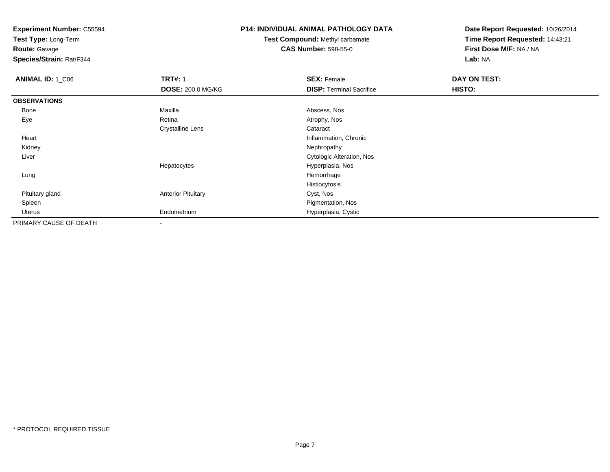**Test Type:** Long-Term

**Route:** Gavage

**Species/Strain:** Rat/F344

# **P14: INDIVIDUAL ANIMAL PATHOLOGY DATA**

**Test Compound:** Methyl carbamate**CAS Number:** 598-55-0

| <b>ANIMAL ID: 1_C06</b> | <b>TRT#: 1</b>            | <b>SEX: Female</b>               | DAY ON TEST: |  |
|-------------------------|---------------------------|----------------------------------|--------------|--|
|                         | <b>DOSE: 200.0 MG/KG</b>  | <b>DISP: Terminal Sacrifice</b>  | HISTO:       |  |
| <b>OBSERVATIONS</b>     |                           |                                  |              |  |
| Bone                    | Maxilla                   | Abscess, Nos                     |              |  |
| Eye                     | Retina                    | Atrophy, Nos                     |              |  |
|                         | <b>Crystalline Lens</b>   | Cataract                         |              |  |
| Heart                   |                           | Inflammation, Chronic            |              |  |
| Kidney                  |                           | Nephropathy                      |              |  |
| Liver                   |                           | <b>Cytologic Alteration, Nos</b> |              |  |
|                         | Hepatocytes               | Hyperplasia, Nos                 |              |  |
| Lung                    |                           | Hemorrhage                       |              |  |
|                         |                           | Histiocytosis                    |              |  |
| Pituitary gland         | <b>Anterior Pituitary</b> | Cyst, Nos                        |              |  |
| Spleen                  |                           | Pigmentation, Nos                |              |  |
| Uterus                  | Endometrium               | Hyperplasia, Cystic              |              |  |
| PRIMARY CAUSE OF DEATH  | $\,$                      |                                  |              |  |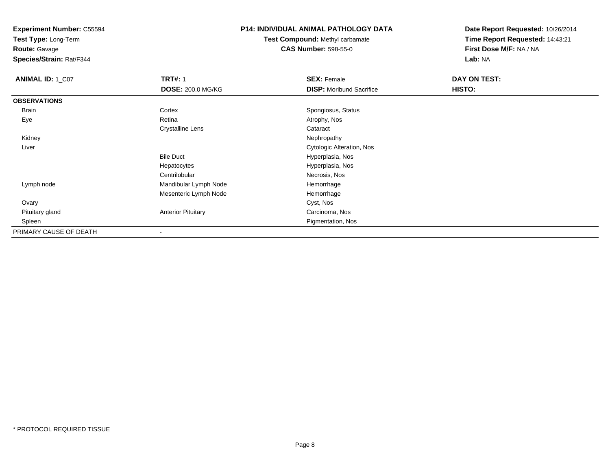**Test Type:** Long-Term

**Route:** Gavage

**Species/Strain:** Rat/F344

# **P14: INDIVIDUAL ANIMAL PATHOLOGY DATA**

**Test Compound:** Methyl carbamate**CAS Number:** 598-55-0

| <b>ANIMAL ID: 1_C07</b> | <b>TRT#: 1</b>            | <b>SEX: Female</b>              | DAY ON TEST: |  |
|-------------------------|---------------------------|---------------------------------|--------------|--|
|                         | <b>DOSE: 200.0 MG/KG</b>  | <b>DISP:</b> Moribund Sacrifice | HISTO:       |  |
| <b>OBSERVATIONS</b>     |                           |                                 |              |  |
| Brain                   | Cortex                    | Spongiosus, Status              |              |  |
| Eye                     | Retina                    | Atrophy, Nos                    |              |  |
|                         | <b>Crystalline Lens</b>   | Cataract                        |              |  |
| Kidney                  |                           | Nephropathy                     |              |  |
| Liver                   |                           | Cytologic Alteration, Nos       |              |  |
|                         | <b>Bile Duct</b>          | Hyperplasia, Nos                |              |  |
|                         | Hepatocytes               | Hyperplasia, Nos                |              |  |
|                         | Centrilobular             | Necrosis, Nos                   |              |  |
| Lymph node              | Mandibular Lymph Node     | Hemorrhage                      |              |  |
|                         | Mesenteric Lymph Node     | Hemorrhage                      |              |  |
| Ovary                   |                           | Cyst, Nos                       |              |  |
| Pituitary gland         | <b>Anterior Pituitary</b> | Carcinoma, Nos                  |              |  |
| Spleen                  |                           | Pigmentation, Nos               |              |  |
| PRIMARY CAUSE OF DEATH  |                           |                                 |              |  |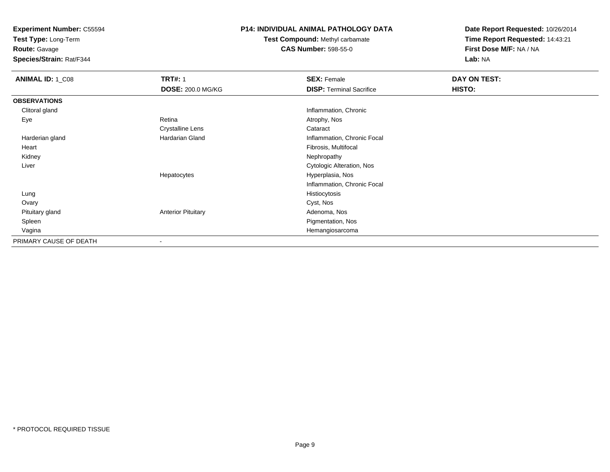**Test Type:** Long-Term

**Route:** Gavage

**Species/Strain:** Rat/F344

# **P14: INDIVIDUAL ANIMAL PATHOLOGY DATA**

**Test Compound:** Methyl carbamate**CAS Number:** 598-55-0

| <b>ANIMAL ID: 1_C08</b> | <b>TRT#: 1</b>            | <b>SEX: Female</b>              | DAY ON TEST: |  |
|-------------------------|---------------------------|---------------------------------|--------------|--|
|                         | <b>DOSE: 200.0 MG/KG</b>  | <b>DISP: Terminal Sacrifice</b> | HISTO:       |  |
| <b>OBSERVATIONS</b>     |                           |                                 |              |  |
| Clitoral gland          |                           | Inflammation, Chronic           |              |  |
| Eye                     | Retina                    | Atrophy, Nos                    |              |  |
|                         | <b>Crystalline Lens</b>   | Cataract                        |              |  |
| Harderian gland         | Hardarian Gland           | Inflammation, Chronic Focal     |              |  |
| Heart                   |                           | Fibrosis, Multifocal            |              |  |
| Kidney                  |                           | Nephropathy                     |              |  |
| Liver                   |                           | Cytologic Alteration, Nos       |              |  |
|                         | Hepatocytes               | Hyperplasia, Nos                |              |  |
|                         |                           | Inflammation, Chronic Focal     |              |  |
| Lung                    |                           | Histiocytosis                   |              |  |
| Ovary                   |                           | Cyst, Nos                       |              |  |
| Pituitary gland         | <b>Anterior Pituitary</b> | Adenoma, Nos                    |              |  |
| Spleen                  |                           | Pigmentation, Nos               |              |  |
| Vagina                  |                           | Hemangiosarcoma                 |              |  |
| PRIMARY CAUSE OF DEATH  | $\,$ $\,$                 |                                 |              |  |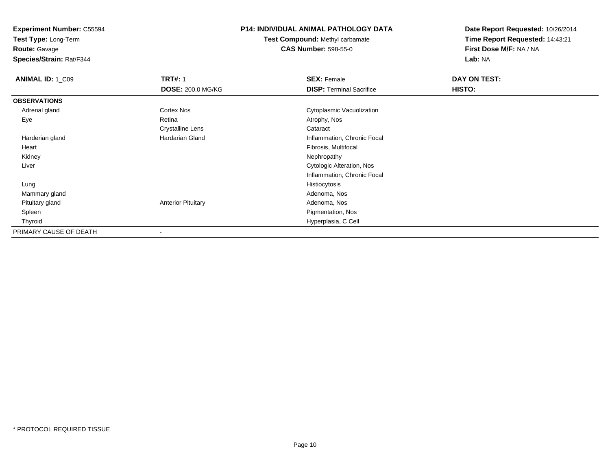**Test Type:** Long-Term

**Route:** Gavage

**Species/Strain:** Rat/F344

# **P14: INDIVIDUAL ANIMAL PATHOLOGY DATA**

**Test Compound:** Methyl carbamate**CAS Number:** 598-55-0

| <b>ANIMAL ID: 1_C09</b> | <b>TRT#: 1</b>            | <b>SEX: Female</b>              | DAY ON TEST:  |  |
|-------------------------|---------------------------|---------------------------------|---------------|--|
|                         | <b>DOSE: 200.0 MG/KG</b>  | <b>DISP: Terminal Sacrifice</b> | <b>HISTO:</b> |  |
| <b>OBSERVATIONS</b>     |                           |                                 |               |  |
| Adrenal gland           | Cortex Nos                | Cytoplasmic Vacuolization       |               |  |
| Eye                     | Retina                    | Atrophy, Nos                    |               |  |
|                         | <b>Crystalline Lens</b>   | Cataract                        |               |  |
| Harderian gland         | Hardarian Gland           | Inflammation, Chronic Focal     |               |  |
| Heart                   |                           | Fibrosis, Multifocal            |               |  |
| Kidney                  |                           | Nephropathy                     |               |  |
| Liver                   |                           | Cytologic Alteration, Nos       |               |  |
|                         |                           | Inflammation, Chronic Focal     |               |  |
| Lung                    |                           | Histiocytosis                   |               |  |
| Mammary gland           |                           | Adenoma, Nos                    |               |  |
| Pituitary gland         | <b>Anterior Pituitary</b> | Adenoma, Nos                    |               |  |
| Spleen                  |                           | Pigmentation, Nos               |               |  |
| Thyroid                 |                           | Hyperplasia, C Cell             |               |  |
| PRIMARY CAUSE OF DEATH  |                           |                                 |               |  |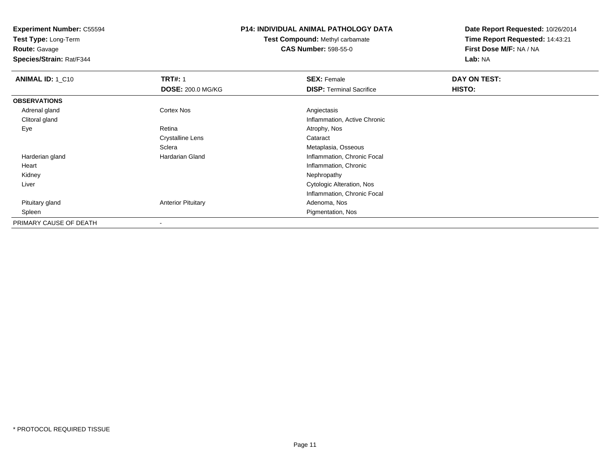**Test Type:** Long-Term

**Route:** Gavage

**Species/Strain:** Rat/F344

# **P14: INDIVIDUAL ANIMAL PATHOLOGY DATA**

**Test Compound:** Methyl carbamate**CAS Number:** 598-55-0

| <b>ANIMAL ID: 1 C10</b> | <b>TRT#: 1</b>            | <b>SEX: Female</b>              | DAY ON TEST: |  |
|-------------------------|---------------------------|---------------------------------|--------------|--|
|                         | <b>DOSE: 200.0 MG/KG</b>  | <b>DISP: Terminal Sacrifice</b> | HISTO:       |  |
| <b>OBSERVATIONS</b>     |                           |                                 |              |  |
| Adrenal gland           | <b>Cortex Nos</b>         | Angiectasis                     |              |  |
| Clitoral gland          |                           | Inflammation, Active Chronic    |              |  |
| Eye                     | Retina                    | Atrophy, Nos                    |              |  |
|                         | <b>Crystalline Lens</b>   | Cataract                        |              |  |
|                         | Sclera                    | Metaplasia, Osseous             |              |  |
| Harderian gland         | Hardarian Gland           | Inflammation, Chronic Focal     |              |  |
| Heart                   |                           | Inflammation, Chronic           |              |  |
| Kidney                  |                           | Nephropathy                     |              |  |
| Liver                   |                           | Cytologic Alteration, Nos       |              |  |
|                         |                           | Inflammation, Chronic Focal     |              |  |
| Pituitary gland         | <b>Anterior Pituitary</b> | Adenoma, Nos                    |              |  |
| Spleen                  |                           | Pigmentation, Nos               |              |  |
| PRIMARY CAUSE OF DEATH  | $\overline{\phantom{a}}$  |                                 |              |  |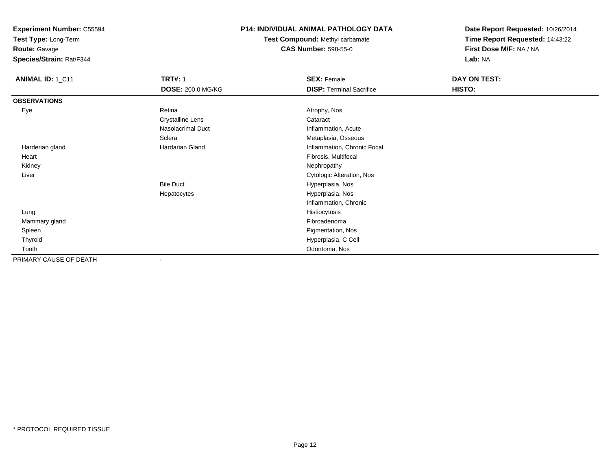**Test Type:** Long-Term

**Route:** Gavage

**Species/Strain:** Rat/F344

# **P14: INDIVIDUAL ANIMAL PATHOLOGY DATA**

**Test Compound:** Methyl carbamate**CAS Number:** 598-55-0

| ANIMAL ID: 1_C11       | <b>TRT#: 1</b>           | <b>SEX: Female</b>              | DAY ON TEST: |  |
|------------------------|--------------------------|---------------------------------|--------------|--|
|                        | <b>DOSE: 200.0 MG/KG</b> | <b>DISP: Terminal Sacrifice</b> | HISTO:       |  |
| <b>OBSERVATIONS</b>    |                          |                                 |              |  |
| Eye                    | Retina                   | Atrophy, Nos                    |              |  |
|                        | <b>Crystalline Lens</b>  | Cataract                        |              |  |
|                        | Nasolacrimal Duct        | Inflammation, Acute             |              |  |
|                        | Sclera                   | Metaplasia, Osseous             |              |  |
| Harderian gland        | Hardarian Gland          | Inflammation, Chronic Focal     |              |  |
| Heart                  |                          | Fibrosis, Multifocal            |              |  |
| Kidney                 |                          | Nephropathy                     |              |  |
| Liver                  |                          | Cytologic Alteration, Nos       |              |  |
|                        | <b>Bile Duct</b>         | Hyperplasia, Nos                |              |  |
|                        | Hepatocytes              | Hyperplasia, Nos                |              |  |
|                        |                          | Inflammation, Chronic           |              |  |
| Lung                   |                          | Histiocytosis                   |              |  |
| Mammary gland          |                          | Fibroadenoma                    |              |  |
| Spleen                 |                          | Pigmentation, Nos               |              |  |
| Thyroid                |                          | Hyperplasia, C Cell             |              |  |
| Tooth                  |                          | Odontoma, Nos                   |              |  |
| PRIMARY CAUSE OF DEATH | ۰                        |                                 |              |  |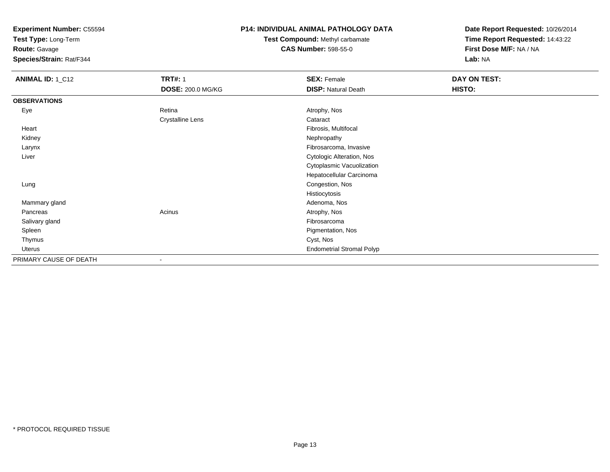**Test Type:** Long-Term

**Route:** Gavage

**Species/Strain:** Rat/F344

# **P14: INDIVIDUAL ANIMAL PATHOLOGY DATA**

**Test Compound:** Methyl carbamate**CAS Number:** 598-55-0

| <b>ANIMAL ID: 1_C12</b> | <b>TRT#: 1</b><br><b>DOSE: 200.0 MG/KG</b> | <b>SEX: Female</b><br><b>DISP: Natural Death</b> | DAY ON TEST:<br>HISTO: |
|-------------------------|--------------------------------------------|--------------------------------------------------|------------------------|
| <b>OBSERVATIONS</b>     |                                            |                                                  |                        |
| Eye                     | Retina                                     | Atrophy, Nos                                     |                        |
|                         | <b>Crystalline Lens</b>                    | Cataract                                         |                        |
| Heart                   |                                            | Fibrosis, Multifocal                             |                        |
| Kidney                  |                                            | Nephropathy                                      |                        |
| Larynx                  |                                            | Fibrosarcoma, Invasive                           |                        |
| Liver                   |                                            | Cytologic Alteration, Nos                        |                        |
|                         |                                            | Cytoplasmic Vacuolization                        |                        |
|                         |                                            | Hepatocellular Carcinoma                         |                        |
| Lung                    |                                            | Congestion, Nos                                  |                        |
|                         |                                            | Histiocytosis                                    |                        |
| Mammary gland           |                                            | Adenoma, Nos                                     |                        |
| Pancreas                | Acinus                                     | Atrophy, Nos                                     |                        |
| Salivary gland          |                                            | Fibrosarcoma                                     |                        |
| Spleen                  |                                            | Pigmentation, Nos                                |                        |
| Thymus                  |                                            | Cyst, Nos                                        |                        |
| Uterus                  |                                            | <b>Endometrial Stromal Polyp</b>                 |                        |
| PRIMARY CAUSE OF DEATH  | $\overline{\phantom{a}}$                   |                                                  |                        |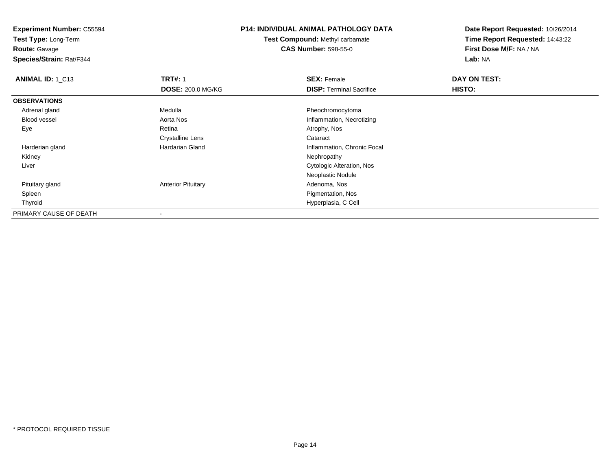**Test Type:** Long-Term

**Route:** Gavage

**Species/Strain:** Rat/F344

# **P14: INDIVIDUAL ANIMAL PATHOLOGY DATA**

**Test Compound:** Methyl carbamate**CAS Number:** 598-55-0

| ANIMAL ID: 1_C13       | <b>TRT#: 1</b>            | <b>SEX: Female</b>               | DAY ON TEST: |  |
|------------------------|---------------------------|----------------------------------|--------------|--|
|                        | <b>DOSE: 200.0 MG/KG</b>  | <b>DISP: Terminal Sacrifice</b>  | HISTO:       |  |
| <b>OBSERVATIONS</b>    |                           |                                  |              |  |
| Adrenal gland          | Medulla                   | Pheochromocytoma                 |              |  |
| Blood vessel           | Aorta Nos                 | Inflammation, Necrotizing        |              |  |
| Eye                    | Retina                    | Atrophy, Nos                     |              |  |
|                        | <b>Crystalline Lens</b>   | Cataract                         |              |  |
| Harderian gland        | <b>Hardarian Gland</b>    | Inflammation, Chronic Focal      |              |  |
| Kidney                 |                           | Nephropathy                      |              |  |
| Liver                  |                           | <b>Cytologic Alteration, Nos</b> |              |  |
|                        |                           | Neoplastic Nodule                |              |  |
| Pituitary gland        | <b>Anterior Pituitary</b> | Adenoma, Nos                     |              |  |
| Spleen                 |                           | Pigmentation, Nos                |              |  |
| Thyroid                |                           | Hyperplasia, C Cell              |              |  |
| PRIMARY CAUSE OF DEATH | $\overline{\phantom{a}}$  |                                  |              |  |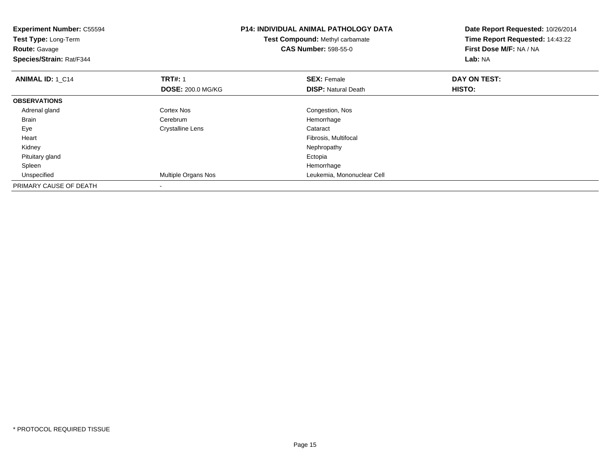| <b>Experiment Number: C55594</b><br>Test Type: Long-Term<br><b>Route: Gavage</b><br>Species/Strain: Rat/F344 |                          | <b>P14: INDIVIDUAL ANIMAL PATHOLOGY DATA</b><br>Test Compound: Methyl carbamate<br><b>CAS Number: 598-55-0</b> | Date Report Requested: 10/26/2014<br>Time Report Requested: 14:43:22<br>First Dose M/F: NA / NA<br>Lab: NA |
|--------------------------------------------------------------------------------------------------------------|--------------------------|----------------------------------------------------------------------------------------------------------------|------------------------------------------------------------------------------------------------------------|
| <b>ANIMAL ID: 1_C14</b>                                                                                      | <b>TRT#: 1</b>           | <b>SEX: Female</b>                                                                                             | DAY ON TEST:                                                                                               |
|                                                                                                              | <b>DOSE: 200.0 MG/KG</b> | <b>DISP:</b> Natural Death                                                                                     | <b>HISTO:</b>                                                                                              |
| <b>OBSERVATIONS</b>                                                                                          |                          |                                                                                                                |                                                                                                            |
| Adrenal gland                                                                                                | Cortex Nos               | Congestion, Nos                                                                                                |                                                                                                            |
| <b>Brain</b>                                                                                                 | Cerebrum                 | Hemorrhage                                                                                                     |                                                                                                            |
| Eye                                                                                                          | Crystalline Lens         | Cataract                                                                                                       |                                                                                                            |
| Heart                                                                                                        |                          | Fibrosis, Multifocal                                                                                           |                                                                                                            |
| Kidney                                                                                                       |                          | Nephropathy                                                                                                    |                                                                                                            |
| Pituitary gland                                                                                              |                          | Ectopia                                                                                                        |                                                                                                            |
| Spleen                                                                                                       |                          | Hemorrhage                                                                                                     |                                                                                                            |
| Unspecified                                                                                                  | Multiple Organs Nos      | Leukemia, Mononuclear Cell                                                                                     |                                                                                                            |
| PRIMARY CAUSE OF DEATH                                                                                       |                          |                                                                                                                |                                                                                                            |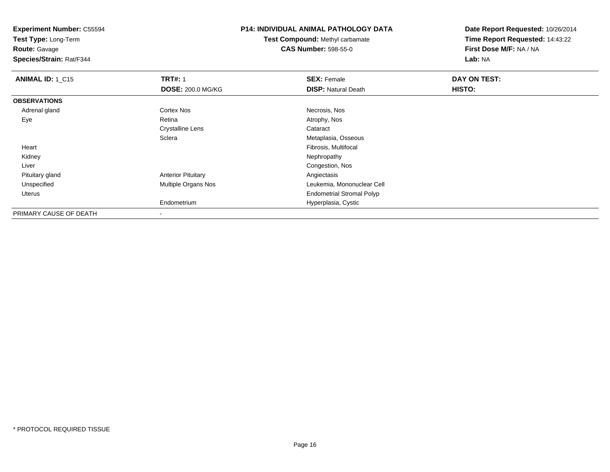**Test Type:** Long-Term

**Route:** Gavage

**Species/Strain:** Rat/F344

# **P14: INDIVIDUAL ANIMAL PATHOLOGY DATA**

**Test Compound:** Methyl carbamate**CAS Number:** 598-55-0

| <b>ANIMAL ID: 1_C15</b> | <b>TRT#: 1</b>            | <b>SEX: Female</b>               | DAY ON TEST: |  |
|-------------------------|---------------------------|----------------------------------|--------------|--|
|                         | <b>DOSE: 200.0 MG/KG</b>  | <b>DISP: Natural Death</b>       | HISTO:       |  |
| <b>OBSERVATIONS</b>     |                           |                                  |              |  |
| Adrenal gland           | Cortex Nos                | Necrosis, Nos                    |              |  |
| Eye                     | Retina                    | Atrophy, Nos                     |              |  |
|                         | <b>Crystalline Lens</b>   | Cataract                         |              |  |
|                         | Sclera                    | Metaplasia, Osseous              |              |  |
| Heart                   |                           | Fibrosis, Multifocal             |              |  |
| Kidney                  |                           | Nephropathy                      |              |  |
| Liver                   |                           | Congestion, Nos                  |              |  |
| Pituitary gland         | <b>Anterior Pituitary</b> | Angiectasis                      |              |  |
| Unspecified             | Multiple Organs Nos       | Leukemia, Mononuclear Cell       |              |  |
| Uterus                  |                           | <b>Endometrial Stromal Polyp</b> |              |  |
|                         | Endometrium               | Hyperplasia, Cystic              |              |  |
| PRIMARY CAUSE OF DEATH  | ۰                         |                                  |              |  |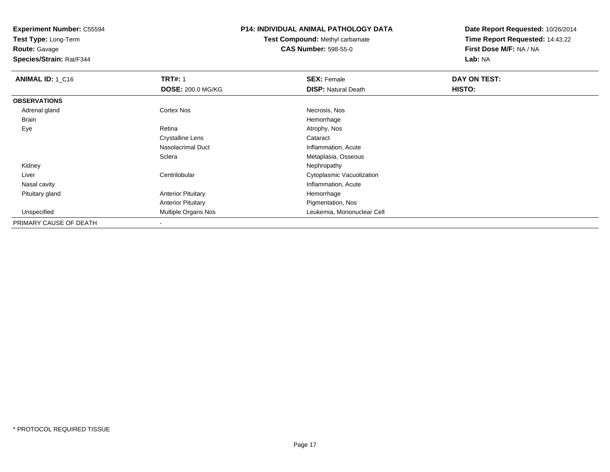**Test Type:** Long-Term

**Route:** Gavage

**Species/Strain:** Rat/F344

# **P14: INDIVIDUAL ANIMAL PATHOLOGY DATA**

**Test Compound:** Methyl carbamate**CAS Number:** 598-55-0

| <b>ANIMAL ID: 1 C16</b> | <b>TRT#: 1</b>            | <b>SEX: Female</b>         | DAY ON TEST: |  |
|-------------------------|---------------------------|----------------------------|--------------|--|
|                         | <b>DOSE: 200.0 MG/KG</b>  | <b>DISP: Natural Death</b> | HISTO:       |  |
| <b>OBSERVATIONS</b>     |                           |                            |              |  |
| Adrenal gland           | <b>Cortex Nos</b>         | Necrosis, Nos              |              |  |
| Brain                   |                           | Hemorrhage                 |              |  |
| Eye                     | Retina                    | Atrophy, Nos               |              |  |
|                         | <b>Crystalline Lens</b>   | Cataract                   |              |  |
|                         | Nasolacrimal Duct         | Inflammation, Acute        |              |  |
|                         | Sclera                    | Metaplasia, Osseous        |              |  |
| Kidney                  |                           | Nephropathy                |              |  |
| Liver                   | Centrilobular             | Cytoplasmic Vacuolization  |              |  |
| Nasal cavity            |                           | Inflammation, Acute        |              |  |
| Pituitary gland         | <b>Anterior Pituitary</b> | Hemorrhage                 |              |  |
|                         | <b>Anterior Pituitary</b> | Pigmentation, Nos          |              |  |
| Unspecified             | Multiple Organs Nos       | Leukemia, Mononuclear Cell |              |  |
| PRIMARY CAUSE OF DEATH  | $\overline{\phantom{a}}$  |                            |              |  |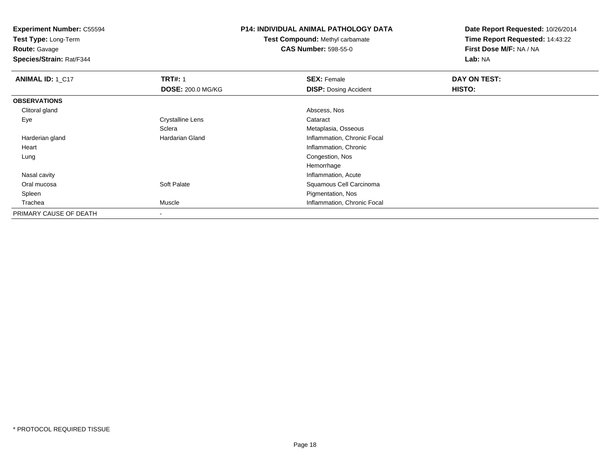**Test Type:** Long-Term

**Route:** Gavage

**Species/Strain:** Rat/F344

# **P14: INDIVIDUAL ANIMAL PATHOLOGY DATA**

**Test Compound:** Methyl carbamate**CAS Number:** 598-55-0

| ANIMAL ID: 1_C17       | <b>TRT#: 1</b>           | <b>SEX: Female</b>           | DAY ON TEST: |  |
|------------------------|--------------------------|------------------------------|--------------|--|
|                        | <b>DOSE: 200.0 MG/KG</b> | <b>DISP: Dosing Accident</b> | HISTO:       |  |
| <b>OBSERVATIONS</b>    |                          |                              |              |  |
| Clitoral gland         |                          | Abscess, Nos                 |              |  |
| Eye                    | <b>Crystalline Lens</b>  | Cataract                     |              |  |
|                        | Sclera                   | Metaplasia, Osseous          |              |  |
| Harderian gland        | Hardarian Gland          | Inflammation, Chronic Focal  |              |  |
| Heart                  |                          | Inflammation, Chronic        |              |  |
| Lung                   |                          | Congestion, Nos              |              |  |
|                        |                          | Hemorrhage                   |              |  |
| Nasal cavity           |                          | Inflammation, Acute          |              |  |
| Oral mucosa            | Soft Palate              | Squamous Cell Carcinoma      |              |  |
| Spleen                 |                          | Pigmentation, Nos            |              |  |
| Trachea                | Muscle                   | Inflammation, Chronic Focal  |              |  |
| PRIMARY CAUSE OF DEATH |                          |                              |              |  |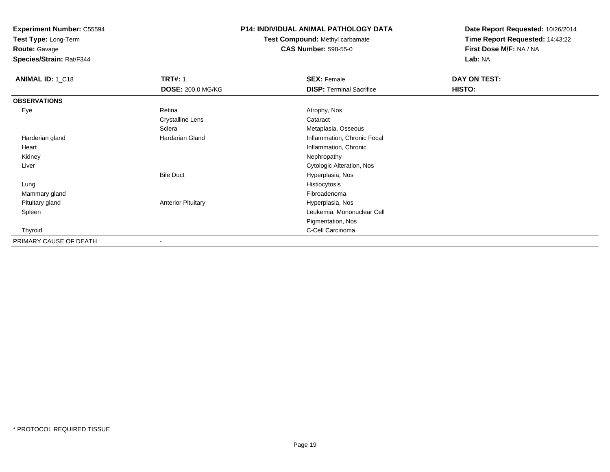**Test Type:** Long-Term

# **Route:** Gavage

**Species/Strain:** Rat/F344

# **P14: INDIVIDUAL ANIMAL PATHOLOGY DATA**

# **Test Compound:** Methyl carbamate**CAS Number:** 598-55-0

| <b>ANIMAL ID: 1_C18</b> | <b>TRT#: 1</b>            | <b>SEX: Female</b>              | DAY ON TEST: |  |
|-------------------------|---------------------------|---------------------------------|--------------|--|
|                         | <b>DOSE: 200.0 MG/KG</b>  | <b>DISP: Terminal Sacrifice</b> | HISTO:       |  |
| <b>OBSERVATIONS</b>     |                           |                                 |              |  |
| Eye                     | Retina                    | Atrophy, Nos                    |              |  |
|                         | <b>Crystalline Lens</b>   | Cataract                        |              |  |
|                         | Sclera                    | Metaplasia, Osseous             |              |  |
| Harderian gland         | Hardarian Gland           | Inflammation, Chronic Focal     |              |  |
| Heart                   |                           | Inflammation, Chronic           |              |  |
| Kidney                  |                           | Nephropathy                     |              |  |
| Liver                   |                           | Cytologic Alteration, Nos       |              |  |
|                         | <b>Bile Duct</b>          | Hyperplasia, Nos                |              |  |
| Lung                    |                           | Histiocytosis                   |              |  |
| Mammary gland           |                           | Fibroadenoma                    |              |  |
| Pituitary gland         | <b>Anterior Pituitary</b> | Hyperplasia, Nos                |              |  |
| Spleen                  |                           | Leukemia, Mononuclear Cell      |              |  |
|                         |                           | Pigmentation, Nos               |              |  |
| Thyroid                 |                           | C-Cell Carcinoma                |              |  |
| PRIMARY CAUSE OF DEATH  | $\overline{\phantom{a}}$  |                                 |              |  |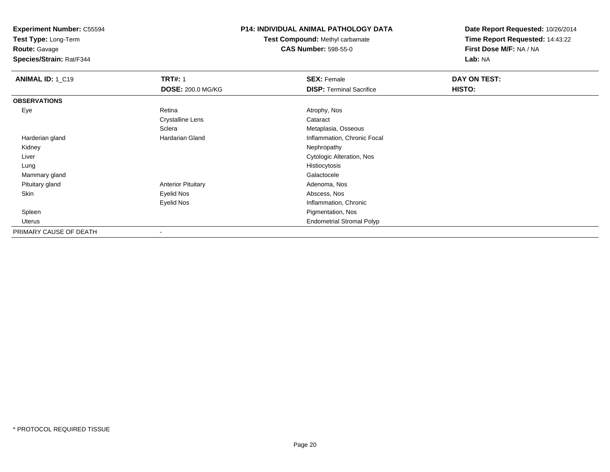**Test Type:** Long-Term

**Route:** Gavage

**Species/Strain:** Rat/F344

# **P14: INDIVIDUAL ANIMAL PATHOLOGY DATA**

**Test Compound:** Methyl carbamate**CAS Number:** 598-55-0

| ANIMAL ID: 1_C19       | <b>TRT#: 1</b>            | <b>SEX: Female</b>               | DAY ON TEST: |  |
|------------------------|---------------------------|----------------------------------|--------------|--|
|                        | <b>DOSE: 200.0 MG/KG</b>  | <b>DISP: Terminal Sacrifice</b>  | HISTO:       |  |
| <b>OBSERVATIONS</b>    |                           |                                  |              |  |
| Eye                    | Retina                    | Atrophy, Nos                     |              |  |
|                        | Crystalline Lens          | Cataract                         |              |  |
|                        | Sclera                    | Metaplasia, Osseous              |              |  |
| Harderian gland        | Hardarian Gland           | Inflammation, Chronic Focal      |              |  |
| Kidney                 |                           | Nephropathy                      |              |  |
| Liver                  |                           | Cytologic Alteration, Nos        |              |  |
| Lung                   |                           | Histiocytosis                    |              |  |
| Mammary gland          |                           | Galactocele                      |              |  |
| Pituitary gland        | <b>Anterior Pituitary</b> | Adenoma, Nos                     |              |  |
| Skin                   | Eyelid Nos                | Abscess, Nos                     |              |  |
|                        | <b>Eyelid Nos</b>         | Inflammation, Chronic            |              |  |
| Spleen                 |                           | Pigmentation, Nos                |              |  |
| Uterus                 |                           | <b>Endometrial Stromal Polyp</b> |              |  |
| PRIMARY CAUSE OF DEATH | $\,$                      |                                  |              |  |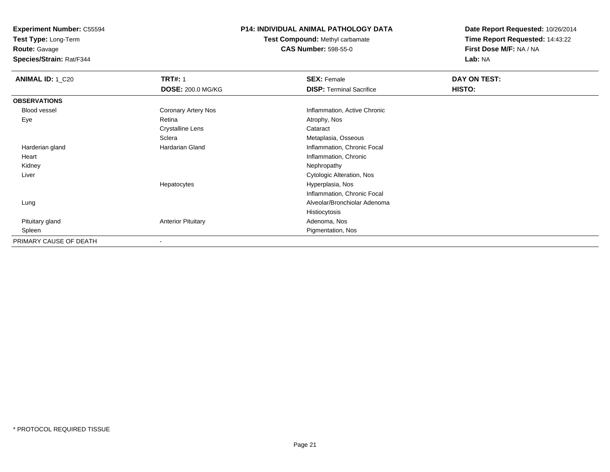**Test Type:** Long-Term

**Route:** Gavage

**Species/Strain:** Rat/F344

# **P14: INDIVIDUAL ANIMAL PATHOLOGY DATA**

**Test Compound:** Methyl carbamate**CAS Number:** 598-55-0

| <b>ANIMAL ID: 1_C20</b> | <b>TRT#: 1</b>            | <b>SEX: Female</b>              | DAY ON TEST: |  |
|-------------------------|---------------------------|---------------------------------|--------------|--|
|                         | <b>DOSE: 200.0 MG/KG</b>  | <b>DISP: Terminal Sacrifice</b> | HISTO:       |  |
| <b>OBSERVATIONS</b>     |                           |                                 |              |  |
| Blood vessel            | Coronary Artery Nos       | Inflammation, Active Chronic    |              |  |
| Eye                     | Retina                    | Atrophy, Nos                    |              |  |
|                         | Crystalline Lens          | Cataract                        |              |  |
|                         | Sclera                    | Metaplasia, Osseous             |              |  |
| Harderian gland         | Hardarian Gland           | Inflammation, Chronic Focal     |              |  |
| Heart                   |                           | Inflammation, Chronic           |              |  |
| Kidney                  |                           | Nephropathy                     |              |  |
| Liver                   |                           | Cytologic Alteration, Nos       |              |  |
|                         | Hepatocytes               | Hyperplasia, Nos                |              |  |
|                         |                           | Inflammation, Chronic Focal     |              |  |
| Lung                    |                           | Alveolar/Bronchiolar Adenoma    |              |  |
|                         |                           | Histiocytosis                   |              |  |
| Pituitary gland         | <b>Anterior Pituitary</b> | Adenoma, Nos                    |              |  |
| Spleen                  |                           | Pigmentation, Nos               |              |  |
| PRIMARY CAUSE OF DEATH  | $\overline{\phantom{a}}$  |                                 |              |  |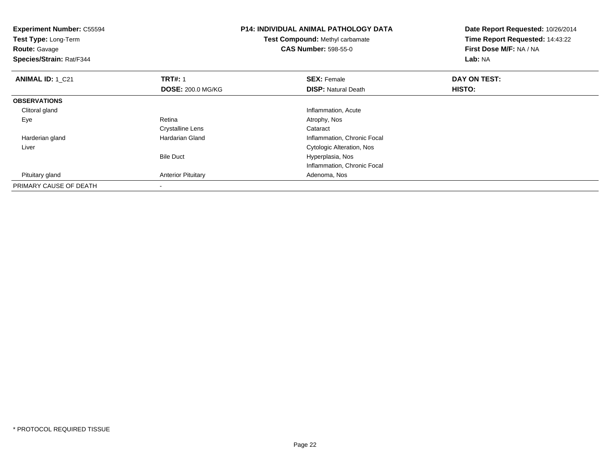| <b>Experiment Number: C55594</b><br>Test Type: Long-Term<br><b>Route: Gavage</b><br>Species/Strain: Rat/F344 |                           | <b>P14: INDIVIDUAL ANIMAL PATHOLOGY DATA</b><br>Test Compound: Methyl carbamate<br><b>CAS Number: 598-55-0</b> | Date Report Requested: 10/26/2014<br>Time Report Requested: 14:43:22<br>First Dose M/F: NA / NA<br>Lab: NA |  |
|--------------------------------------------------------------------------------------------------------------|---------------------------|----------------------------------------------------------------------------------------------------------------|------------------------------------------------------------------------------------------------------------|--|
| <b>ANIMAL ID: 1 C21</b>                                                                                      | <b>TRT#: 1</b>            | <b>SEX: Female</b>                                                                                             | DAY ON TEST:                                                                                               |  |
|                                                                                                              | <b>DOSE: 200.0 MG/KG</b>  | <b>DISP:</b> Natural Death                                                                                     | <b>HISTO:</b>                                                                                              |  |
| <b>OBSERVATIONS</b>                                                                                          |                           |                                                                                                                |                                                                                                            |  |
| Clitoral gland                                                                                               |                           | Inflammation, Acute                                                                                            |                                                                                                            |  |
| Eye                                                                                                          | Retina                    | Atrophy, Nos                                                                                                   |                                                                                                            |  |
|                                                                                                              | <b>Crystalline Lens</b>   | Cataract                                                                                                       |                                                                                                            |  |
| Harderian gland                                                                                              | Hardarian Gland           | Inflammation, Chronic Focal                                                                                    |                                                                                                            |  |
| Liver                                                                                                        |                           | Cytologic Alteration, Nos                                                                                      |                                                                                                            |  |
|                                                                                                              | <b>Bile Duct</b>          | Hyperplasia, Nos                                                                                               |                                                                                                            |  |
|                                                                                                              |                           | Inflammation, Chronic Focal                                                                                    |                                                                                                            |  |
| Pituitary gland                                                                                              | <b>Anterior Pituitary</b> | Adenoma, Nos                                                                                                   |                                                                                                            |  |
| PRIMARY CAUSE OF DEATH                                                                                       |                           |                                                                                                                |                                                                                                            |  |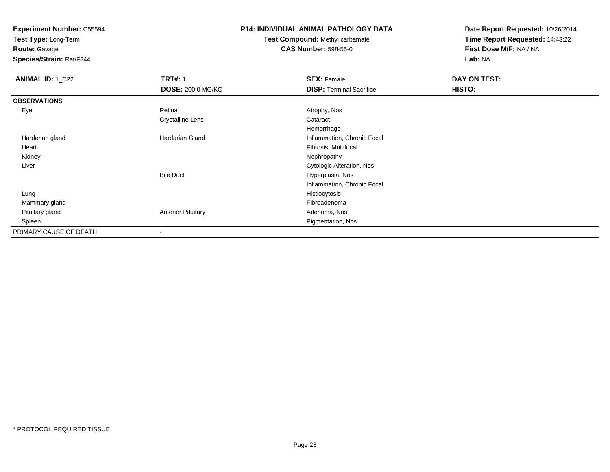**Test Type:** Long-Term

# **Route:** Gavage

**Species/Strain:** Rat/F344

# **P14: INDIVIDUAL ANIMAL PATHOLOGY DATA**

# **Test Compound:** Methyl carbamate**CAS Number:** 598-55-0

| <b>ANIMAL ID: 1_C22</b> | <b>TRT#: 1</b>            | <b>SEX: Female</b>              | DAY ON TEST: |  |
|-------------------------|---------------------------|---------------------------------|--------------|--|
|                         | <b>DOSE: 200.0 MG/KG</b>  | <b>DISP: Terminal Sacrifice</b> | HISTO:       |  |
| <b>OBSERVATIONS</b>     |                           |                                 |              |  |
| Eye                     | Retina                    | Atrophy, Nos                    |              |  |
|                         | <b>Crystalline Lens</b>   | Cataract                        |              |  |
|                         |                           | Hemorrhage                      |              |  |
| Harderian gland         | <b>Hardarian Gland</b>    | Inflammation, Chronic Focal     |              |  |
| Heart                   |                           | Fibrosis, Multifocal            |              |  |
| Kidney                  |                           | Nephropathy                     |              |  |
| Liver                   |                           | Cytologic Alteration, Nos       |              |  |
|                         | <b>Bile Duct</b>          | Hyperplasia, Nos                |              |  |
|                         |                           | Inflammation, Chronic Focal     |              |  |
| Lung                    |                           | Histiocytosis                   |              |  |
| Mammary gland           |                           | Fibroadenoma                    |              |  |
| Pituitary gland         | <b>Anterior Pituitary</b> | Adenoma, Nos                    |              |  |
| Spleen                  |                           | Pigmentation, Nos               |              |  |
| PRIMARY CAUSE OF DEATH  | $\overline{\phantom{a}}$  |                                 |              |  |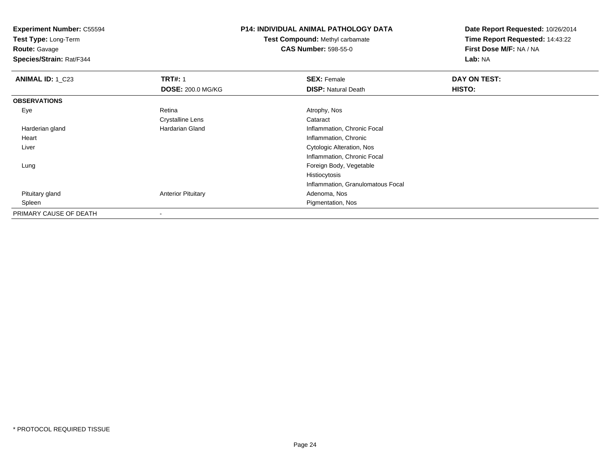**Test Type:** Long-Term

**Route:** Gavage

**Species/Strain:** Rat/F344

# **P14: INDIVIDUAL ANIMAL PATHOLOGY DATA**

**Test Compound:** Methyl carbamate**CAS Number:** 598-55-0

| <b>ANIMAL ID: 1 C23</b> | <b>TRT#: 1</b>            | <b>SEX: Female</b>                | DAY ON TEST: |  |
|-------------------------|---------------------------|-----------------------------------|--------------|--|
|                         | <b>DOSE: 200.0 MG/KG</b>  | <b>DISP: Natural Death</b>        | HISTO:       |  |
| <b>OBSERVATIONS</b>     |                           |                                   |              |  |
| Eye                     | Retina                    | Atrophy, Nos                      |              |  |
|                         | <b>Crystalline Lens</b>   | Cataract                          |              |  |
| Harderian gland         | <b>Hardarian Gland</b>    | Inflammation, Chronic Focal       |              |  |
| Heart                   |                           | Inflammation, Chronic             |              |  |
| Liver                   |                           | Cytologic Alteration, Nos         |              |  |
|                         |                           | Inflammation, Chronic Focal       |              |  |
| Lung                    |                           | Foreign Body, Vegetable           |              |  |
|                         |                           | Histiocytosis                     |              |  |
|                         |                           | Inflammation, Granulomatous Focal |              |  |
| Pituitary gland         | <b>Anterior Pituitary</b> | Adenoma, Nos                      |              |  |
| Spleen                  |                           | Pigmentation, Nos                 |              |  |
| PRIMARY CAUSE OF DEATH  | $\,$                      |                                   |              |  |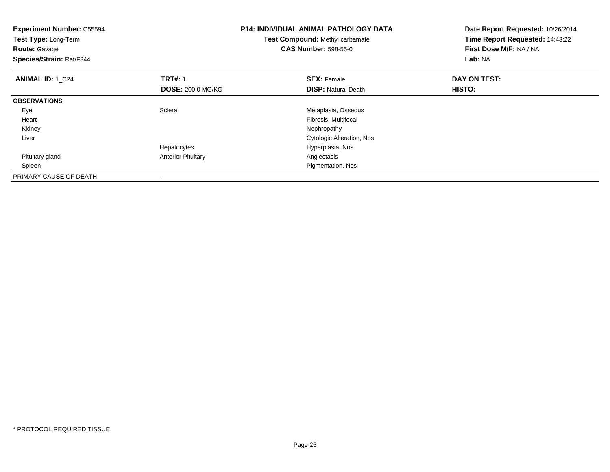| <b>Experiment Number: C55594</b><br>Test Type: Long-Term<br><b>Route: Gavage</b><br>Species/Strain: Rat/F344 |                           | <b>P14: INDIVIDUAL ANIMAL PATHOLOGY DATA</b><br>Test Compound: Methyl carbamate<br><b>CAS Number: 598-55-0</b> | Date Report Requested: 10/26/2014<br>Time Report Requested: 14:43:22<br>First Dose M/F: NA / NA<br>Lab: NA |
|--------------------------------------------------------------------------------------------------------------|---------------------------|----------------------------------------------------------------------------------------------------------------|------------------------------------------------------------------------------------------------------------|
| <b>ANIMAL ID: 1 C24</b>                                                                                      | <b>TRT#: 1</b>            | <b>SEX: Female</b>                                                                                             | DAY ON TEST:                                                                                               |
|                                                                                                              | <b>DOSE: 200.0 MG/KG</b>  | <b>DISP:</b> Natural Death                                                                                     | HISTO:                                                                                                     |
| <b>OBSERVATIONS</b>                                                                                          |                           |                                                                                                                |                                                                                                            |
| Eye                                                                                                          | Sclera                    | Metaplasia, Osseous                                                                                            |                                                                                                            |
| Heart                                                                                                        |                           | Fibrosis, Multifocal                                                                                           |                                                                                                            |
| Kidney                                                                                                       |                           | Nephropathy                                                                                                    |                                                                                                            |
| Liver                                                                                                        |                           | <b>Cytologic Alteration, Nos</b>                                                                               |                                                                                                            |
|                                                                                                              | Hepatocytes               | Hyperplasia, Nos                                                                                               |                                                                                                            |
| Pituitary gland                                                                                              | <b>Anterior Pituitary</b> | Angiectasis                                                                                                    |                                                                                                            |
| Spleen                                                                                                       |                           | Pigmentation, Nos                                                                                              |                                                                                                            |
| PRIMARY CAUSE OF DEATH                                                                                       |                           |                                                                                                                |                                                                                                            |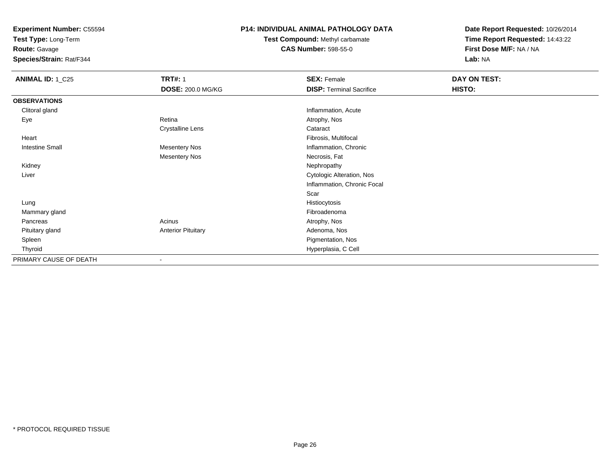**Test Type:** Long-Term

**Route:** Gavage

**Species/Strain:** Rat/F344

# **P14: INDIVIDUAL ANIMAL PATHOLOGY DATA**

**Test Compound:** Methyl carbamate**CAS Number:** 598-55-0

| <b>ANIMAL ID: 1_C25</b> | <b>TRT#: 1</b>            | <b>SEX: Female</b>              | DAY ON TEST: |  |
|-------------------------|---------------------------|---------------------------------|--------------|--|
|                         | DOSE: 200.0 MG/KG         | <b>DISP: Terminal Sacrifice</b> | HISTO:       |  |
| <b>OBSERVATIONS</b>     |                           |                                 |              |  |
| Clitoral gland          |                           | Inflammation, Acute             |              |  |
| Eye                     | Retina                    | Atrophy, Nos                    |              |  |
|                         | <b>Crystalline Lens</b>   | Cataract                        |              |  |
| Heart                   |                           | Fibrosis, Multifocal            |              |  |
| <b>Intestine Small</b>  | Mesentery Nos             | Inflammation, Chronic           |              |  |
|                         | <b>Mesentery Nos</b>      | Necrosis, Fat                   |              |  |
| Kidney                  |                           | Nephropathy                     |              |  |
| Liver                   |                           | Cytologic Alteration, Nos       |              |  |
|                         |                           | Inflammation, Chronic Focal     |              |  |
|                         |                           | Scar                            |              |  |
| Lung                    |                           | Histiocytosis                   |              |  |
| Mammary gland           |                           | Fibroadenoma                    |              |  |
| Pancreas                | Acinus                    | Atrophy, Nos                    |              |  |
| Pituitary gland         | <b>Anterior Pituitary</b> | Adenoma, Nos                    |              |  |
| Spleen                  |                           | Pigmentation, Nos               |              |  |
| Thyroid                 |                           | Hyperplasia, C Cell             |              |  |
| PRIMARY CAUSE OF DEATH  | $\blacksquare$            |                                 |              |  |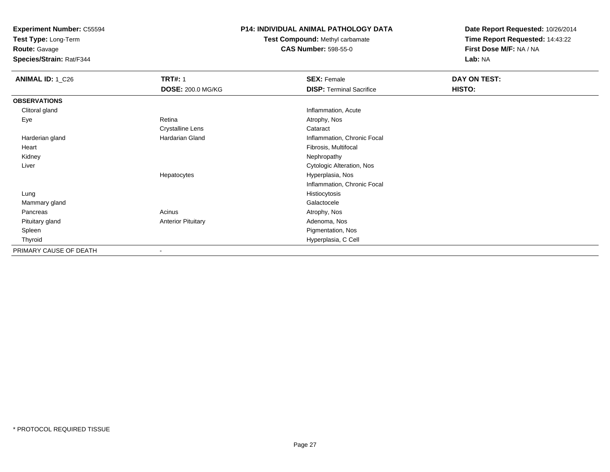**Test Type:** Long-Term

**Route:** Gavage

**Species/Strain:** Rat/F344

# **P14: INDIVIDUAL ANIMAL PATHOLOGY DATA**

**Test Compound:** Methyl carbamate**CAS Number:** 598-55-0

| <b>ANIMAL ID: 1_C26</b> | <b>TRT#: 1</b>            | <b>SEX: Female</b>              | DAY ON TEST:  |  |
|-------------------------|---------------------------|---------------------------------|---------------|--|
|                         | <b>DOSE: 200.0 MG/KG</b>  | <b>DISP: Terminal Sacrifice</b> | <b>HISTO:</b> |  |
| <b>OBSERVATIONS</b>     |                           |                                 |               |  |
| Clitoral gland          |                           | Inflammation, Acute             |               |  |
| Eye                     | Retina                    | Atrophy, Nos                    |               |  |
|                         | <b>Crystalline Lens</b>   | Cataract                        |               |  |
| Harderian gland         | Hardarian Gland           | Inflammation, Chronic Focal     |               |  |
| Heart                   |                           | Fibrosis, Multifocal            |               |  |
| Kidney                  |                           | Nephropathy                     |               |  |
| Liver                   |                           | Cytologic Alteration, Nos       |               |  |
|                         | Hepatocytes               | Hyperplasia, Nos                |               |  |
|                         |                           | Inflammation, Chronic Focal     |               |  |
| Lung                    |                           | Histiocytosis                   |               |  |
| Mammary gland           |                           | Galactocele                     |               |  |
| Pancreas                | Acinus                    | Atrophy, Nos                    |               |  |
| Pituitary gland         | <b>Anterior Pituitary</b> | Adenoma, Nos                    |               |  |
| Spleen                  |                           | Pigmentation, Nos               |               |  |
| Thyroid                 |                           | Hyperplasia, C Cell             |               |  |
| PRIMARY CAUSE OF DEATH  |                           |                                 |               |  |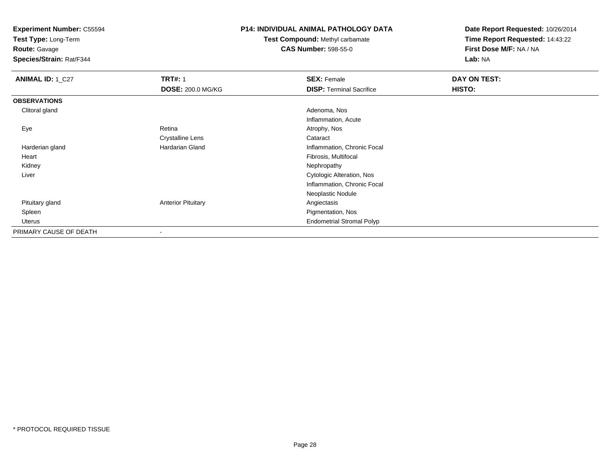**Test Type:** Long-Term

**Route:** Gavage

**Species/Strain:** Rat/F344

# **P14: INDIVIDUAL ANIMAL PATHOLOGY DATA**

**Test Compound:** Methyl carbamate**CAS Number:** 598-55-0

| ANIMAL ID: 1_C27       | <b>TRT#: 1</b>            | <b>SEX: Female</b>               | DAY ON TEST: |  |
|------------------------|---------------------------|----------------------------------|--------------|--|
|                        | DOSE: 200.0 MG/KG         | <b>DISP: Terminal Sacrifice</b>  | HISTO:       |  |
| <b>OBSERVATIONS</b>    |                           |                                  |              |  |
| Clitoral gland         |                           | Adenoma, Nos                     |              |  |
|                        |                           | Inflammation, Acute              |              |  |
| Eye                    | Retina                    | Atrophy, Nos                     |              |  |
|                        | <b>Crystalline Lens</b>   | Cataract                         |              |  |
| Harderian gland        | Hardarian Gland           | Inflammation, Chronic Focal      |              |  |
| Heart                  |                           | Fibrosis, Multifocal             |              |  |
| Kidney                 |                           | Nephropathy                      |              |  |
| Liver                  |                           | Cytologic Alteration, Nos        |              |  |
|                        |                           | Inflammation, Chronic Focal      |              |  |
|                        |                           | Neoplastic Nodule                |              |  |
| Pituitary gland        | <b>Anterior Pituitary</b> | Angiectasis                      |              |  |
| Spleen                 |                           | Pigmentation, Nos                |              |  |
| Uterus                 |                           | <b>Endometrial Stromal Polyp</b> |              |  |
| PRIMARY CAUSE OF DEATH | -                         |                                  |              |  |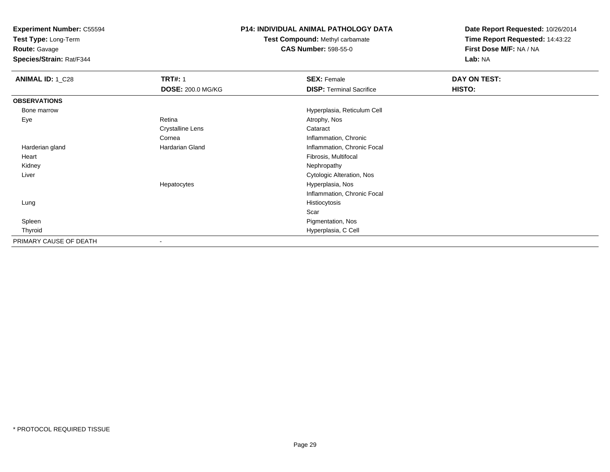**Test Type:** Long-Term

**Route:** Gavage

**Species/Strain:** Rat/F344

# **P14: INDIVIDUAL ANIMAL PATHOLOGY DATA**

**Test Compound:** Methyl carbamate**CAS Number:** 598-55-0

| <b>ANIMAL ID: 1_C28</b> | <b>TRT#: 1</b>           | <b>SEX: Female</b>              | DAY ON TEST: |  |
|-------------------------|--------------------------|---------------------------------|--------------|--|
|                         | <b>DOSE: 200.0 MG/KG</b> | <b>DISP: Terminal Sacrifice</b> | HISTO:       |  |
| <b>OBSERVATIONS</b>     |                          |                                 |              |  |
| Bone marrow             |                          | Hyperplasia, Reticulum Cell     |              |  |
| Eye                     | Retina                   | Atrophy, Nos                    |              |  |
|                         | <b>Crystalline Lens</b>  | Cataract                        |              |  |
|                         | Cornea                   | Inflammation, Chronic           |              |  |
| Harderian gland         | <b>Hardarian Gland</b>   | Inflammation, Chronic Focal     |              |  |
| Heart                   |                          | Fibrosis, Multifocal            |              |  |
| Kidney                  |                          | Nephropathy                     |              |  |
| Liver                   |                          | Cytologic Alteration, Nos       |              |  |
|                         | Hepatocytes              | Hyperplasia, Nos                |              |  |
|                         |                          | Inflammation, Chronic Focal     |              |  |
| Lung                    |                          | Histiocytosis                   |              |  |
|                         |                          | Scar                            |              |  |
| Spleen                  |                          | Pigmentation, Nos               |              |  |
| Thyroid                 |                          | Hyperplasia, C Cell             |              |  |
| PRIMARY CAUSE OF DEATH  | $\overline{\phantom{a}}$ |                                 |              |  |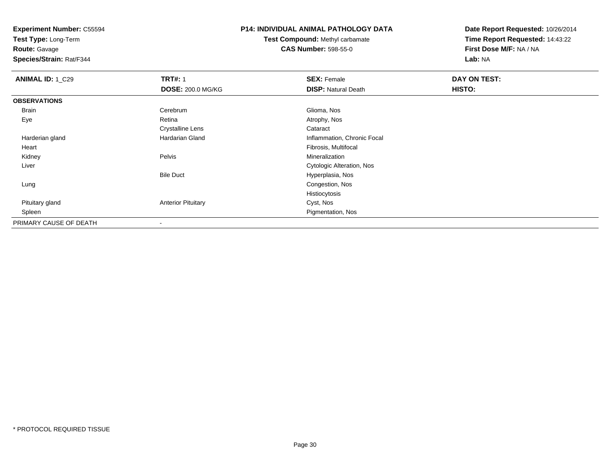**Test Type:** Long-Term

**Route:** Gavage

**Species/Strain:** Rat/F344

# **P14: INDIVIDUAL ANIMAL PATHOLOGY DATA**

**Test Compound:** Methyl carbamate**CAS Number:** 598-55-0

| <b>ANIMAL ID: 1_C29</b> | <b>TRT#: 1</b>            | <b>SEX: Female</b>          | DAY ON TEST: |  |
|-------------------------|---------------------------|-----------------------------|--------------|--|
|                         | <b>DOSE: 200.0 MG/KG</b>  | <b>DISP: Natural Death</b>  | HISTO:       |  |
| <b>OBSERVATIONS</b>     |                           |                             |              |  |
| Brain                   | Cerebrum                  | Glioma, Nos                 |              |  |
| Eye                     | Retina                    | Atrophy, Nos                |              |  |
|                         | <b>Crystalline Lens</b>   | Cataract                    |              |  |
| Harderian gland         | <b>Hardarian Gland</b>    | Inflammation, Chronic Focal |              |  |
| Heart                   |                           | Fibrosis, Multifocal        |              |  |
| Kidney                  | Pelvis                    | Mineralization              |              |  |
| Liver                   |                           | Cytologic Alteration, Nos   |              |  |
|                         | <b>Bile Duct</b>          | Hyperplasia, Nos            |              |  |
| Lung                    |                           | Congestion, Nos             |              |  |
|                         |                           | Histiocytosis               |              |  |
| Pituitary gland         | <b>Anterior Pituitary</b> | Cyst, Nos                   |              |  |
| Spleen                  |                           | Pigmentation, Nos           |              |  |
| PRIMARY CAUSE OF DEATH  | $\overline{\phantom{a}}$  |                             |              |  |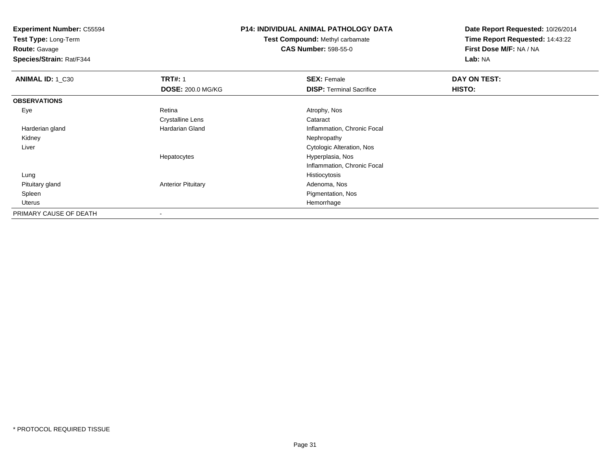**Test Type:** Long-Term

**Route:** Gavage

**Species/Strain:** Rat/F344

# **P14: INDIVIDUAL ANIMAL PATHOLOGY DATA**

**Test Compound:** Methyl carbamate**CAS Number:** 598-55-0

| <b>ANIMAL ID: 1_C30</b> | <b>TRT#: 1</b>            | <b>SEX: Female</b>              | DAY ON TEST: |  |
|-------------------------|---------------------------|---------------------------------|--------------|--|
|                         | <b>DOSE: 200.0 MG/KG</b>  | <b>DISP: Terminal Sacrifice</b> | HISTO:       |  |
| <b>OBSERVATIONS</b>     |                           |                                 |              |  |
| Eye                     | Retina                    | Atrophy, Nos                    |              |  |
|                         | <b>Crystalline Lens</b>   | Cataract                        |              |  |
| Harderian gland         | <b>Hardarian Gland</b>    | Inflammation, Chronic Focal     |              |  |
| Kidney                  |                           | Nephropathy                     |              |  |
| Liver                   |                           | Cytologic Alteration, Nos       |              |  |
|                         | Hepatocytes               | Hyperplasia, Nos                |              |  |
|                         |                           | Inflammation, Chronic Focal     |              |  |
| Lung                    |                           | Histiocytosis                   |              |  |
| Pituitary gland         | <b>Anterior Pituitary</b> | Adenoma, Nos                    |              |  |
| Spleen                  |                           | Pigmentation, Nos               |              |  |
| Uterus                  |                           | Hemorrhage                      |              |  |
| PRIMARY CAUSE OF DEATH  | $\,$ $\,$                 |                                 |              |  |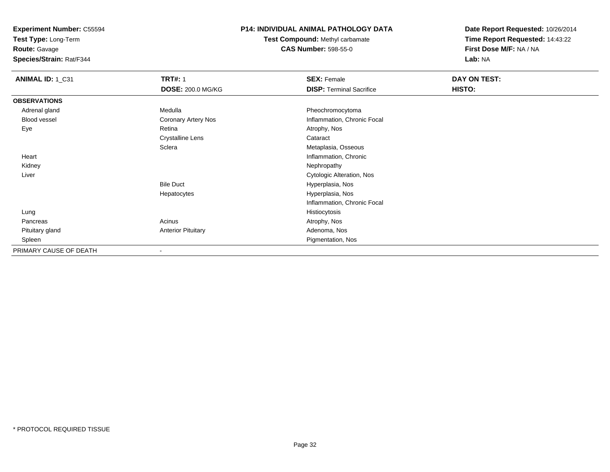**Test Type:** Long-Term

**Route:** Gavage

**Species/Strain:** Rat/F344

# **P14: INDIVIDUAL ANIMAL PATHOLOGY DATA**

**Test Compound:** Methyl carbamate**CAS Number:** 598-55-0

| ANIMAL ID: 1_C31       | <b>TRT#: 1</b>            | <b>SEX: Female</b>              | <b>DAY ON TEST:</b> |  |
|------------------------|---------------------------|---------------------------------|---------------------|--|
|                        | <b>DOSE: 200.0 MG/KG</b>  | <b>DISP: Terminal Sacrifice</b> | HISTO:              |  |
| <b>OBSERVATIONS</b>    |                           |                                 |                     |  |
| Adrenal gland          | Medulla                   | Pheochromocytoma                |                     |  |
| Blood vessel           | Coronary Artery Nos       | Inflammation, Chronic Focal     |                     |  |
| Eye                    | Retina                    | Atrophy, Nos                    |                     |  |
|                        | <b>Crystalline Lens</b>   | Cataract                        |                     |  |
|                        | Sclera                    | Metaplasia, Osseous             |                     |  |
| Heart                  |                           | Inflammation, Chronic           |                     |  |
| Kidney                 |                           | Nephropathy                     |                     |  |
| Liver                  |                           | Cytologic Alteration, Nos       |                     |  |
|                        | <b>Bile Duct</b>          | Hyperplasia, Nos                |                     |  |
|                        | Hepatocytes               | Hyperplasia, Nos                |                     |  |
|                        |                           | Inflammation, Chronic Focal     |                     |  |
| Lung                   |                           | Histiocytosis                   |                     |  |
| Pancreas               | Acinus                    | Atrophy, Nos                    |                     |  |
| Pituitary gland        | <b>Anterior Pituitary</b> | Adenoma, Nos                    |                     |  |
| Spleen                 |                           | Pigmentation, Nos               |                     |  |
| PRIMARY CAUSE OF DEATH | $\overline{\phantom{a}}$  |                                 |                     |  |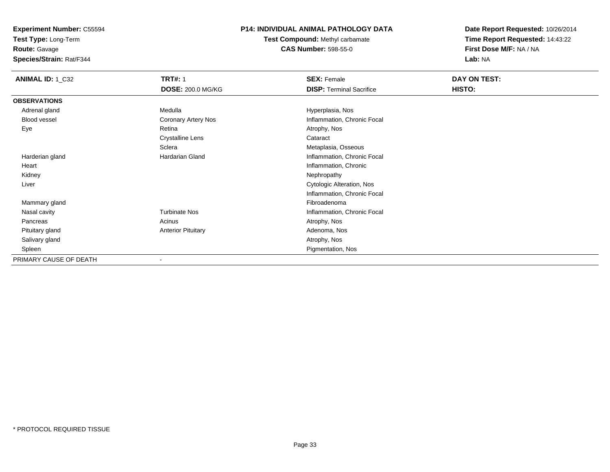**Test Type:** Long-Term

**Route:** Gavage

**Species/Strain:** Rat/F344

# **P14: INDIVIDUAL ANIMAL PATHOLOGY DATA**

**Test Compound:** Methyl carbamate**CAS Number:** 598-55-0

| <b>ANIMAL ID: 1_C32</b> | <b>TRT#: 1</b>            | <b>SEX: Female</b>              | DAY ON TEST: |
|-------------------------|---------------------------|---------------------------------|--------------|
|                         | <b>DOSE: 200.0 MG/KG</b>  | <b>DISP: Terminal Sacrifice</b> | HISTO:       |
| <b>OBSERVATIONS</b>     |                           |                                 |              |
| Adrenal gland           | Medulla                   | Hyperplasia, Nos                |              |
| <b>Blood vessel</b>     | Coronary Artery Nos       | Inflammation, Chronic Focal     |              |
| Eye                     | Retina                    | Atrophy, Nos                    |              |
|                         | Crystalline Lens          | Cataract                        |              |
|                         | Sclera                    | Metaplasia, Osseous             |              |
| Harderian gland         | Hardarian Gland           | Inflammation, Chronic Focal     |              |
| Heart                   |                           | Inflammation, Chronic           |              |
| Kidney                  |                           | Nephropathy                     |              |
| Liver                   |                           | Cytologic Alteration, Nos       |              |
|                         |                           | Inflammation, Chronic Focal     |              |
| Mammary gland           |                           | Fibroadenoma                    |              |
| Nasal cavity            | <b>Turbinate Nos</b>      | Inflammation, Chronic Focal     |              |
| Pancreas                | Acinus                    | Atrophy, Nos                    |              |
| Pituitary gland         | <b>Anterior Pituitary</b> | Adenoma, Nos                    |              |
| Salivary gland          |                           | Atrophy, Nos                    |              |
| Spleen                  |                           | Pigmentation, Nos               |              |
| PRIMARY CAUSE OF DEATH  | $\overline{\phantom{a}}$  |                                 |              |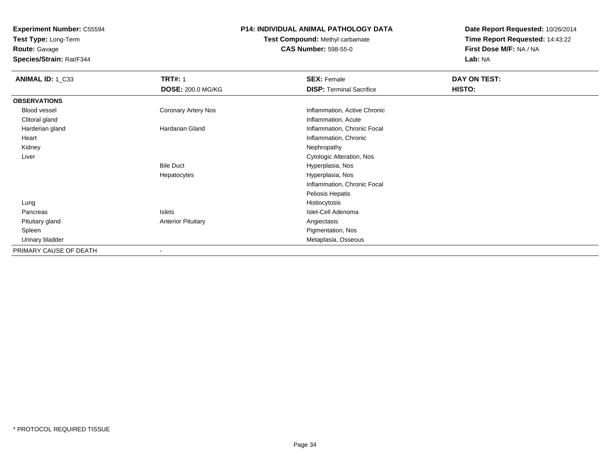**Test Type:** Long-Term**Route:** Gavage

**Species/Strain:** Rat/F344

# **P14: INDIVIDUAL ANIMAL PATHOLOGY DATA**

# **Test Compound:** Methyl carbamate**CAS Number:** 598-55-0

| <b>ANIMAL ID: 1_C33</b> | <b>TRT#: 1</b>            | <b>SEX: Female</b>              | DAY ON TEST:  |  |
|-------------------------|---------------------------|---------------------------------|---------------|--|
|                         | <b>DOSE: 200.0 MG/KG</b>  | <b>DISP: Terminal Sacrifice</b> | <b>HISTO:</b> |  |
| <b>OBSERVATIONS</b>     |                           |                                 |               |  |
| <b>Blood vessel</b>     | Coronary Artery Nos       | Inflammation, Active Chronic    |               |  |
| Clitoral gland          |                           | Inflammation, Acute             |               |  |
| Harderian gland         | Hardarian Gland           | Inflammation, Chronic Focal     |               |  |
| Heart                   |                           | Inflammation, Chronic           |               |  |
| Kidney                  |                           | Nephropathy                     |               |  |
| Liver                   |                           | Cytologic Alteration, Nos       |               |  |
|                         | <b>Bile Duct</b>          | Hyperplasia, Nos                |               |  |
|                         | Hepatocytes               | Hyperplasia, Nos                |               |  |
|                         |                           | Inflammation, Chronic Focal     |               |  |
|                         |                           | Peliosis Hepatis                |               |  |
| Lung                    |                           | Histiocytosis                   |               |  |
| Pancreas                | Islets                    | Islet-Cell Adenoma              |               |  |
| Pituitary gland         | <b>Anterior Pituitary</b> | Angiectasis                     |               |  |
| Spleen                  |                           | Pigmentation, Nos               |               |  |
| Urinary bladder         |                           | Metaplasia, Osseous             |               |  |
| PRIMARY CAUSE OF DEATH  |                           |                                 |               |  |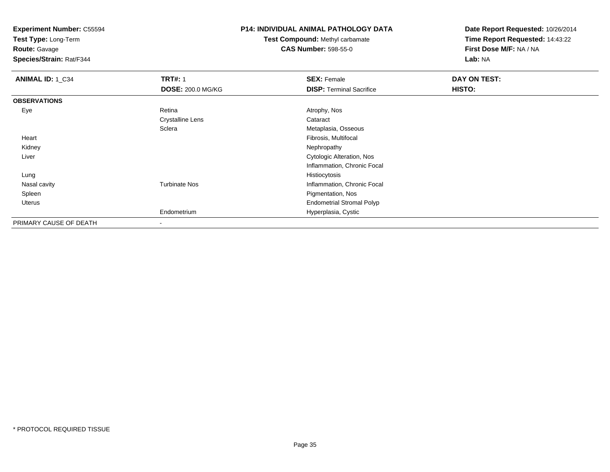**Test Type:** Long-Term

**Route:** Gavage

**Species/Strain:** Rat/F344

# **P14: INDIVIDUAL ANIMAL PATHOLOGY DATA**

**Test Compound:** Methyl carbamate**CAS Number:** 598-55-0

| ANIMAL ID: 1_C34       | <b>TRT#: 1</b>           | <b>SEX: Female</b>               | DAY ON TEST: |  |
|------------------------|--------------------------|----------------------------------|--------------|--|
|                        | <b>DOSE: 200.0 MG/KG</b> | <b>DISP: Terminal Sacrifice</b>  | HISTO:       |  |
| <b>OBSERVATIONS</b>    |                          |                                  |              |  |
| Eye                    | Retina                   | Atrophy, Nos                     |              |  |
|                        | <b>Crystalline Lens</b>  | Cataract                         |              |  |
|                        | Sclera                   | Metaplasia, Osseous              |              |  |
| Heart                  |                          | Fibrosis, Multifocal             |              |  |
| Kidney                 |                          | Nephropathy                      |              |  |
| Liver                  |                          | Cytologic Alteration, Nos        |              |  |
|                        |                          | Inflammation, Chronic Focal      |              |  |
| Lung                   |                          | Histiocytosis                    |              |  |
| Nasal cavity           | <b>Turbinate Nos</b>     | Inflammation, Chronic Focal      |              |  |
| Spleen                 |                          | Pigmentation, Nos                |              |  |
| Uterus                 |                          | <b>Endometrial Stromal Polyp</b> |              |  |
|                        | Endometrium              | Hyperplasia, Cystic              |              |  |
| PRIMARY CAUSE OF DEATH | $\,$                     |                                  |              |  |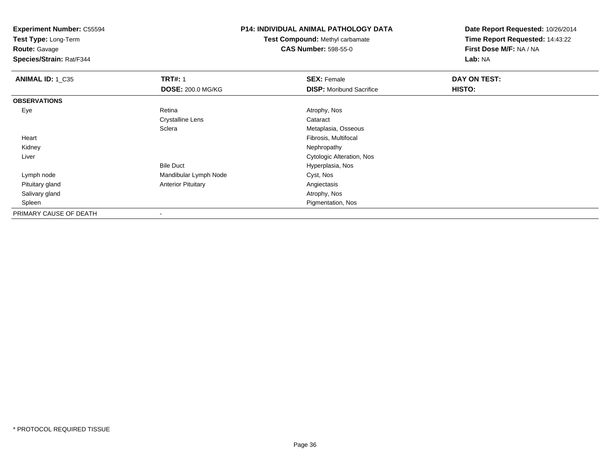**Test Type:** Long-Term

**Route:** Gavage

**Species/Strain:** Rat/F344

# **P14: INDIVIDUAL ANIMAL PATHOLOGY DATA**

**Test Compound:** Methyl carbamate**CAS Number:** 598-55-0

| <b>ANIMAL ID: 1_C35</b> | <b>TRT#: 1</b>            | <b>SEX: Female</b>              | DAY ON TEST: |  |
|-------------------------|---------------------------|---------------------------------|--------------|--|
|                         | <b>DOSE: 200.0 MG/KG</b>  | <b>DISP:</b> Moribund Sacrifice | HISTO:       |  |
| <b>OBSERVATIONS</b>     |                           |                                 |              |  |
| Eye                     | Retina                    | Atrophy, Nos                    |              |  |
|                         | <b>Crystalline Lens</b>   | Cataract                        |              |  |
|                         | Sclera                    | Metaplasia, Osseous             |              |  |
| Heart                   |                           | Fibrosis, Multifocal            |              |  |
| Kidney                  |                           | Nephropathy                     |              |  |
| Liver                   |                           | Cytologic Alteration, Nos       |              |  |
|                         | <b>Bile Duct</b>          | Hyperplasia, Nos                |              |  |
| Lymph node              | Mandibular Lymph Node     | Cyst, Nos                       |              |  |
| Pituitary gland         | <b>Anterior Pituitary</b> | Angiectasis                     |              |  |
| Salivary gland          |                           | Atrophy, Nos                    |              |  |
| Spleen                  |                           | Pigmentation, Nos               |              |  |
| PRIMARY CAUSE OF DEATH  | $\overline{\phantom{a}}$  |                                 |              |  |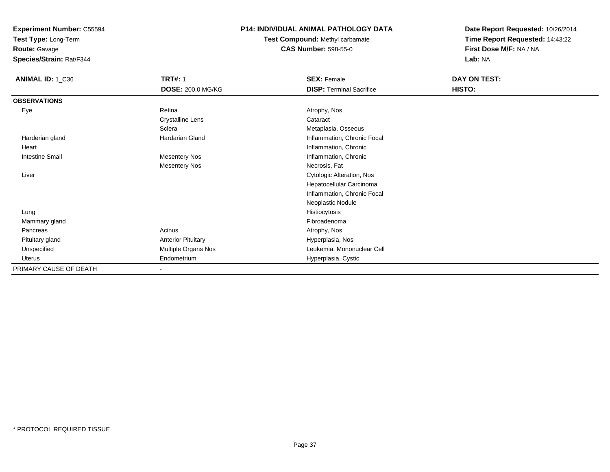**Test Type:** Long-Term

**Route:** Gavage

**Species/Strain:** Rat/F344

## **P14: INDIVIDUAL ANIMAL PATHOLOGY DATA**

**Test Compound:** Methyl carbamate**CAS Number:** 598-55-0

| ANIMAL ID: 1_C36       | <b>TRT#: 1</b>            | <b>SEX: Female</b>              | DAY ON TEST: |
|------------------------|---------------------------|---------------------------------|--------------|
|                        | <b>DOSE: 200.0 MG/KG</b>  | <b>DISP: Terminal Sacrifice</b> | HISTO:       |
| <b>OBSERVATIONS</b>    |                           |                                 |              |
| Eye                    | Retina                    | Atrophy, Nos                    |              |
|                        | <b>Crystalline Lens</b>   | Cataract                        |              |
|                        | Sclera                    | Metaplasia, Osseous             |              |
| Harderian gland        | <b>Hardarian Gland</b>    | Inflammation, Chronic Focal     |              |
| Heart                  |                           | Inflammation, Chronic           |              |
| <b>Intestine Small</b> | <b>Mesentery Nos</b>      | Inflammation, Chronic           |              |
|                        | <b>Mesentery Nos</b>      | Necrosis, Fat                   |              |
| Liver                  |                           | Cytologic Alteration, Nos       |              |
|                        |                           | Hepatocellular Carcinoma        |              |
|                        |                           | Inflammation, Chronic Focal     |              |
|                        |                           | Neoplastic Nodule               |              |
| Lung                   |                           | Histiocytosis                   |              |
| Mammary gland          |                           | Fibroadenoma                    |              |
| Pancreas               | Acinus                    | Atrophy, Nos                    |              |
| Pituitary gland        | <b>Anterior Pituitary</b> | Hyperplasia, Nos                |              |
| Unspecified            | Multiple Organs Nos       | Leukemia, Mononuclear Cell      |              |
| Uterus                 | Endometrium               | Hyperplasia, Cystic             |              |
| PRIMARY CAUSE OF DEATH | $\overline{\phantom{0}}$  |                                 |              |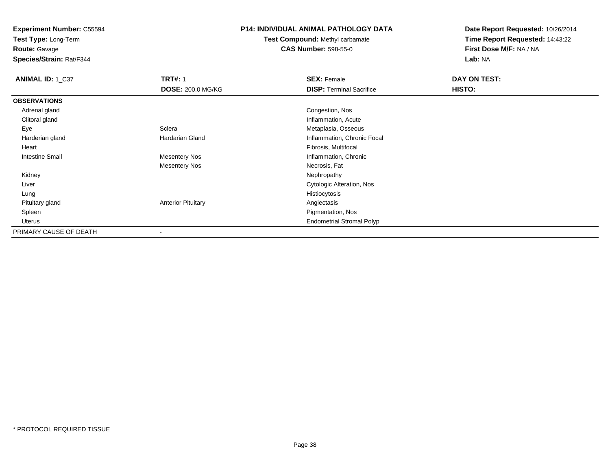**Test Type:** Long-Term

**Route:** Gavage

**Species/Strain:** Rat/F344

### **P14: INDIVIDUAL ANIMAL PATHOLOGY DATA**

# **Test Compound:** Methyl carbamate**CAS Number:** 598-55-0

| ANIMAL ID: 1_C37       | <b>TRT#: 1</b>            | <b>SEX: Female</b>               | DAY ON TEST: |  |
|------------------------|---------------------------|----------------------------------|--------------|--|
|                        | <b>DOSE: 200.0 MG/KG</b>  | <b>DISP: Terminal Sacrifice</b>  | HISTO:       |  |
| <b>OBSERVATIONS</b>    |                           |                                  |              |  |
| Adrenal gland          |                           | Congestion, Nos                  |              |  |
| Clitoral gland         |                           | Inflammation, Acute              |              |  |
| Eye                    | Sclera                    | Metaplasia, Osseous              |              |  |
| Harderian gland        | Hardarian Gland           | Inflammation, Chronic Focal      |              |  |
| Heart                  |                           | Fibrosis, Multifocal             |              |  |
| <b>Intestine Small</b> | <b>Mesentery Nos</b>      | Inflammation, Chronic            |              |  |
|                        | <b>Mesentery Nos</b>      | Necrosis, Fat                    |              |  |
| Kidney                 |                           | Nephropathy                      |              |  |
| Liver                  |                           | <b>Cytologic Alteration, Nos</b> |              |  |
| Lung                   |                           | Histiocytosis                    |              |  |
| Pituitary gland        | <b>Anterior Pituitary</b> | Angiectasis                      |              |  |
| Spleen                 |                           | Pigmentation, Nos                |              |  |
| Uterus                 |                           | <b>Endometrial Stromal Polyp</b> |              |  |
| PRIMARY CAUSE OF DEATH |                           |                                  |              |  |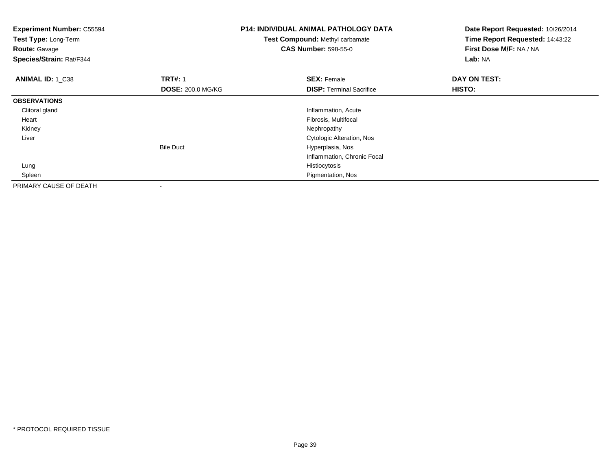| <b>Experiment Number: C55594</b><br>Test Type: Long-Term<br><b>Route: Gavage</b><br>Species/Strain: Rat/F344 |                          | <b>P14: INDIVIDUAL ANIMAL PATHOLOGY DATA</b><br><b>Test Compound: Methyl carbamate</b><br><b>CAS Number: 598-55-0</b> | Date Report Requested: 10/26/2014<br>Time Report Requested: 14:43:22<br>First Dose M/F: NA / NA<br>Lab: NA |
|--------------------------------------------------------------------------------------------------------------|--------------------------|-----------------------------------------------------------------------------------------------------------------------|------------------------------------------------------------------------------------------------------------|
| <b>ANIMAL ID: 1 C38</b>                                                                                      | <b>TRT#: 1</b>           | <b>SEX: Female</b>                                                                                                    | DAY ON TEST:                                                                                               |
|                                                                                                              | <b>DOSE: 200.0 MG/KG</b> | <b>DISP:</b> Terminal Sacrifice                                                                                       | HISTO:                                                                                                     |
| <b>OBSERVATIONS</b>                                                                                          |                          |                                                                                                                       |                                                                                                            |
| Clitoral gland                                                                                               |                          | Inflammation, Acute                                                                                                   |                                                                                                            |
| Heart                                                                                                        |                          | Fibrosis, Multifocal                                                                                                  |                                                                                                            |
| Kidney                                                                                                       |                          | Nephropathy                                                                                                           |                                                                                                            |
| Liver                                                                                                        |                          | Cytologic Alteration, Nos                                                                                             |                                                                                                            |
|                                                                                                              | <b>Bile Duct</b>         | Hyperplasia, Nos                                                                                                      |                                                                                                            |
|                                                                                                              |                          | Inflammation, Chronic Focal                                                                                           |                                                                                                            |
| Lung                                                                                                         |                          | Histiocytosis                                                                                                         |                                                                                                            |
| Spleen                                                                                                       |                          | Pigmentation, Nos                                                                                                     |                                                                                                            |
| PRIMARY CAUSE OF DEATH                                                                                       |                          |                                                                                                                       |                                                                                                            |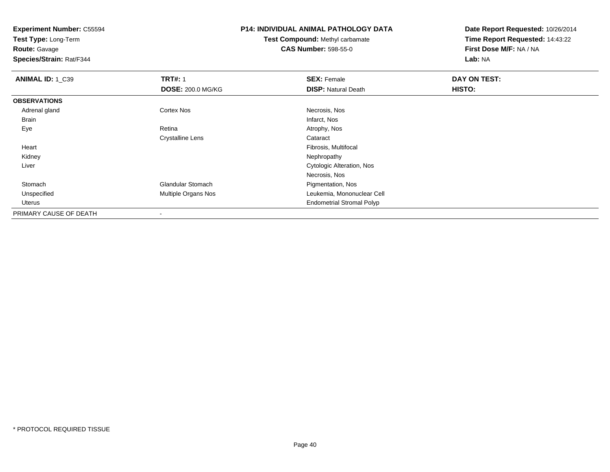**Test Type:** Long-Term

**Route:** Gavage

**Species/Strain:** Rat/F344

## **P14: INDIVIDUAL ANIMAL PATHOLOGY DATA**

**Test Compound:** Methyl carbamate**CAS Number:** 598-55-0

| ANIMAL ID: 1_C39       | <b>TRT#: 1</b>           | <b>SEX: Female</b>               | DAY ON TEST:  |  |
|------------------------|--------------------------|----------------------------------|---------------|--|
|                        | <b>DOSE: 200.0 MG/KG</b> | <b>DISP: Natural Death</b>       | <b>HISTO:</b> |  |
| <b>OBSERVATIONS</b>    |                          |                                  |               |  |
| Adrenal gland          | Cortex Nos               | Necrosis, Nos                    |               |  |
| <b>Brain</b>           |                          | Infarct, Nos                     |               |  |
| Eye                    | Retina                   | Atrophy, Nos                     |               |  |
|                        | <b>Crystalline Lens</b>  | Cataract                         |               |  |
| Heart                  |                          | Fibrosis, Multifocal             |               |  |
| Kidney                 |                          | Nephropathy                      |               |  |
| Liver                  |                          | Cytologic Alteration, Nos        |               |  |
|                        |                          | Necrosis, Nos                    |               |  |
| Stomach                | <b>Glandular Stomach</b> | Pigmentation, Nos                |               |  |
| Unspecified            | Multiple Organs Nos      | Leukemia, Mononuclear Cell       |               |  |
| Uterus                 |                          | <b>Endometrial Stromal Polyp</b> |               |  |
| PRIMARY CAUSE OF DEATH | $\blacksquare$           |                                  |               |  |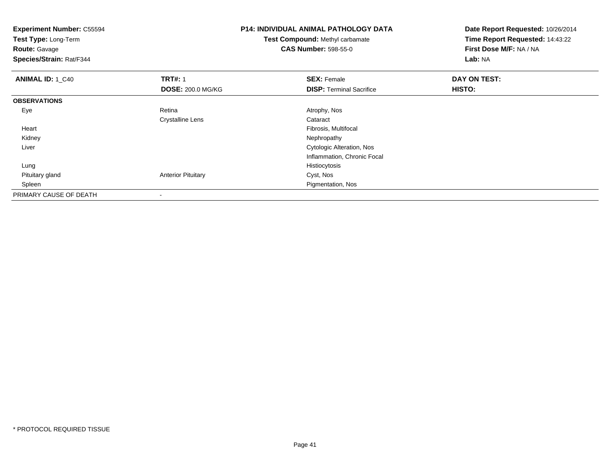| <b>Experiment Number: C55594</b><br>Test Type: Long-Term<br><b>Route: Gavage</b><br>Species/Strain: Rat/F344 |                           | <b>P14: INDIVIDUAL ANIMAL PATHOLOGY DATA</b><br><b>Test Compound: Methyl carbamate</b><br><b>CAS Number: 598-55-0</b> | Date Report Requested: 10/26/2014<br>Time Report Requested: 14:43:22<br>First Dose M/F: NA / NA<br>Lab: NA |  |
|--------------------------------------------------------------------------------------------------------------|---------------------------|-----------------------------------------------------------------------------------------------------------------------|------------------------------------------------------------------------------------------------------------|--|
| <b>ANIMAL ID: 1 C40</b>                                                                                      | <b>TRT#: 1</b>            | <b>SEX: Female</b>                                                                                                    | DAY ON TEST:                                                                                               |  |
|                                                                                                              | <b>DOSE: 200.0 MG/KG</b>  | <b>DISP: Terminal Sacrifice</b>                                                                                       | <b>HISTO:</b>                                                                                              |  |
| <b>OBSERVATIONS</b>                                                                                          |                           |                                                                                                                       |                                                                                                            |  |
| Eye                                                                                                          | Retina                    | Atrophy, Nos                                                                                                          |                                                                                                            |  |
|                                                                                                              | <b>Crystalline Lens</b>   | Cataract                                                                                                              |                                                                                                            |  |
| Heart                                                                                                        |                           | Fibrosis, Multifocal                                                                                                  |                                                                                                            |  |
| Kidney                                                                                                       |                           | Nephropathy                                                                                                           |                                                                                                            |  |
| Liver                                                                                                        |                           | Cytologic Alteration, Nos                                                                                             |                                                                                                            |  |
|                                                                                                              |                           | Inflammation, Chronic Focal                                                                                           |                                                                                                            |  |
| Lung                                                                                                         |                           | Histiocytosis                                                                                                         |                                                                                                            |  |
| Pituitary gland                                                                                              | <b>Anterior Pituitary</b> | Cyst, Nos                                                                                                             |                                                                                                            |  |
| Spleen                                                                                                       |                           | Pigmentation, Nos                                                                                                     |                                                                                                            |  |
| PRIMARY CAUSE OF DEATH                                                                                       |                           |                                                                                                                       |                                                                                                            |  |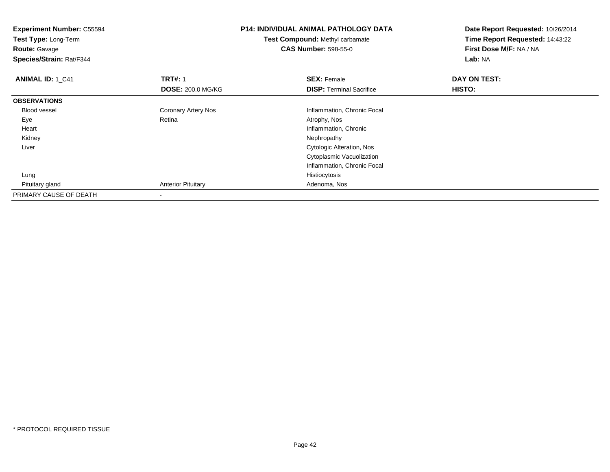| <b>Experiment Number: C55594</b><br><b>Test Type: Long-Term</b><br><b>Route: Gavage</b><br>Species/Strain: Rat/F344 |                           | <b>P14: INDIVIDUAL ANIMAL PATHOLOGY DATA</b><br><b>Test Compound: Methyl carbamate</b><br><b>CAS Number: 598-55-0</b> | Date Report Requested: 10/26/2014<br>Time Report Requested: 14:43:22<br>First Dose M/F: NA / NA<br>Lab: NA |  |
|---------------------------------------------------------------------------------------------------------------------|---------------------------|-----------------------------------------------------------------------------------------------------------------------|------------------------------------------------------------------------------------------------------------|--|
| <b>ANIMAL ID: 1_C41</b>                                                                                             | <b>TRT#: 1</b>            | <b>SEX: Female</b>                                                                                                    | DAY ON TEST:                                                                                               |  |
|                                                                                                                     | <b>DOSE: 200.0 MG/KG</b>  | <b>DISP:</b> Terminal Sacrifice                                                                                       | <b>HISTO:</b>                                                                                              |  |
| <b>OBSERVATIONS</b>                                                                                                 |                           |                                                                                                                       |                                                                                                            |  |
| <b>Blood vessel</b>                                                                                                 | Coronary Artery Nos       | Inflammation, Chronic Focal                                                                                           |                                                                                                            |  |
| Eye                                                                                                                 | Retina                    | Atrophy, Nos                                                                                                          |                                                                                                            |  |
| Heart                                                                                                               |                           | Inflammation, Chronic                                                                                                 |                                                                                                            |  |
| Kidney                                                                                                              |                           | Nephropathy                                                                                                           |                                                                                                            |  |
| Liver                                                                                                               |                           | Cytologic Alteration, Nos                                                                                             |                                                                                                            |  |
|                                                                                                                     |                           | Cytoplasmic Vacuolization                                                                                             |                                                                                                            |  |
|                                                                                                                     |                           | Inflammation, Chronic Focal                                                                                           |                                                                                                            |  |
| Lung                                                                                                                |                           | Histiocytosis                                                                                                         |                                                                                                            |  |
| Pituitary gland                                                                                                     | <b>Anterior Pituitary</b> | Adenoma, Nos                                                                                                          |                                                                                                            |  |
| PRIMARY CAUSE OF DEATH                                                                                              |                           |                                                                                                                       |                                                                                                            |  |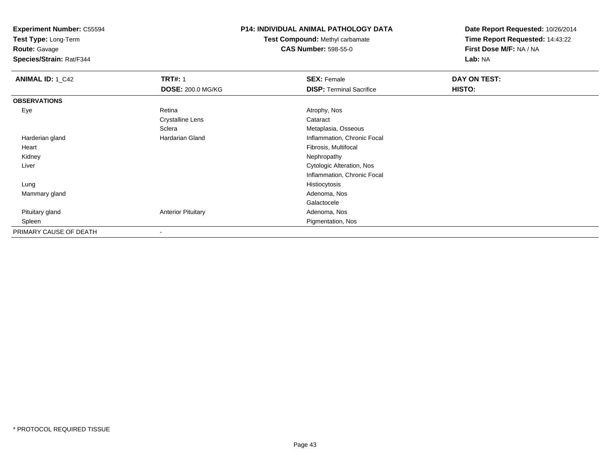**Test Type:** Long-Term

**Route:** Gavage

**Species/Strain:** Rat/F344

### **P14: INDIVIDUAL ANIMAL PATHOLOGY DATA**

**Test Compound:** Methyl carbamate**CAS Number:** 598-55-0

| <b>ANIMAL ID: 1_C42</b> | <b>TRT#: 1</b>            | <b>SEX: Female</b>              | DAY ON TEST: |  |
|-------------------------|---------------------------|---------------------------------|--------------|--|
|                         | <b>DOSE: 200.0 MG/KG</b>  | <b>DISP: Terminal Sacrifice</b> | HISTO:       |  |
| <b>OBSERVATIONS</b>     |                           |                                 |              |  |
| Eye                     | Retina                    | Atrophy, Nos                    |              |  |
|                         | <b>Crystalline Lens</b>   | Cataract                        |              |  |
|                         | Sclera                    | Metaplasia, Osseous             |              |  |
| Harderian gland         | <b>Hardarian Gland</b>    | Inflammation, Chronic Focal     |              |  |
| Heart                   |                           | Fibrosis, Multifocal            |              |  |
| Kidney                  |                           | Nephropathy                     |              |  |
| Liver                   |                           | Cytologic Alteration, Nos       |              |  |
|                         |                           | Inflammation, Chronic Focal     |              |  |
| Lung                    |                           | Histiocytosis                   |              |  |
| Mammary gland           |                           | Adenoma, Nos                    |              |  |
|                         |                           | Galactocele                     |              |  |
| Pituitary gland         | <b>Anterior Pituitary</b> | Adenoma, Nos                    |              |  |
| Spleen                  |                           | Pigmentation, Nos               |              |  |
| PRIMARY CAUSE OF DEATH  | $\overline{\phantom{a}}$  |                                 |              |  |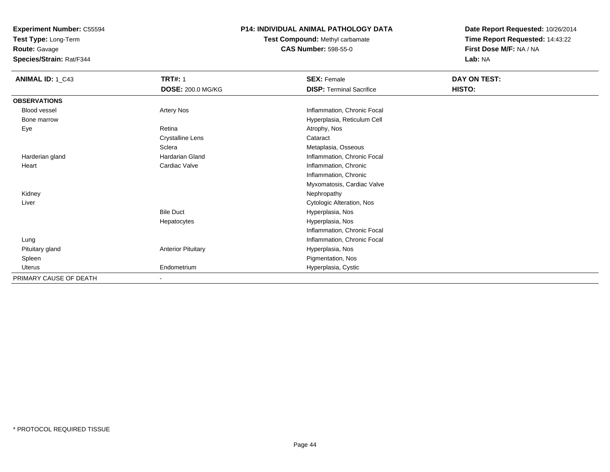**Test Type:** Long-Term

**Route:** Gavage

**Species/Strain:** Rat/F344

## **P14: INDIVIDUAL ANIMAL PATHOLOGY DATA**

**Test Compound:** Methyl carbamate**CAS Number:** 598-55-0

| ANIMAL ID: 1_C43       | <b>TRT#: 1</b><br><b>DOSE: 200.0 MG/KG</b> | <b>SEX: Female</b><br><b>DISP: Terminal Sacrifice</b> | DAY ON TEST:<br>HISTO: |
|------------------------|--------------------------------------------|-------------------------------------------------------|------------------------|
| <b>OBSERVATIONS</b>    |                                            |                                                       |                        |
| <b>Blood vessel</b>    | Artery Nos                                 | Inflammation, Chronic Focal                           |                        |
| Bone marrow            |                                            | Hyperplasia, Reticulum Cell                           |                        |
| Eye                    | Retina                                     | Atrophy, Nos                                          |                        |
|                        | <b>Crystalline Lens</b>                    | Cataract                                              |                        |
|                        | Sclera                                     | Metaplasia, Osseous                                   |                        |
| Harderian gland        | Hardarian Gland                            | Inflammation, Chronic Focal                           |                        |
| Heart                  | Cardiac Valve                              | Inflammation, Chronic                                 |                        |
|                        |                                            | Inflammation, Chronic                                 |                        |
|                        |                                            | Myxomatosis, Cardiac Valve                            |                        |
| Kidney                 |                                            | Nephropathy                                           |                        |
| Liver                  |                                            | <b>Cytologic Alteration, Nos</b>                      |                        |
|                        | <b>Bile Duct</b>                           | Hyperplasia, Nos                                      |                        |
|                        | Hepatocytes                                | Hyperplasia, Nos                                      |                        |
|                        |                                            | Inflammation, Chronic Focal                           |                        |
| Lung                   |                                            | Inflammation, Chronic Focal                           |                        |
| Pituitary gland        | <b>Anterior Pituitary</b>                  | Hyperplasia, Nos                                      |                        |
| Spleen                 |                                            | Pigmentation, Nos                                     |                        |
| Uterus                 | Endometrium                                | Hyperplasia, Cystic                                   |                        |
| PRIMARY CAUSE OF DEATH | $\blacksquare$                             |                                                       |                        |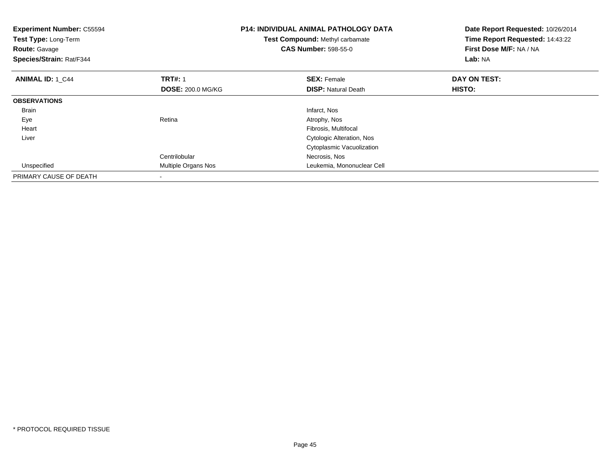| <b>Experiment Number: C55594</b><br>Test Type: Long-Term<br><b>Route: Gavage</b><br>Species/Strain: Rat/F344 |                          | <b>P14: INDIVIDUAL ANIMAL PATHOLOGY DATA</b><br>Test Compound: Methyl carbamate<br><b>CAS Number: 598-55-0</b> | Date Report Requested: 10/26/2014<br>Time Report Requested: 14:43:22<br>First Dose M/F: NA / NA<br>Lab: NA |
|--------------------------------------------------------------------------------------------------------------|--------------------------|----------------------------------------------------------------------------------------------------------------|------------------------------------------------------------------------------------------------------------|
| <b>ANIMAL ID: 1 C44</b>                                                                                      | <b>TRT#: 1</b>           | <b>SEX: Female</b>                                                                                             | DAY ON TEST:                                                                                               |
|                                                                                                              | <b>DOSE: 200.0 MG/KG</b> | <b>DISP:</b> Natural Death                                                                                     | HISTO:                                                                                                     |
| <b>OBSERVATIONS</b>                                                                                          |                          |                                                                                                                |                                                                                                            |
| <b>Brain</b>                                                                                                 |                          | Infarct, Nos                                                                                                   |                                                                                                            |
| Eye                                                                                                          | Retina                   | Atrophy, Nos                                                                                                   |                                                                                                            |
| Heart                                                                                                        |                          | Fibrosis, Multifocal                                                                                           |                                                                                                            |
| Liver                                                                                                        |                          | Cytologic Alteration, Nos                                                                                      |                                                                                                            |
|                                                                                                              |                          | Cytoplasmic Vacuolization                                                                                      |                                                                                                            |
|                                                                                                              | Centrilobular            | Necrosis, Nos                                                                                                  |                                                                                                            |
| Unspecified                                                                                                  | Multiple Organs Nos      | Leukemia, Mononuclear Cell                                                                                     |                                                                                                            |
| PRIMARY CAUSE OF DEATH                                                                                       |                          |                                                                                                                |                                                                                                            |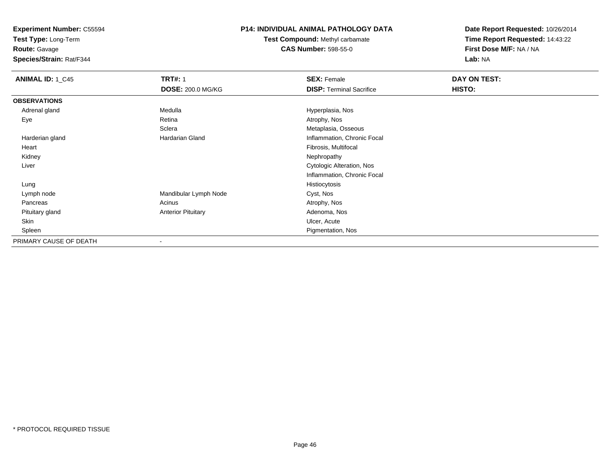**Test Type:** Long-Term

**Route:** Gavage

**Species/Strain:** Rat/F344

## **P14: INDIVIDUAL ANIMAL PATHOLOGY DATA**

**Test Compound:** Methyl carbamate**CAS Number:** 598-55-0

| <b>ANIMAL ID: 1_C45</b> | <b>TRT#: 1</b>            | <b>SEX: Female</b>              | DAY ON TEST: |  |
|-------------------------|---------------------------|---------------------------------|--------------|--|
|                         | <b>DOSE: 200.0 MG/KG</b>  | <b>DISP: Terminal Sacrifice</b> | HISTO:       |  |
| <b>OBSERVATIONS</b>     |                           |                                 |              |  |
| Adrenal gland           | Medulla                   | Hyperplasia, Nos                |              |  |
| Eye                     | Retina                    | Atrophy, Nos                    |              |  |
|                         | Sclera                    | Metaplasia, Osseous             |              |  |
| Harderian gland         | Hardarian Gland           | Inflammation, Chronic Focal     |              |  |
| Heart                   |                           | Fibrosis, Multifocal            |              |  |
| Kidney                  |                           | Nephropathy                     |              |  |
| Liver                   |                           | Cytologic Alteration, Nos       |              |  |
|                         |                           | Inflammation, Chronic Focal     |              |  |
| Lung                    |                           | Histiocytosis                   |              |  |
| Lymph node              | Mandibular Lymph Node     | Cyst, Nos                       |              |  |
| Pancreas                | Acinus                    | Atrophy, Nos                    |              |  |
| Pituitary gland         | <b>Anterior Pituitary</b> | Adenoma, Nos                    |              |  |
| Skin                    |                           | Ulcer, Acute                    |              |  |
| Spleen                  |                           | Pigmentation, Nos               |              |  |
| PRIMARY CAUSE OF DEATH  | $\overline{\phantom{a}}$  |                                 |              |  |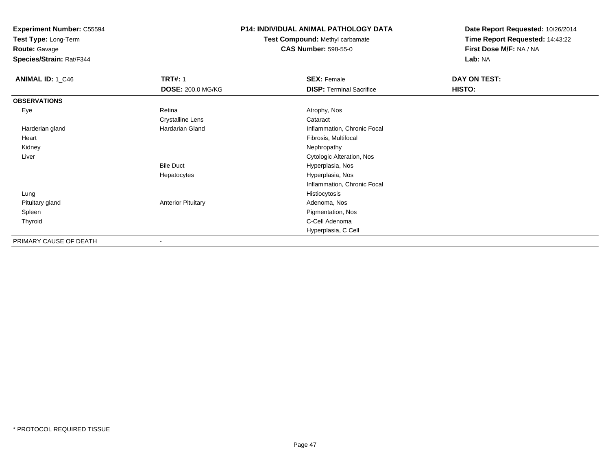**Test Type:** Long-Term

**Route:** Gavage

**Species/Strain:** Rat/F344

## **P14: INDIVIDUAL ANIMAL PATHOLOGY DATA**

**Test Compound:** Methyl carbamate**CAS Number:** 598-55-0

| <b>ANIMAL ID: 1_C46</b> | <b>TRT#: 1</b>            | <b>SEX: Female</b>              | DAY ON TEST: |  |
|-------------------------|---------------------------|---------------------------------|--------------|--|
|                         | <b>DOSE: 200.0 MG/KG</b>  | <b>DISP: Terminal Sacrifice</b> | HISTO:       |  |
| <b>OBSERVATIONS</b>     |                           |                                 |              |  |
| Eye                     | Retina                    | Atrophy, Nos                    |              |  |
|                         | <b>Crystalline Lens</b>   | Cataract                        |              |  |
| Harderian gland         | <b>Hardarian Gland</b>    | Inflammation, Chronic Focal     |              |  |
| Heart                   |                           | Fibrosis, Multifocal            |              |  |
| Kidney                  |                           | Nephropathy                     |              |  |
| Liver                   |                           | Cytologic Alteration, Nos       |              |  |
|                         | <b>Bile Duct</b>          | Hyperplasia, Nos                |              |  |
|                         | Hepatocytes               | Hyperplasia, Nos                |              |  |
|                         |                           | Inflammation, Chronic Focal     |              |  |
| Lung                    |                           | Histiocytosis                   |              |  |
| Pituitary gland         | <b>Anterior Pituitary</b> | Adenoma, Nos                    |              |  |
| Spleen                  |                           | Pigmentation, Nos               |              |  |
| Thyroid                 |                           | C-Cell Adenoma                  |              |  |
|                         |                           | Hyperplasia, C Cell             |              |  |
| PRIMARY CAUSE OF DEATH  | $\overline{\phantom{a}}$  |                                 |              |  |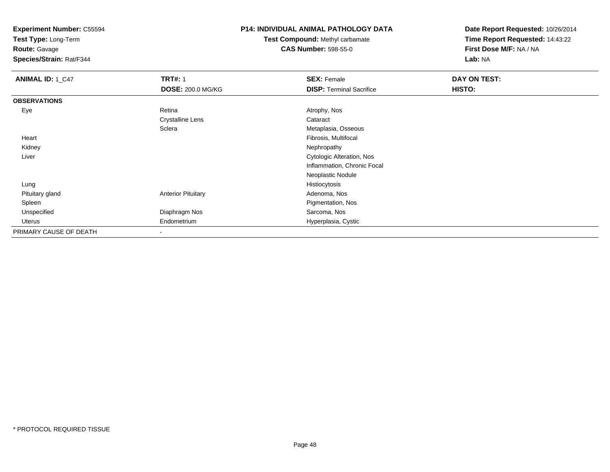**Test Type:** Long-Term

**Route:** Gavage

**Species/Strain:** Rat/F344

### **P14: INDIVIDUAL ANIMAL PATHOLOGY DATA**

**Test Compound:** Methyl carbamate**CAS Number:** 598-55-0

| <b>ANIMAL ID: 1_C47</b> | <b>TRT#: 1</b>            | <b>SEX: Female</b>               | DAY ON TEST: |  |
|-------------------------|---------------------------|----------------------------------|--------------|--|
|                         | <b>DOSE: 200.0 MG/KG</b>  | <b>DISP: Terminal Sacrifice</b>  | HISTO:       |  |
| <b>OBSERVATIONS</b>     |                           |                                  |              |  |
| Eye                     | Retina                    | Atrophy, Nos                     |              |  |
|                         | <b>Crystalline Lens</b>   | Cataract                         |              |  |
|                         | Sclera                    | Metaplasia, Osseous              |              |  |
| Heart                   |                           | Fibrosis, Multifocal             |              |  |
| Kidney                  |                           | Nephropathy                      |              |  |
| Liver                   |                           | <b>Cytologic Alteration, Nos</b> |              |  |
|                         |                           | Inflammation, Chronic Focal      |              |  |
|                         |                           | Neoplastic Nodule                |              |  |
| Lung                    |                           | Histiocytosis                    |              |  |
| Pituitary gland         | <b>Anterior Pituitary</b> | Adenoma, Nos                     |              |  |
| Spleen                  |                           | Pigmentation, Nos                |              |  |
| Unspecified             | Diaphragm Nos             | Sarcoma, Nos                     |              |  |
| Uterus                  | Endometrium               | Hyperplasia, Cystic              |              |  |
| PRIMARY CAUSE OF DEATH  |                           |                                  |              |  |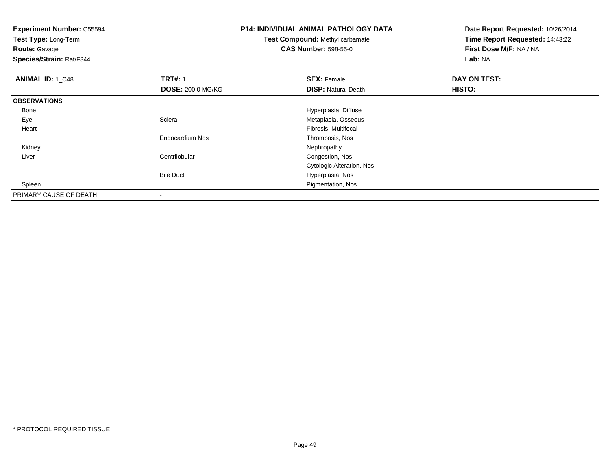**Test Type:** Long-Term

**Route:** Gavage

**Species/Strain:** Rat/F344

# **P14: INDIVIDUAL ANIMAL PATHOLOGY DATA**

# **Test Compound:** Methyl carbamate**CAS Number:** 598-55-0

| <b>ANIMAL ID: 1 C48</b> | <b>TRT#: 1</b>           | <b>SEX: Female</b>         | DAY ON TEST: |  |
|-------------------------|--------------------------|----------------------------|--------------|--|
|                         | <b>DOSE: 200.0 MG/KG</b> | <b>DISP: Natural Death</b> | HISTO:       |  |
| <b>OBSERVATIONS</b>     |                          |                            |              |  |
| Bone                    |                          | Hyperplasia, Diffuse       |              |  |
| Eye                     | Sclera                   | Metaplasia, Osseous        |              |  |
| Heart                   |                          | Fibrosis, Multifocal       |              |  |
|                         | <b>Endocardium Nos</b>   | Thrombosis, Nos            |              |  |
| Kidney                  |                          | Nephropathy                |              |  |
| Liver                   | Centrilobular            | Congestion, Nos            |              |  |
|                         |                          | Cytologic Alteration, Nos  |              |  |
|                         | <b>Bile Duct</b>         | Hyperplasia, Nos           |              |  |
| Spleen                  |                          | Pigmentation, Nos          |              |  |
| PRIMARY CAUSE OF DEATH  | $\overline{\phantom{a}}$ |                            |              |  |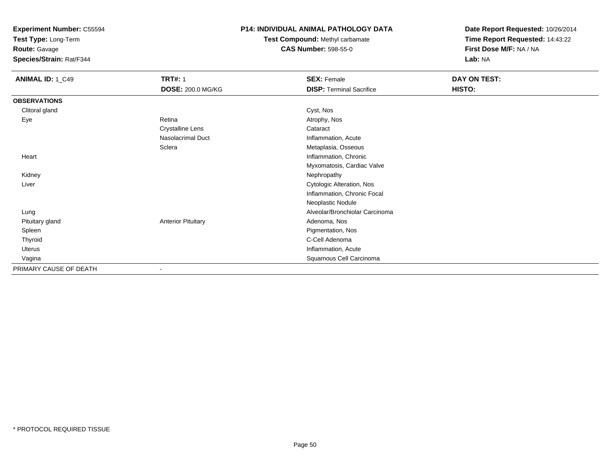**Test Type:** Long-Term

**Route:** Gavage

**Species/Strain:** Rat/F344

### **P14: INDIVIDUAL ANIMAL PATHOLOGY DATA**

**Test Compound:** Methyl carbamate**CAS Number:** 598-55-0

| <b>ANIMAL ID: 1_C49</b> | <b>TRT#: 1</b>            | <b>SEX: Female</b>               | DAY ON TEST: |  |
|-------------------------|---------------------------|----------------------------------|--------------|--|
|                         | DOSE: 200.0 MG/KG         | <b>DISP: Terminal Sacrifice</b>  | HISTO:       |  |
| <b>OBSERVATIONS</b>     |                           |                                  |              |  |
| Clitoral gland          |                           | Cyst, Nos                        |              |  |
| Eye                     | Retina                    | Atrophy, Nos                     |              |  |
|                         | <b>Crystalline Lens</b>   | Cataract                         |              |  |
|                         | Nasolacrimal Duct         | Inflammation, Acute              |              |  |
|                         | Sclera                    | Metaplasia, Osseous              |              |  |
| Heart                   |                           | Inflammation, Chronic            |              |  |
|                         |                           | Myxomatosis, Cardiac Valve       |              |  |
| Kidney                  |                           | Nephropathy                      |              |  |
| Liver                   |                           | <b>Cytologic Alteration, Nos</b> |              |  |
|                         |                           | Inflammation, Chronic Focal      |              |  |
|                         |                           | Neoplastic Nodule                |              |  |
| Lung                    |                           | Alveolar/Bronchiolar Carcinoma   |              |  |
| Pituitary gland         | <b>Anterior Pituitary</b> | Adenoma, Nos                     |              |  |
| Spleen                  |                           | Pigmentation, Nos                |              |  |
| Thyroid                 |                           | C-Cell Adenoma                   |              |  |
| Uterus                  |                           | Inflammation, Acute              |              |  |
| Vagina                  |                           | Squamous Cell Carcinoma          |              |  |
| PRIMARY CAUSE OF DEATH  |                           |                                  |              |  |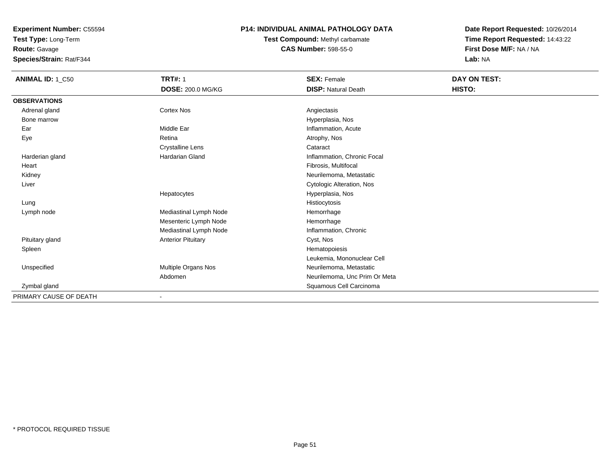**Test Type:** Long-Term

**Route:** Gavage

**Species/Strain:** Rat/F344

## **P14: INDIVIDUAL ANIMAL PATHOLOGY DATA**

**Test Compound:** Methyl carbamate**CAS Number:** 598-55-0

| <b>ANIMAL ID: 1_C50</b> | <b>TRT#: 1</b>            | <b>SEX: Female</b>            | DAY ON TEST: |
|-------------------------|---------------------------|-------------------------------|--------------|
|                         | <b>DOSE: 200.0 MG/KG</b>  | <b>DISP: Natural Death</b>    | HISTO:       |
| <b>OBSERVATIONS</b>     |                           |                               |              |
| Adrenal gland           | <b>Cortex Nos</b>         | Angiectasis                   |              |
| Bone marrow             |                           | Hyperplasia, Nos              |              |
| Ear                     | Middle Ear                | Inflammation, Acute           |              |
| Eye                     | Retina                    | Atrophy, Nos                  |              |
|                         | <b>Crystalline Lens</b>   | Cataract                      |              |
| Harderian gland         | Hardarian Gland           | Inflammation, Chronic Focal   |              |
| Heart                   |                           | Fibrosis, Multifocal          |              |
| Kidney                  |                           | Neurilemoma, Metastatic       |              |
| Liver                   |                           | Cytologic Alteration, Nos     |              |
|                         | Hepatocytes               | Hyperplasia, Nos              |              |
| Lung                    |                           | Histiocytosis                 |              |
| Lymph node              | Mediastinal Lymph Node    | Hemorrhage                    |              |
|                         | Mesenteric Lymph Node     | Hemorrhage                    |              |
|                         | Mediastinal Lymph Node    | Inflammation, Chronic         |              |
| Pituitary gland         | <b>Anterior Pituitary</b> | Cyst, Nos                     |              |
| Spleen                  |                           | Hematopoiesis                 |              |
|                         |                           | Leukemia, Mononuclear Cell    |              |
| Unspecified             | Multiple Organs Nos       | Neurilemoma, Metastatic       |              |
|                         | Abdomen                   | Neurilemoma, Unc Prim Or Meta |              |
| Zymbal gland            |                           | Squamous Cell Carcinoma       |              |
| PRIMARY CAUSE OF DEATH  |                           |                               |              |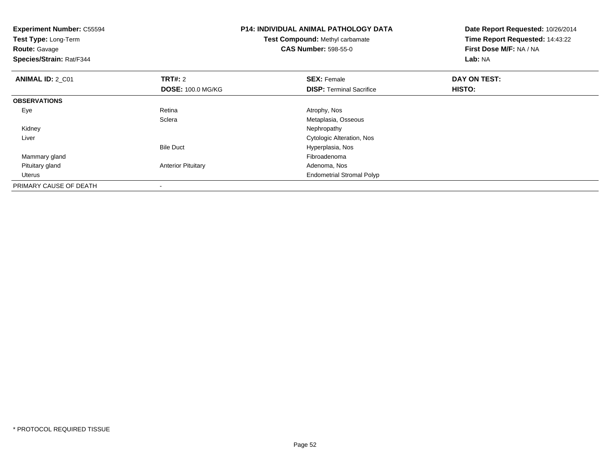| <b>Experiment Number: C55594</b><br>Test Type: Long-Term<br><b>Route: Gavage</b><br>Species/Strain: Rat/F344 |                           | <b>P14: INDIVIDUAL ANIMAL PATHOLOGY DATA</b><br>Test Compound: Methyl carbamate<br><b>CAS Number: 598-55-0</b> | Date Report Requested: 10/26/2014<br>Time Report Requested: 14:43:22<br>First Dose M/F: NA / NA<br>Lab: NA |
|--------------------------------------------------------------------------------------------------------------|---------------------------|----------------------------------------------------------------------------------------------------------------|------------------------------------------------------------------------------------------------------------|
| <b>ANIMAL ID: 2_C01</b>                                                                                      | <b>TRT#: 2</b>            | <b>SEX: Female</b>                                                                                             | DAY ON TEST:                                                                                               |
|                                                                                                              | <b>DOSE: 100.0 MG/KG</b>  | <b>DISP: Terminal Sacrifice</b>                                                                                | HISTO:                                                                                                     |
| <b>OBSERVATIONS</b>                                                                                          |                           |                                                                                                                |                                                                                                            |
| Eye                                                                                                          | Retina                    | Atrophy, Nos                                                                                                   |                                                                                                            |
|                                                                                                              | Sclera                    | Metaplasia, Osseous                                                                                            |                                                                                                            |
| Kidney                                                                                                       |                           | Nephropathy                                                                                                    |                                                                                                            |
| Liver                                                                                                        |                           | Cytologic Alteration, Nos                                                                                      |                                                                                                            |
|                                                                                                              | <b>Bile Duct</b>          | Hyperplasia, Nos                                                                                               |                                                                                                            |
| Mammary gland                                                                                                |                           | Fibroadenoma                                                                                                   |                                                                                                            |
| Pituitary gland                                                                                              | <b>Anterior Pituitary</b> | Adenoma, Nos                                                                                                   |                                                                                                            |
| Uterus                                                                                                       |                           | <b>Endometrial Stromal Polyp</b>                                                                               |                                                                                                            |
| PRIMARY CAUSE OF DEATH                                                                                       |                           |                                                                                                                |                                                                                                            |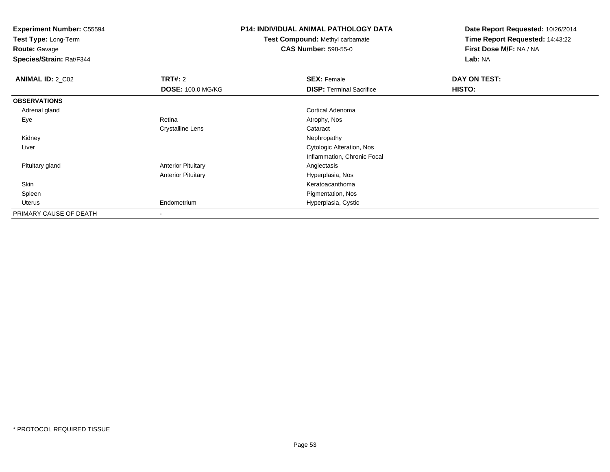**Test Type:** Long-Term

**Route:** Gavage

**Species/Strain:** Rat/F344

## **P14: INDIVIDUAL ANIMAL PATHOLOGY DATA**

**Test Compound:** Methyl carbamate**CAS Number:** 598-55-0

| <b>ANIMAL ID: 2_C02</b> | <b>TRT#: 2</b>            | <b>SEX: Female</b>              | DAY ON TEST:  |  |
|-------------------------|---------------------------|---------------------------------|---------------|--|
|                         | <b>DOSE: 100.0 MG/KG</b>  | <b>DISP: Terminal Sacrifice</b> | <b>HISTO:</b> |  |
| <b>OBSERVATIONS</b>     |                           |                                 |               |  |
| Adrenal gland           |                           | Cortical Adenoma                |               |  |
| Eye                     | Retina                    | Atrophy, Nos                    |               |  |
|                         | <b>Crystalline Lens</b>   | Cataract                        |               |  |
| Kidney                  |                           | Nephropathy                     |               |  |
| Liver                   |                           | Cytologic Alteration, Nos       |               |  |
|                         |                           | Inflammation, Chronic Focal     |               |  |
| Pituitary gland         | <b>Anterior Pituitary</b> | Angiectasis                     |               |  |
|                         | <b>Anterior Pituitary</b> | Hyperplasia, Nos                |               |  |
| Skin                    |                           | Keratoacanthoma                 |               |  |
| Spleen                  |                           | Pigmentation, Nos               |               |  |
| Uterus                  | Endometrium               | Hyperplasia, Cystic             |               |  |
| PRIMARY CAUSE OF DEATH  |                           |                                 |               |  |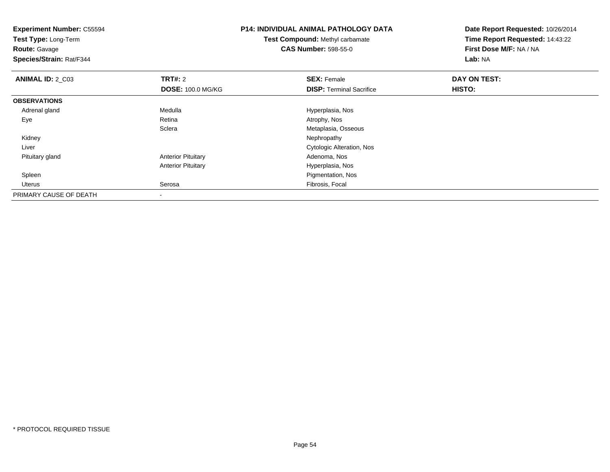**Experiment Number:** C55594**Test Type:** Long-Term**Route:** Gavage **Species/Strain:** Rat/F344**P14: INDIVIDUAL ANIMAL PATHOLOGY DATATest Compound:** Methyl carbamate**CAS Number:** 598-55-0**Date Report Requested:** 10/26/2014**Time Report Requested:** 14:43:22**First Dose M/F:** NA / NA**Lab:** NA**ANIMAL ID: 2 C03 TRT#:** 2 **SEX:** Female **DAY ON TEST: DOSE:** 100.0 MG/KG**DISP:** Terminal Sacrifice **HISTO: OBSERVATIONS** Adrenal glandMedulla Medulla Hyperplasia, Nos<br>
Retina Medulla Atrophy, Nos Eyee and the contract of the Retina Atrophy, Nos and Atrophy, Nos and Atrophy, Nos and Atrophy, Nos and Atrophy, Nos **Sclera** Metaplasia, Osseous<br>Nephropathy Kidneyy the control of the control of the control of the control of the control of the control of the control of the control of the control of the control of the control of the control of the control of the control of the contro Liver Cytologic Alteration, Nos Pituitary glandAnterior Pituitary **Adenoma, Nos** Adenoma, Nos Anterior Pituitary Hyperplasia, Nos Spleen Pigmentation, Nos Uterus Serosa Fibrosis, Focal PRIMARY CAUSE OF DEATH-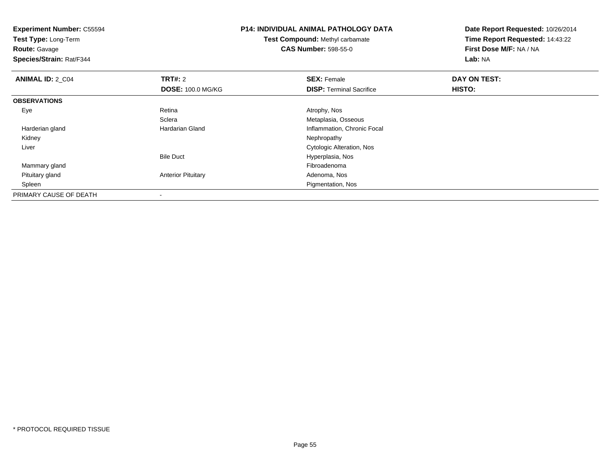**Experiment Number:** C55594**Test Type:** Long-Term**Route:** Gavage **Species/Strain:** Rat/F344**P14: INDIVIDUAL ANIMAL PATHOLOGY DATATest Compound:** Methyl carbamate**CAS Number:** 598-55-0**Date Report Requested:** 10/26/2014**Time Report Requested:** 14:43:22**First Dose M/F:** NA / NA**Lab:** NA**ANIMAL ID: 2 C04 TRT#:** 2 **SEX:** Female **DAY ON TEST: DOSE:** 100.0 MG/KG**DISP:** Terminal Sacrifice **HISTO: OBSERVATIONS** Eyee and the contract of the Retina Atrophy, Nos and Atrophy, Nos and Atrophy, Nos and Atrophy, Nos and Atrophy, Nos **Sclera** Sclera (Standard Collective Collection of Metaplasia, Osseous (Standard Collective Collective Collective Colle<br>
Metaplasian Gland<br>
Metaplasian Collective Collective Collective Collective Collective Collective Collective Co Harderian glandInflammation, Chronic Focal<br>Nephropathy Kidneyy the control of the control of the control of the control of the control of the control of the control of the control of the control of the control of the control of the control of the control of the control of the contro Liver Cytologic Alteration, NosBile Duct Hyperplasia, Nos Mammary glandd and the control of the control of the control of the control of the control of the control of the control of the control of the control of the control of the control of the control of the control of the control of the co Pituitary glandAnterior Pituitary **Adenoma, Nos** Adenoma, Nos Spleen Pigmentation, Nos PRIMARY CAUSE OF DEATH-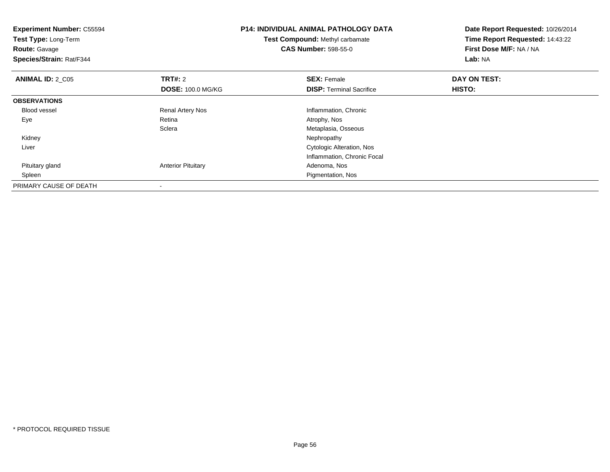| <b>Experiment Number: C55594</b><br>Test Type: Long-Term<br><b>Route: Gavage</b><br>Species/Strain: Rat/F344 |                           | <b>P14: INDIVIDUAL ANIMAL PATHOLOGY DATA</b><br>Test Compound: Methyl carbamate<br><b>CAS Number: 598-55-0</b> | Date Report Requested: 10/26/2014<br>Time Report Requested: 14:43:22<br>First Dose M/F: NA / NA<br>Lab: NA |
|--------------------------------------------------------------------------------------------------------------|---------------------------|----------------------------------------------------------------------------------------------------------------|------------------------------------------------------------------------------------------------------------|
| <b>ANIMAL ID: 2 C05</b>                                                                                      | <b>TRT#: 2</b>            | <b>SEX: Female</b>                                                                                             | DAY ON TEST:                                                                                               |
|                                                                                                              | <b>DOSE: 100.0 MG/KG</b>  | <b>DISP:</b> Terminal Sacrifice                                                                                | <b>HISTO:</b>                                                                                              |
| <b>OBSERVATIONS</b>                                                                                          |                           |                                                                                                                |                                                                                                            |
| <b>Blood vessel</b>                                                                                          | Renal Artery Nos          | Inflammation, Chronic                                                                                          |                                                                                                            |
| Eye                                                                                                          | Retina                    | Atrophy, Nos                                                                                                   |                                                                                                            |
|                                                                                                              | Sclera                    | Metaplasia, Osseous                                                                                            |                                                                                                            |
| Kidney                                                                                                       |                           | Nephropathy                                                                                                    |                                                                                                            |
| Liver                                                                                                        |                           | Cytologic Alteration, Nos                                                                                      |                                                                                                            |
|                                                                                                              |                           | Inflammation, Chronic Focal                                                                                    |                                                                                                            |
| Pituitary gland                                                                                              | <b>Anterior Pituitary</b> | Adenoma, Nos                                                                                                   |                                                                                                            |
| Spleen                                                                                                       |                           | Pigmentation, Nos                                                                                              |                                                                                                            |
| PRIMARY CAUSE OF DEATH                                                                                       | $\overline{\phantom{a}}$  |                                                                                                                |                                                                                                            |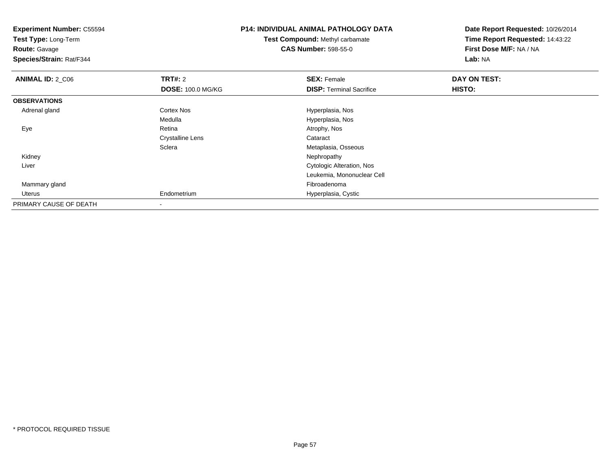**Experiment Number:** C55594**Test Type:** Long-Term**Route:** Gavage **Species/Strain:** Rat/F344**P14: INDIVIDUAL ANIMAL PATHOLOGY DATATest Compound:** Methyl carbamate**CAS Number:** 598-55-0**Date Report Requested:** 10/26/2014**Time Report Requested:** 14:43:22**First Dose M/F:** NA / NA**Lab:** NA**ANIMAL ID: 2 C06 6 DAY ON TRT#:** 2 **SEX:** Female **SEX:** Female **DOSE:** 100.0 MG/KG**DISP:** Terminal Sacrifice **HISTO: OBSERVATIONS** Adrenal glandCortex Nos **Exercise Serverse Exercise Serverse Exercise Serverse Exercise Serverse Exercise Serverse Exercise** MedullaMedulla Medulla entre el mercano de la españa Hyperplasia, Nos estados en la escrita de la escrita de la escrit<br>Atrophy, Nos Eyee and the contract of the Retina Atrophy, Nos and Atrophy, Nos and Atrophy, Nos and Atrophy, Nos and Atrophy, Nos Crystalline Lens Cataract **Sclera** Metaplasia, Osseous<br>Nephropathy Kidneyy the control of the control of the control of the control of the control of the control of the control of the control of the control of the control of the control of the control of the control of the control of the contro Liver Cytologic Alteration, Nos Leukemia, Mononuclear Cell Mammary glandd and the control of the control of the control of the control of the control of the control of the control of the control of the control of the control of the control of the control of the control of the control of the co Uterus Endometrium Hyperplasia, Cystic PRIMARY CAUSE OF DEATH-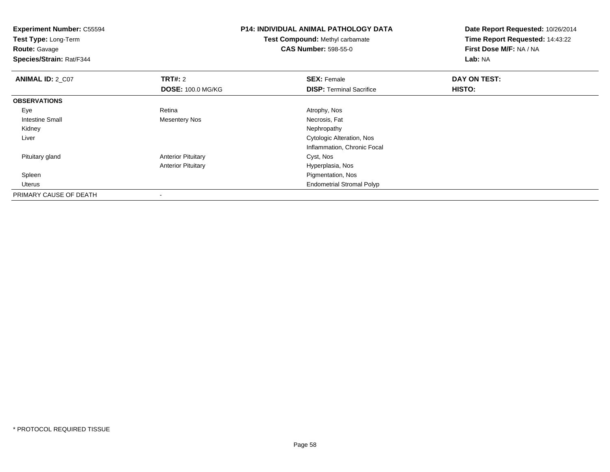| <b>Experiment Number: C55594</b><br>Test Type: Long-Term<br><b>Route: Gavage</b><br>Species/Strain: Rat/F344 |                           | <b>P14: INDIVIDUAL ANIMAL PATHOLOGY DATA</b><br><b>Test Compound: Methyl carbamate</b><br><b>CAS Number: 598-55-0</b> | Date Report Requested: 10/26/2014<br>Time Report Requested: 14:43:22<br>First Dose M/F: NA / NA<br>Lab: NA |
|--------------------------------------------------------------------------------------------------------------|---------------------------|-----------------------------------------------------------------------------------------------------------------------|------------------------------------------------------------------------------------------------------------|
| <b>ANIMAL ID: 2_C07</b>                                                                                      | <b>TRT#: 2</b>            | <b>SEX: Female</b>                                                                                                    | DAY ON TEST:                                                                                               |
|                                                                                                              | <b>DOSE: 100.0 MG/KG</b>  | <b>DISP:</b> Terminal Sacrifice                                                                                       | HISTO:                                                                                                     |
| <b>OBSERVATIONS</b>                                                                                          |                           |                                                                                                                       |                                                                                                            |
| Eye                                                                                                          | Retina                    | Atrophy, Nos                                                                                                          |                                                                                                            |
| Intestine Small                                                                                              | Mesentery Nos             | Necrosis, Fat                                                                                                         |                                                                                                            |
| Kidney                                                                                                       |                           | Nephropathy                                                                                                           |                                                                                                            |
| Liver                                                                                                        |                           | Cytologic Alteration, Nos                                                                                             |                                                                                                            |
|                                                                                                              |                           | Inflammation, Chronic Focal                                                                                           |                                                                                                            |
| Pituitary gland                                                                                              | <b>Anterior Pituitary</b> | Cyst, Nos                                                                                                             |                                                                                                            |
|                                                                                                              | <b>Anterior Pituitary</b> | Hyperplasia, Nos                                                                                                      |                                                                                                            |
| Spleen                                                                                                       |                           | Pigmentation, Nos                                                                                                     |                                                                                                            |
| Uterus                                                                                                       |                           | <b>Endometrial Stromal Polyp</b>                                                                                      |                                                                                                            |
| PRIMARY CAUSE OF DEATH                                                                                       |                           |                                                                                                                       |                                                                                                            |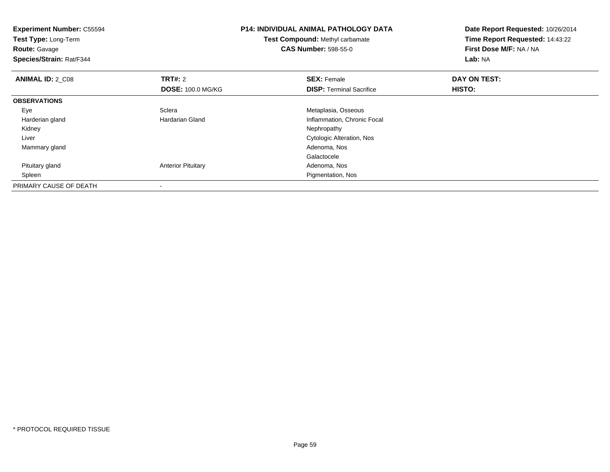| <b>Experiment Number: C55594</b><br>Test Type: Long-Term<br><b>Route: Gavage</b><br>Species/Strain: Rat/F344 |                           | <b>P14: INDIVIDUAL ANIMAL PATHOLOGY DATA</b><br>Test Compound: Methyl carbamate<br><b>CAS Number: 598-55-0</b> | Date Report Requested: 10/26/2014<br>Time Report Requested: 14:43:22<br>First Dose M/F: NA / NA<br>Lab: NA |
|--------------------------------------------------------------------------------------------------------------|---------------------------|----------------------------------------------------------------------------------------------------------------|------------------------------------------------------------------------------------------------------------|
| <b>ANIMAL ID: 2 C08</b>                                                                                      | <b>TRT#: 2</b>            | <b>SEX: Female</b>                                                                                             | DAY ON TEST:                                                                                               |
|                                                                                                              | <b>DOSE: 100.0 MG/KG</b>  | <b>DISP: Terminal Sacrifice</b>                                                                                | HISTO:                                                                                                     |
| <b>OBSERVATIONS</b>                                                                                          |                           |                                                                                                                |                                                                                                            |
| Eye                                                                                                          | Sclera                    | Metaplasia, Osseous                                                                                            |                                                                                                            |
| Harderian gland                                                                                              | <b>Hardarian Gland</b>    | Inflammation, Chronic Focal                                                                                    |                                                                                                            |
| Kidney                                                                                                       |                           | Nephropathy                                                                                                    |                                                                                                            |
| Liver                                                                                                        |                           | Cytologic Alteration, Nos                                                                                      |                                                                                                            |
| Mammary gland                                                                                                |                           | Adenoma, Nos                                                                                                   |                                                                                                            |
|                                                                                                              |                           | Galactocele                                                                                                    |                                                                                                            |
| Pituitary gland                                                                                              | <b>Anterior Pituitary</b> | Adenoma, Nos                                                                                                   |                                                                                                            |
| Spleen                                                                                                       |                           | Pigmentation, Nos                                                                                              |                                                                                                            |
| PRIMARY CAUSE OF DEATH                                                                                       | $\overline{\phantom{a}}$  |                                                                                                                |                                                                                                            |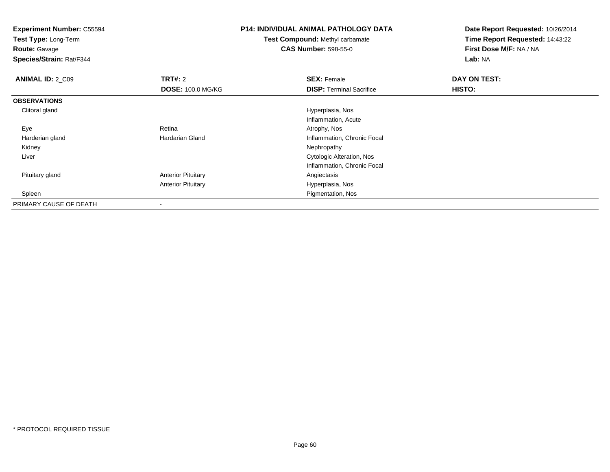**Test Type:** Long-Term

**Route:** Gavage

**Species/Strain:** Rat/F344

## **P14: INDIVIDUAL ANIMAL PATHOLOGY DATA**

**Test Compound:** Methyl carbamate**CAS Number:** 598-55-0

| <b>ANIMAL ID: 2_C09</b> | TRT#: 2                   | <b>SEX: Female</b>               | DAY ON TEST: |  |
|-------------------------|---------------------------|----------------------------------|--------------|--|
|                         | <b>DOSE: 100.0 MG/KG</b>  | <b>DISP: Terminal Sacrifice</b>  | HISTO:       |  |
| <b>OBSERVATIONS</b>     |                           |                                  |              |  |
| Clitoral gland          |                           | Hyperplasia, Nos                 |              |  |
|                         |                           | Inflammation, Acute              |              |  |
| Eye                     | Retina                    | Atrophy, Nos                     |              |  |
| Harderian gland         | <b>Hardarian Gland</b>    | Inflammation, Chronic Focal      |              |  |
| Kidney                  |                           | Nephropathy                      |              |  |
| Liver                   |                           | <b>Cytologic Alteration, Nos</b> |              |  |
|                         |                           | Inflammation, Chronic Focal      |              |  |
| Pituitary gland         | <b>Anterior Pituitary</b> | Angiectasis                      |              |  |
|                         | <b>Anterior Pituitary</b> | Hyperplasia, Nos                 |              |  |
| Spleen                  |                           | Pigmentation, Nos                |              |  |
| PRIMARY CAUSE OF DEATH  | $\overline{\phantom{a}}$  |                                  |              |  |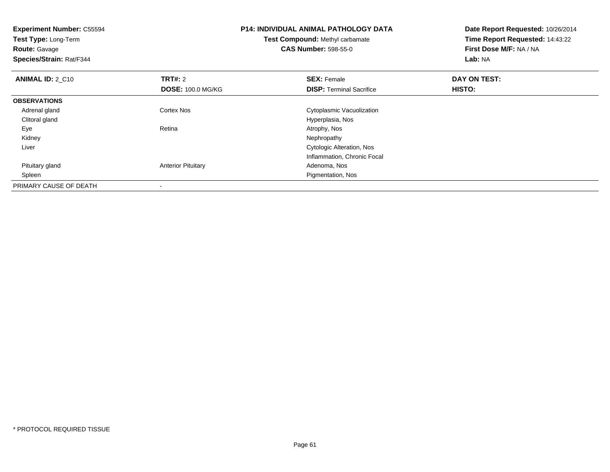| <b>Experiment Number: C55594</b><br>Test Type: Long-Term<br><b>Route: Gavage</b><br>Species/Strain: Rat/F344 |                           | <b>P14: INDIVIDUAL ANIMAL PATHOLOGY DATA</b><br>Test Compound: Methyl carbamate<br><b>CAS Number: 598-55-0</b> | Date Report Requested: 10/26/2014<br>Time Report Requested: 14:43:22<br>First Dose M/F: NA / NA<br>Lab: NA |
|--------------------------------------------------------------------------------------------------------------|---------------------------|----------------------------------------------------------------------------------------------------------------|------------------------------------------------------------------------------------------------------------|
| <b>ANIMAL ID: 2 C10</b>                                                                                      | <b>TRT#:</b> 2            | <b>SEX: Female</b>                                                                                             | DAY ON TEST:                                                                                               |
|                                                                                                              | <b>DOSE: 100.0 MG/KG</b>  | <b>DISP:</b> Terminal Sacrifice                                                                                | HISTO:                                                                                                     |
| <b>OBSERVATIONS</b>                                                                                          |                           |                                                                                                                |                                                                                                            |
| Adrenal gland                                                                                                | <b>Cortex Nos</b>         | Cytoplasmic Vacuolization                                                                                      |                                                                                                            |
| Clitoral gland                                                                                               |                           | Hyperplasia, Nos                                                                                               |                                                                                                            |
| Eye                                                                                                          | Retina                    | Atrophy, Nos                                                                                                   |                                                                                                            |
| Kidney                                                                                                       |                           | Nephropathy                                                                                                    |                                                                                                            |
| Liver                                                                                                        |                           | Cytologic Alteration, Nos                                                                                      |                                                                                                            |
|                                                                                                              |                           | Inflammation, Chronic Focal                                                                                    |                                                                                                            |
| Pituitary gland                                                                                              | <b>Anterior Pituitary</b> | Adenoma, Nos                                                                                                   |                                                                                                            |
| Spleen                                                                                                       |                           | Pigmentation, Nos                                                                                              |                                                                                                            |
| PRIMARY CAUSE OF DEATH                                                                                       | $\overline{\phantom{a}}$  |                                                                                                                |                                                                                                            |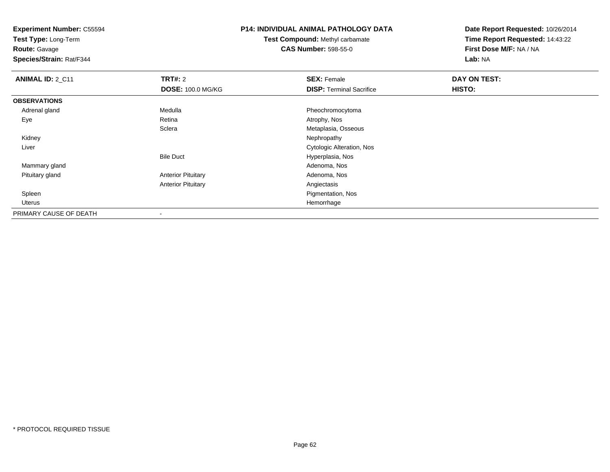**Test Type:** Long-Term

**Route:** Gavage

**Species/Strain:** Rat/F344

# **P14: INDIVIDUAL ANIMAL PATHOLOGY DATA**

**Test Compound:** Methyl carbamate**CAS Number:** 598-55-0

| <b>ANIMAL ID: 2_C11</b> | <b>TRT#: 2</b>            | <b>SEX: Female</b>              | DAY ON TEST: |  |
|-------------------------|---------------------------|---------------------------------|--------------|--|
|                         | <b>DOSE: 100.0 MG/KG</b>  | <b>DISP: Terminal Sacrifice</b> | HISTO:       |  |
| <b>OBSERVATIONS</b>     |                           |                                 |              |  |
| Adrenal gland           | Medulla                   | Pheochromocytoma                |              |  |
| Eye                     | Retina                    | Atrophy, Nos                    |              |  |
|                         | Sclera                    | Metaplasia, Osseous             |              |  |
| Kidney                  |                           | Nephropathy                     |              |  |
| Liver                   |                           | Cytologic Alteration, Nos       |              |  |
|                         | <b>Bile Duct</b>          | Hyperplasia, Nos                |              |  |
| Mammary gland           |                           | Adenoma, Nos                    |              |  |
| Pituitary gland         | <b>Anterior Pituitary</b> | Adenoma, Nos                    |              |  |
|                         | <b>Anterior Pituitary</b> | Angiectasis                     |              |  |
| Spleen                  |                           | Pigmentation, Nos               |              |  |
| Uterus                  |                           | Hemorrhage                      |              |  |
| PRIMARY CAUSE OF DEATH  | $\overline{\phantom{a}}$  |                                 |              |  |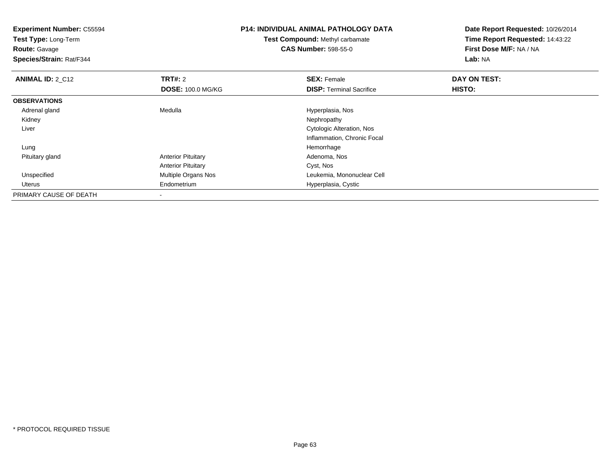| <b>Experiment Number: C55594</b><br><b>Test Type: Long-Term</b> |                           | <b>P14: INDIVIDUAL ANIMAL PATHOLOGY DATA</b> | Date Report Requested: 10/26/2014 |
|-----------------------------------------------------------------|---------------------------|----------------------------------------------|-----------------------------------|
|                                                                 |                           | <b>Test Compound: Methyl carbamate</b>       | Time Report Requested: 14:43:22   |
| <b>Route: Gavage</b>                                            |                           | <b>CAS Number: 598-55-0</b>                  | First Dose M/F: NA / NA           |
| Species/Strain: Rat/F344                                        |                           |                                              | Lab: NA                           |
| <b>ANIMAL ID: 2 C12</b>                                         | <b>TRT#: 2</b>            | <b>SEX: Female</b>                           | DAY ON TEST:                      |
|                                                                 | <b>DOSE: 100.0 MG/KG</b>  | <b>DISP:</b> Terminal Sacrifice              | <b>HISTO:</b>                     |
| <b>OBSERVATIONS</b>                                             |                           |                                              |                                   |
| Adrenal gland                                                   | Medulla                   | Hyperplasia, Nos                             |                                   |
| Kidney                                                          |                           | Nephropathy                                  |                                   |
| Liver                                                           |                           | Cytologic Alteration, Nos                    |                                   |
|                                                                 |                           | Inflammation, Chronic Focal                  |                                   |
| Lung                                                            |                           | Hemorrhage                                   |                                   |
| Pituitary gland                                                 | <b>Anterior Pituitary</b> | Adenoma, Nos                                 |                                   |
|                                                                 | <b>Anterior Pituitary</b> | Cyst, Nos                                    |                                   |
| Unspecified                                                     | Multiple Organs Nos       | Leukemia, Mononuclear Cell                   |                                   |
| Uterus                                                          | Endometrium               | Hyperplasia, Cystic                          |                                   |
| PRIMARY CAUSE OF DEATH                                          | $\overline{\phantom{a}}$  |                                              |                                   |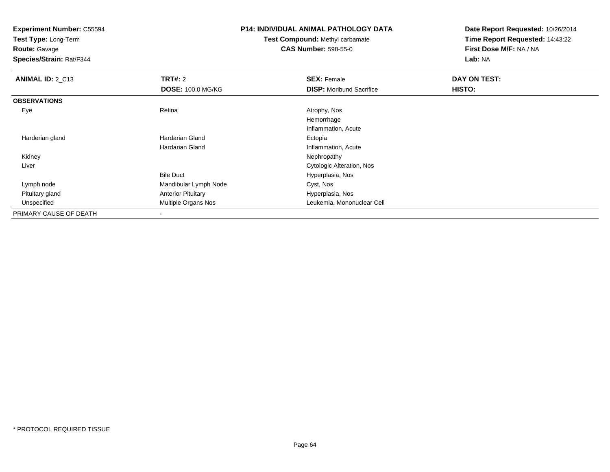**Test Type:** Long-Term

**Route:** Gavage

**Species/Strain:** Rat/F344

## **P14: INDIVIDUAL ANIMAL PATHOLOGY DATA**

**Test Compound:** Methyl carbamate**CAS Number:** 598-55-0

| <b>ANIMAL ID: 2_C13</b> | <b>TRT#: 2</b>            | <b>SEX: Female</b>              | DAY ON TEST: |  |
|-------------------------|---------------------------|---------------------------------|--------------|--|
|                         | <b>DOSE: 100.0 MG/KG</b>  | <b>DISP:</b> Moribund Sacrifice | HISTO:       |  |
| <b>OBSERVATIONS</b>     |                           |                                 |              |  |
| Eye                     | Retina                    | Atrophy, Nos                    |              |  |
|                         |                           | Hemorrhage                      |              |  |
|                         |                           | Inflammation, Acute             |              |  |
| Harderian gland         | Hardarian Gland           | Ectopia                         |              |  |
|                         | Hardarian Gland           | Inflammation, Acute             |              |  |
| Kidney                  |                           | Nephropathy                     |              |  |
| Liver                   |                           | Cytologic Alteration, Nos       |              |  |
|                         | <b>Bile Duct</b>          | Hyperplasia, Nos                |              |  |
| Lymph node              | Mandibular Lymph Node     | Cyst, Nos                       |              |  |
| Pituitary gland         | <b>Anterior Pituitary</b> | Hyperplasia, Nos                |              |  |
| Unspecified             | Multiple Organs Nos       | Leukemia, Mononuclear Cell      |              |  |
| PRIMARY CAUSE OF DEATH  | ۰                         |                                 |              |  |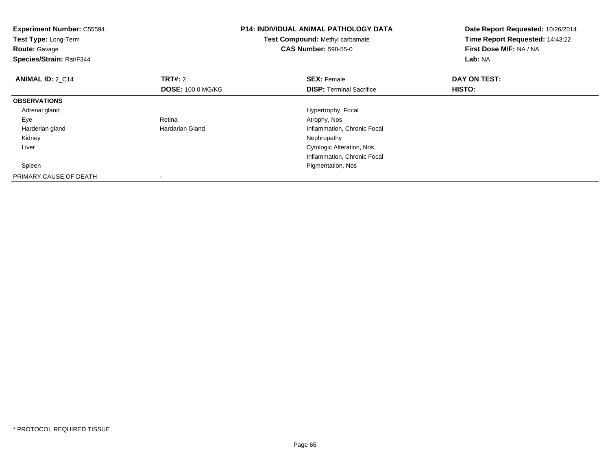| <b>Experiment Number: C55594</b><br>Test Type: Long-Term<br><b>Route: Gavage</b><br>Species/Strain: Rat/F344 |                          | <b>P14: INDIVIDUAL ANIMAL PATHOLOGY DATA</b><br>Test Compound: Methyl carbamate<br><b>CAS Number: 598-55-0</b> | Date Report Requested: 10/26/2014<br>Time Report Requested: 14:43:22<br>First Dose M/F: NA / NA<br>Lab: NA |
|--------------------------------------------------------------------------------------------------------------|--------------------------|----------------------------------------------------------------------------------------------------------------|------------------------------------------------------------------------------------------------------------|
| <b>ANIMAL ID: 2 C14</b>                                                                                      | <b>TRT#:</b> 2           | <b>SEX: Female</b>                                                                                             | DAY ON TEST:                                                                                               |
|                                                                                                              | <b>DOSE: 100.0 MG/KG</b> | <b>DISP:</b> Terminal Sacrifice                                                                                | HISTO:                                                                                                     |
| <b>OBSERVATIONS</b>                                                                                          |                          |                                                                                                                |                                                                                                            |
| Adrenal gland                                                                                                |                          | Hypertrophy, Focal                                                                                             |                                                                                                            |
| Eye                                                                                                          | Retina                   | Atrophy, Nos                                                                                                   |                                                                                                            |
| Harderian gland                                                                                              | <b>Hardarian Gland</b>   | Inflammation, Chronic Focal                                                                                    |                                                                                                            |
| Kidney                                                                                                       |                          | Nephropathy                                                                                                    |                                                                                                            |
| Liver                                                                                                        |                          | Cytologic Alteration, Nos                                                                                      |                                                                                                            |
|                                                                                                              |                          | Inflammation, Chronic Focal                                                                                    |                                                                                                            |
| Spleen                                                                                                       |                          | Pigmentation, Nos                                                                                              |                                                                                                            |
| PRIMARY CAUSE OF DEATH                                                                                       |                          |                                                                                                                |                                                                                                            |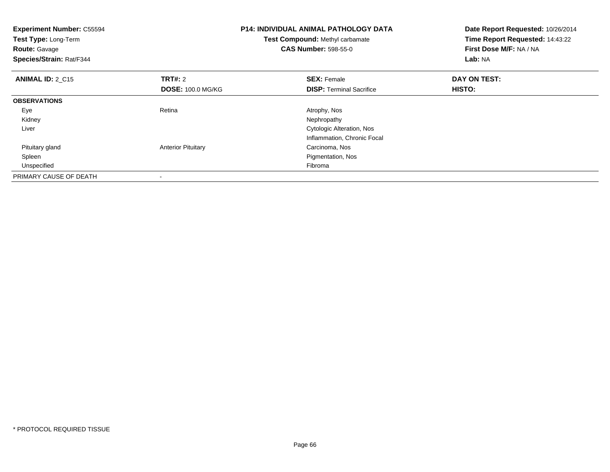| <b>Experiment Number: C55594</b><br>Test Type: Long-Term<br><b>Route: Gavage</b><br>Species/Strain: Rat/F344 |                           | <b>P14: INDIVIDUAL ANIMAL PATHOLOGY DATA</b><br>Test Compound: Methyl carbamate<br><b>CAS Number: 598-55-0</b> | Date Report Requested: 10/26/2014<br>Time Report Requested: 14:43:22<br>First Dose M/F: NA / NA<br>Lab: NA |
|--------------------------------------------------------------------------------------------------------------|---------------------------|----------------------------------------------------------------------------------------------------------------|------------------------------------------------------------------------------------------------------------|
| <b>ANIMAL ID: 2_C15</b>                                                                                      | <b>TRT#:</b> 2            | <b>SEX: Female</b>                                                                                             | DAY ON TEST:                                                                                               |
|                                                                                                              | <b>DOSE: 100.0 MG/KG</b>  | <b>DISP:</b> Terminal Sacrifice                                                                                | HISTO:                                                                                                     |
| <b>OBSERVATIONS</b>                                                                                          |                           |                                                                                                                |                                                                                                            |
| Eye                                                                                                          | Retina                    | Atrophy, Nos                                                                                                   |                                                                                                            |
| Kidney                                                                                                       |                           | Nephropathy                                                                                                    |                                                                                                            |
| Liver                                                                                                        |                           | Cytologic Alteration, Nos                                                                                      |                                                                                                            |
|                                                                                                              |                           | Inflammation, Chronic Focal                                                                                    |                                                                                                            |
| Pituitary gland                                                                                              | <b>Anterior Pituitary</b> | Carcinoma, Nos                                                                                                 |                                                                                                            |
| Spleen                                                                                                       |                           | Pigmentation, Nos                                                                                              |                                                                                                            |
| Unspecified                                                                                                  |                           | Fibroma                                                                                                        |                                                                                                            |
| PRIMARY CAUSE OF DEATH                                                                                       |                           |                                                                                                                |                                                                                                            |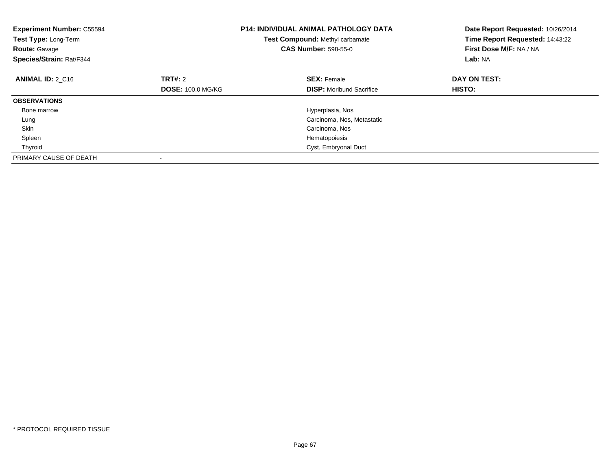| <b>Experiment Number: C55594</b><br>Test Type: Long-Term<br><b>Route: Gavage</b><br>Species/Strain: Rat/F344 |                          | <b>P14: INDIVIDUAL ANIMAL PATHOLOGY DATA</b><br>Test Compound: Methyl carbamate<br><b>CAS Number: 598-55-0</b> | Date Report Requested: 10/26/2014<br>Time Report Requested: 14:43:22<br>First Dose M/F: NA / NA<br>Lab: NA |
|--------------------------------------------------------------------------------------------------------------|--------------------------|----------------------------------------------------------------------------------------------------------------|------------------------------------------------------------------------------------------------------------|
| <b>ANIMAL ID: 2 C16</b>                                                                                      | TRT#: 2                  | <b>SEX: Female</b>                                                                                             | DAY ON TEST:                                                                                               |
|                                                                                                              | <b>DOSE: 100.0 MG/KG</b> | <b>DISP:</b> Moribund Sacrifice                                                                                | HISTO:                                                                                                     |
| <b>OBSERVATIONS</b>                                                                                          |                          |                                                                                                                |                                                                                                            |
| Bone marrow                                                                                                  |                          | Hyperplasia, Nos                                                                                               |                                                                                                            |
| Lung                                                                                                         |                          | Carcinoma, Nos, Metastatic                                                                                     |                                                                                                            |
| Skin                                                                                                         |                          | Carcinoma, Nos                                                                                                 |                                                                                                            |
| Spleen                                                                                                       |                          | Hematopoiesis                                                                                                  |                                                                                                            |
| Thyroid                                                                                                      |                          | Cyst, Embryonal Duct                                                                                           |                                                                                                            |
| PRIMARY CAUSE OF DEATH                                                                                       |                          |                                                                                                                |                                                                                                            |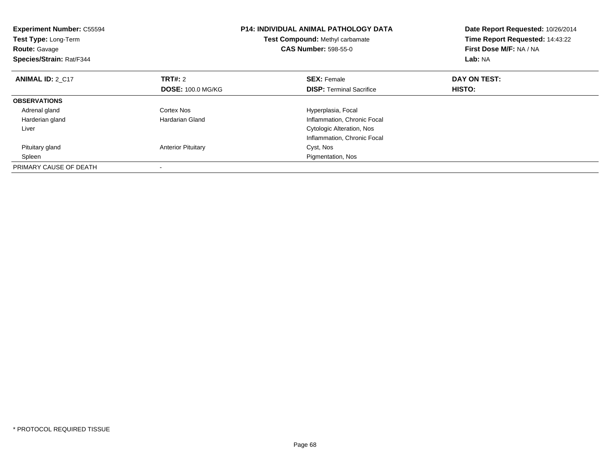| <b>Experiment Number: C55594</b><br>Test Type: Long-Term<br><b>Route: Gavage</b><br>Species/Strain: Rat/F344 |                           | <b>P14: INDIVIDUAL ANIMAL PATHOLOGY DATA</b><br>Test Compound: Methyl carbamate<br><b>CAS Number: 598-55-0</b> | Date Report Requested: 10/26/2014<br>Time Report Requested: 14:43:22<br>First Dose M/F: NA / NA<br>Lab: NA |
|--------------------------------------------------------------------------------------------------------------|---------------------------|----------------------------------------------------------------------------------------------------------------|------------------------------------------------------------------------------------------------------------|
| <b>ANIMAL ID: 2 C17</b>                                                                                      | TRT#: 2                   | <b>SEX: Female</b>                                                                                             | DAY ON TEST:                                                                                               |
|                                                                                                              | <b>DOSE: 100.0 MG/KG</b>  | <b>DISP:</b> Terminal Sacrifice                                                                                | HISTO:                                                                                                     |
| <b>OBSERVATIONS</b>                                                                                          |                           |                                                                                                                |                                                                                                            |
| Adrenal gland                                                                                                | Cortex Nos                | Hyperplasia, Focal                                                                                             |                                                                                                            |
| Harderian gland                                                                                              | Hardarian Gland           | Inflammation, Chronic Focal                                                                                    |                                                                                                            |
| Liver                                                                                                        |                           | Cytologic Alteration, Nos                                                                                      |                                                                                                            |
|                                                                                                              |                           | Inflammation, Chronic Focal                                                                                    |                                                                                                            |
| Pituitary gland                                                                                              | <b>Anterior Pituitary</b> | Cyst, Nos                                                                                                      |                                                                                                            |
| Spleen                                                                                                       |                           | Pigmentation, Nos                                                                                              |                                                                                                            |
| PRIMARY CAUSE OF DEATH                                                                                       |                           |                                                                                                                |                                                                                                            |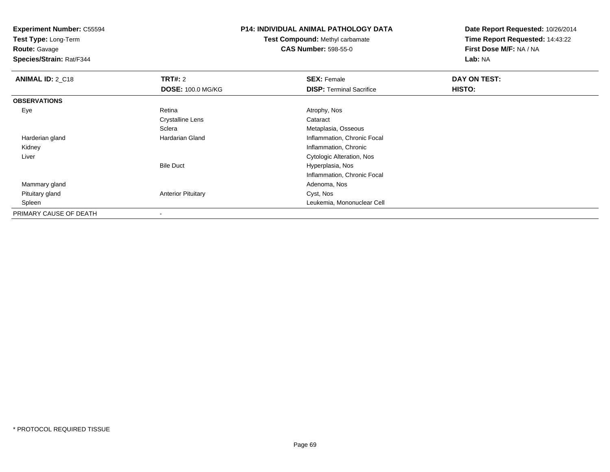**Test Type:** Long-Term

**Route:** Gavage

**Species/Strain:** Rat/F344

# **P14: INDIVIDUAL ANIMAL PATHOLOGY DATA**

**Test Compound:** Methyl carbamate**CAS Number:** 598-55-0

| <b>ANIMAL ID: 2_C18</b> | TRT#: 2                   | <b>SEX: Female</b>               | DAY ON TEST: |  |
|-------------------------|---------------------------|----------------------------------|--------------|--|
|                         | <b>DOSE: 100.0 MG/KG</b>  | <b>DISP: Terminal Sacrifice</b>  | HISTO:       |  |
| <b>OBSERVATIONS</b>     |                           |                                  |              |  |
| Eye                     | Retina                    | Atrophy, Nos                     |              |  |
|                         | <b>Crystalline Lens</b>   | Cataract                         |              |  |
|                         | Sclera                    | Metaplasia, Osseous              |              |  |
| Harderian gland         | Hardarian Gland           | Inflammation, Chronic Focal      |              |  |
| Kidney                  |                           | Inflammation, Chronic            |              |  |
| Liver                   |                           | <b>Cytologic Alteration, Nos</b> |              |  |
|                         | <b>Bile Duct</b>          | Hyperplasia, Nos                 |              |  |
|                         |                           | Inflammation, Chronic Focal      |              |  |
| Mammary gland           |                           | Adenoma, Nos                     |              |  |
| Pituitary gland         | <b>Anterior Pituitary</b> | Cyst, Nos                        |              |  |
| Spleen                  |                           | Leukemia, Mononuclear Cell       |              |  |
| PRIMARY CAUSE OF DEATH  | $\blacksquare$            |                                  |              |  |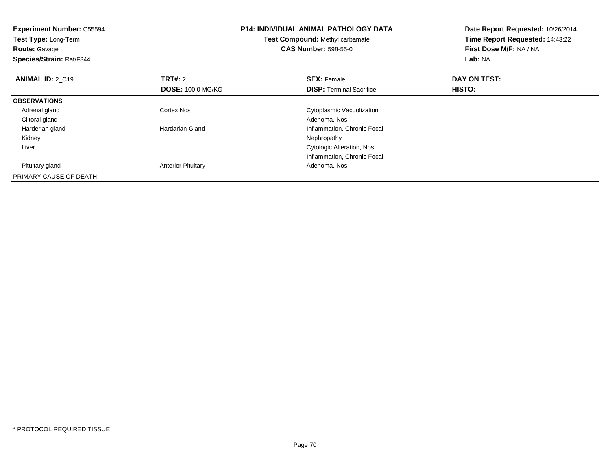| <b>Experiment Number: C55594</b><br>Test Type: Long-Term<br><b>Route: Gavage</b><br>Species/Strain: Rat/F344 |                           | <b>P14: INDIVIDUAL ANIMAL PATHOLOGY DATA</b><br>Test Compound: Methyl carbamate<br><b>CAS Number: 598-55-0</b> | Date Report Requested: 10/26/2014<br>Time Report Requested: 14:43:22<br>First Dose M/F: NA / NA<br>Lab: NA |
|--------------------------------------------------------------------------------------------------------------|---------------------------|----------------------------------------------------------------------------------------------------------------|------------------------------------------------------------------------------------------------------------|
| <b>ANIMAL ID: 2 C19</b>                                                                                      | <b>TRT#: 2</b>            | <b>SEX: Female</b>                                                                                             | DAY ON TEST:                                                                                               |
|                                                                                                              | <b>DOSE: 100.0 MG/KG</b>  | <b>DISP:</b> Terminal Sacrifice                                                                                | <b>HISTO:</b>                                                                                              |
| <b>OBSERVATIONS</b>                                                                                          |                           |                                                                                                                |                                                                                                            |
| Adrenal gland                                                                                                | Cortex Nos                | Cytoplasmic Vacuolization                                                                                      |                                                                                                            |
| Clitoral gland                                                                                               |                           | Adenoma, Nos                                                                                                   |                                                                                                            |
| Harderian gland                                                                                              | Hardarian Gland           | Inflammation, Chronic Focal                                                                                    |                                                                                                            |
| Kidney                                                                                                       |                           | Nephropathy                                                                                                    |                                                                                                            |
| Liver                                                                                                        |                           | Cytologic Alteration, Nos                                                                                      |                                                                                                            |
|                                                                                                              |                           | Inflammation, Chronic Focal                                                                                    |                                                                                                            |
| Pituitary gland                                                                                              | <b>Anterior Pituitary</b> | Adenoma, Nos                                                                                                   |                                                                                                            |
| PRIMARY CAUSE OF DEATH                                                                                       |                           |                                                                                                                |                                                                                                            |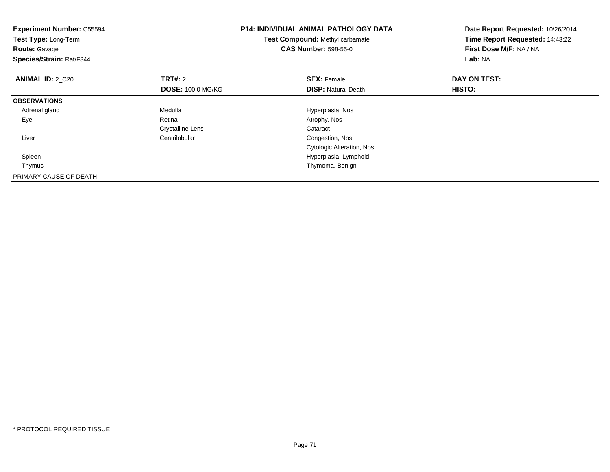| <b>Experiment Number: C55594</b><br>Test Type: Long-Term<br><b>Route: Gavage</b><br>Species/Strain: Rat/F344 |                          | <b>P14: INDIVIDUAL ANIMAL PATHOLOGY DATA</b><br>Test Compound: Methyl carbamate<br><b>CAS Number: 598-55-0</b> | Date Report Requested: 10/26/2014<br>Time Report Requested: 14:43:22<br>First Dose M/F: NA / NA<br>Lab: NA |
|--------------------------------------------------------------------------------------------------------------|--------------------------|----------------------------------------------------------------------------------------------------------------|------------------------------------------------------------------------------------------------------------|
| <b>ANIMAL ID: 2_C20</b>                                                                                      | <b>TRT#: 2</b>           | <b>SEX: Female</b>                                                                                             | DAY ON TEST:                                                                                               |
|                                                                                                              | <b>DOSE: 100.0 MG/KG</b> | <b>DISP:</b> Natural Death                                                                                     | HISTO:                                                                                                     |
| <b>OBSERVATIONS</b>                                                                                          |                          |                                                                                                                |                                                                                                            |
| Adrenal gland                                                                                                | Medulla                  | Hyperplasia, Nos                                                                                               |                                                                                                            |
| Eye                                                                                                          | Retina                   | Atrophy, Nos                                                                                                   |                                                                                                            |
|                                                                                                              | Crystalline Lens         | Cataract                                                                                                       |                                                                                                            |
| Liver                                                                                                        | Centrilobular            | Congestion, Nos                                                                                                |                                                                                                            |
|                                                                                                              |                          | Cytologic Alteration, Nos                                                                                      |                                                                                                            |
| Spleen                                                                                                       |                          | Hyperplasia, Lymphoid                                                                                          |                                                                                                            |
| Thymus                                                                                                       |                          | Thymoma, Benign                                                                                                |                                                                                                            |
| PRIMARY CAUSE OF DEATH                                                                                       |                          |                                                                                                                |                                                                                                            |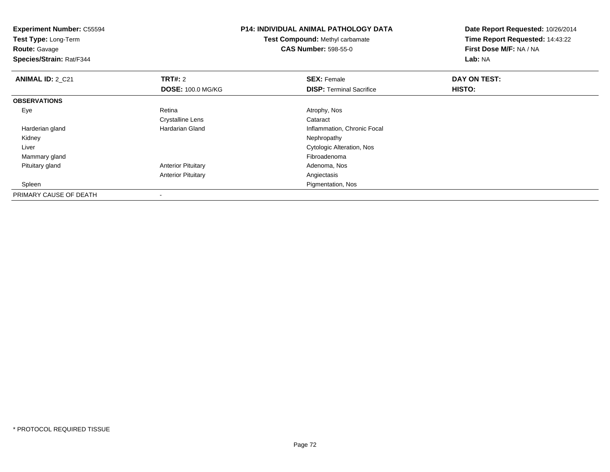| <b>Experiment Number: C55594</b><br>Test Type: Long-Term<br><b>Route: Gavage</b><br>Species/Strain: Rat/F344 |                                                        | <b>P14: INDIVIDUAL ANIMAL PATHOLOGY DATA</b><br>Test Compound: Methyl carbamate<br><b>CAS Number: 598-55-0</b> | Date Report Requested: 10/26/2014<br>Time Report Requested: 14:43:22<br>First Dose M/F: NA / NA<br>Lab: NA |
|--------------------------------------------------------------------------------------------------------------|--------------------------------------------------------|----------------------------------------------------------------------------------------------------------------|------------------------------------------------------------------------------------------------------------|
| <b>ANIMAL ID: 2 C21</b>                                                                                      | <b>TRT#: 2</b><br><b>DOSE: 100.0 MG/KG</b>             | <b>SEX: Female</b><br><b>DISP:</b> Terminal Sacrifice                                                          | DAY ON TEST:<br>HISTO:                                                                                     |
| <b>OBSERVATIONS</b>                                                                                          |                                                        |                                                                                                                |                                                                                                            |
| Eye                                                                                                          | Retina<br>Crystalline Lens                             | Atrophy, Nos<br>Cataract                                                                                       |                                                                                                            |
| Harderian gland<br>Kidney                                                                                    | <b>Hardarian Gland</b>                                 | Inflammation, Chronic Focal<br>Nephropathy                                                                     |                                                                                                            |
| Liver<br>Mammary gland                                                                                       |                                                        | Cytologic Alteration, Nos<br>Fibroadenoma                                                                      |                                                                                                            |
| Pituitary gland                                                                                              | <b>Anterior Pituitary</b><br><b>Anterior Pituitary</b> | Adenoma, Nos<br>Angiectasis                                                                                    |                                                                                                            |
| Spleen<br>PRIMARY CAUSE OF DEATH                                                                             |                                                        | Pigmentation, Nos                                                                                              |                                                                                                            |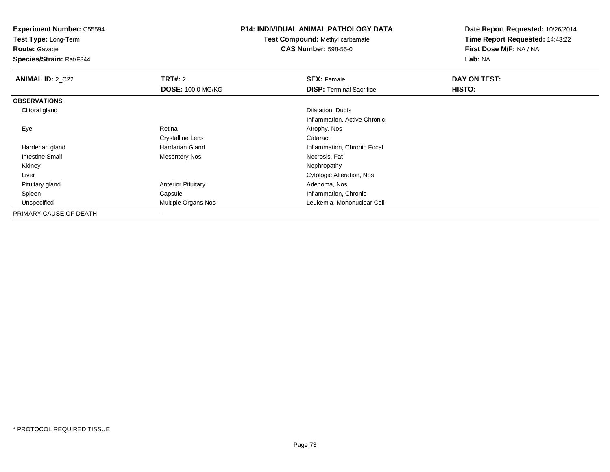**Test Type:** Long-Term

**Route:** Gavage

**Species/Strain:** Rat/F344

### **P14: INDIVIDUAL ANIMAL PATHOLOGY DATA**

**Test Compound:** Methyl carbamate**CAS Number:** 598-55-0

| <b>ANIMAL ID: 2 C22</b> | TRT#: 2                   | <b>SEX: Female</b>               | DAY ON TEST: |  |
|-------------------------|---------------------------|----------------------------------|--------------|--|
|                         | <b>DOSE: 100.0 MG/KG</b>  | <b>DISP:</b> Terminal Sacrifice  | HISTO:       |  |
| <b>OBSERVATIONS</b>     |                           |                                  |              |  |
| Clitoral gland          |                           | Dilatation, Ducts                |              |  |
|                         |                           | Inflammation, Active Chronic     |              |  |
| Eye                     | Retina                    | Atrophy, Nos                     |              |  |
|                         | <b>Crystalline Lens</b>   | Cataract                         |              |  |
| Harderian gland         | Hardarian Gland           | Inflammation, Chronic Focal      |              |  |
| Intestine Small         | <b>Mesentery Nos</b>      | Necrosis, Fat                    |              |  |
| Kidney                  |                           | Nephropathy                      |              |  |
| Liver                   |                           | <b>Cytologic Alteration, Nos</b> |              |  |
| Pituitary gland         | <b>Anterior Pituitary</b> | Adenoma, Nos                     |              |  |
| Spleen                  | Capsule                   | Inflammation, Chronic            |              |  |
| Unspecified             | Multiple Organs Nos       | Leukemia, Mononuclear Cell       |              |  |
| PRIMARY CAUSE OF DEATH  | -                         |                                  |              |  |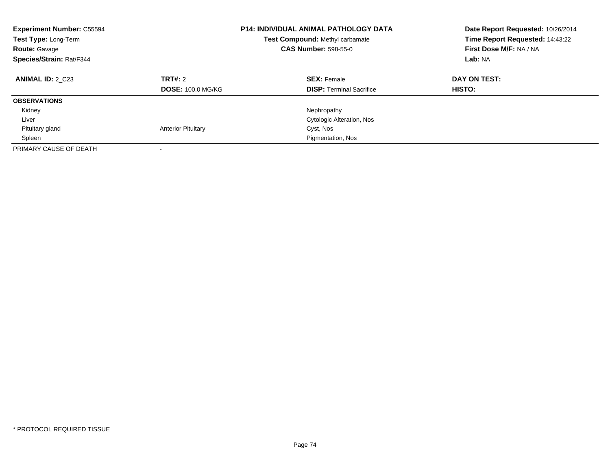| <b>Experiment Number: C55594</b><br>Test Type: Long-Term<br><b>Route: Gavage</b><br>Species/Strain: Rat/F344 |                                     | <b>P14: INDIVIDUAL ANIMAL PATHOLOGY DATA</b><br>Test Compound: Methyl carbamate<br><b>CAS Number: 598-55-0</b> | Date Report Requested: 10/26/2014<br>Time Report Requested: 14:43:22<br>First Dose M/F: NA / NA<br>Lab: NA |
|--------------------------------------------------------------------------------------------------------------|-------------------------------------|----------------------------------------------------------------------------------------------------------------|------------------------------------------------------------------------------------------------------------|
| <b>ANIMAL ID: 2 C23</b>                                                                                      | TRT#: 2<br><b>DOSE: 100.0 MG/KG</b> | <b>SEX: Female</b><br><b>DISP:</b> Terminal Sacrifice                                                          | DAY ON TEST:<br>HISTO:                                                                                     |
| <b>OBSERVATIONS</b>                                                                                          |                                     |                                                                                                                |                                                                                                            |
| Kidney                                                                                                       |                                     | Nephropathy                                                                                                    |                                                                                                            |
| Liver                                                                                                        |                                     | Cytologic Alteration, Nos                                                                                      |                                                                                                            |
| Pituitary gland                                                                                              | <b>Anterior Pituitary</b>           | Cyst, Nos                                                                                                      |                                                                                                            |
| Spleen                                                                                                       |                                     | Pigmentation, Nos                                                                                              |                                                                                                            |
| PRIMARY CAUSE OF DEATH                                                                                       |                                     |                                                                                                                |                                                                                                            |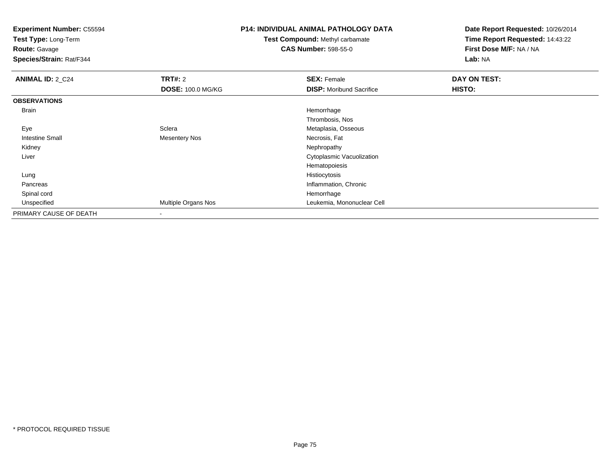**Test Type:** Long-Term

**Route:** Gavage

**Species/Strain:** Rat/F344

## **P14: INDIVIDUAL ANIMAL PATHOLOGY DATA**

**Test Compound:** Methyl carbamate**CAS Number:** 598-55-0

| <b>ANIMAL ID: 2_C24</b> | TRT#: 2                  | <b>SEX: Female</b>               | DAY ON TEST: |  |
|-------------------------|--------------------------|----------------------------------|--------------|--|
|                         | <b>DOSE: 100.0 MG/KG</b> | <b>DISP:</b> Moribund Sacrifice  | HISTO:       |  |
| <b>OBSERVATIONS</b>     |                          |                                  |              |  |
| <b>Brain</b>            |                          | Hemorrhage                       |              |  |
|                         |                          | Thrombosis, Nos                  |              |  |
| Eye                     | Sclera                   | Metaplasia, Osseous              |              |  |
| <b>Intestine Small</b>  | <b>Mesentery Nos</b>     | Necrosis, Fat                    |              |  |
| Kidney                  |                          | Nephropathy                      |              |  |
| Liver                   |                          | <b>Cytoplasmic Vacuolization</b> |              |  |
|                         |                          | Hematopoiesis                    |              |  |
| Lung                    |                          | Histiocytosis                    |              |  |
| Pancreas                |                          | Inflammation, Chronic            |              |  |
| Spinal cord             |                          | Hemorrhage                       |              |  |
| Unspecified             | Multiple Organs Nos      | Leukemia, Mononuclear Cell       |              |  |
| PRIMARY CAUSE OF DEATH  | ۰                        |                                  |              |  |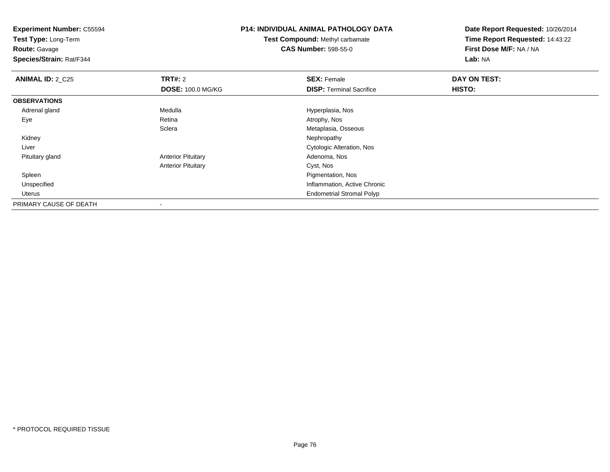**Experiment Number:** C55594**Test Type:** Long-Term**Route:** Gavage **Species/Strain:** Rat/F344**P14: INDIVIDUAL ANIMAL PATHOLOGY DATATest Compound:** Methyl carbamate**CAS Number:** 598-55-0**Date Report Requested:** 10/26/2014**Time Report Requested:** 14:43:22**First Dose M/F:** NA / NA**Lab:** NA**ANIMAL ID: 2 C25 TRT#:** 2 **SEX:** Female **DAY ON TEST: DOSE:** 100.0 MG/KG**DISP:** Terminal Sacrifice **HISTO: OBSERVATIONS** Adrenal glandMedulla Medulla Hyperplasia, Nos<br>
Retina Medulla Atrophy, Nos Eyee and the contract of the Retina Atrophy, Nos and Atrophy, Nos and Atrophy, Nos and Atrophy, Nos and Atrophy, Nos **Sclera** Metaplasia, Osseous<br>Nephropathy Kidneyy the control of the control of the control of the control of the control of the control of the control of the control of the control of the control of the control of the control of the control of the control of the contro Liver Cytologic Alteration, Nos Pituitary glandAnterior Pituitary **Adenoma, Nos** Adenoma, Nos Anterior Pituitary Cyst, Nos Spleen Pigmentation, Nos Unspecified Inflammation, Active Chronic Uterus Endometrial Stromal PolypPRIMARY CAUSE OF DEATH

-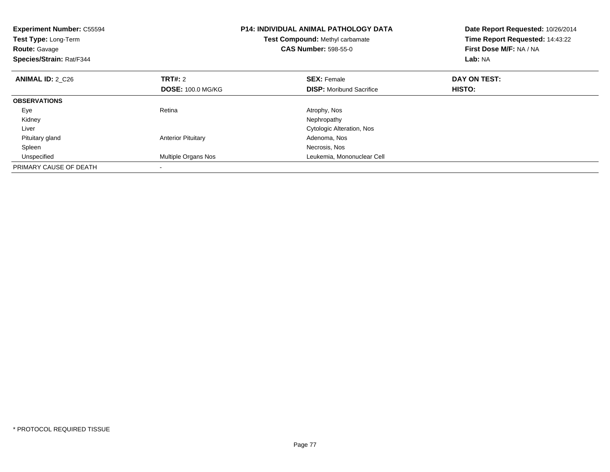| <b>Experiment Number: C55594</b><br>Test Type: Long-Term<br><b>Route: Gavage</b><br>Species/Strain: Rat/F344 |                           | <b>P14: INDIVIDUAL ANIMAL PATHOLOGY DATA</b><br><b>Test Compound: Methyl carbamate</b><br><b>CAS Number: 598-55-0</b> | Date Report Requested: 10/26/2014<br>Time Report Requested: 14:43:22<br>First Dose M/F: NA / NA<br>Lab: NA |
|--------------------------------------------------------------------------------------------------------------|---------------------------|-----------------------------------------------------------------------------------------------------------------------|------------------------------------------------------------------------------------------------------------|
| <b>ANIMAL ID: 2 C26</b>                                                                                      | <b>TRT#: 2</b>            | <b>SEX: Female</b>                                                                                                    | DAY ON TEST:                                                                                               |
|                                                                                                              | <b>DOSE: 100.0 MG/KG</b>  | <b>DISP:</b> Moribund Sacrifice                                                                                       | HISTO:                                                                                                     |
| <b>OBSERVATIONS</b>                                                                                          |                           |                                                                                                                       |                                                                                                            |
| Eye                                                                                                          | Retina                    | Atrophy, Nos                                                                                                          |                                                                                                            |
| Kidney                                                                                                       |                           | Nephropathy                                                                                                           |                                                                                                            |
| Liver                                                                                                        |                           | Cytologic Alteration, Nos                                                                                             |                                                                                                            |
| Pituitary gland                                                                                              | <b>Anterior Pituitary</b> | Adenoma, Nos                                                                                                          |                                                                                                            |
| Spleen                                                                                                       |                           | Necrosis, Nos                                                                                                         |                                                                                                            |
| Unspecified                                                                                                  | Multiple Organs Nos       | Leukemia, Mononuclear Cell                                                                                            |                                                                                                            |
| PRIMARY CAUSE OF DEATH                                                                                       |                           |                                                                                                                       |                                                                                                            |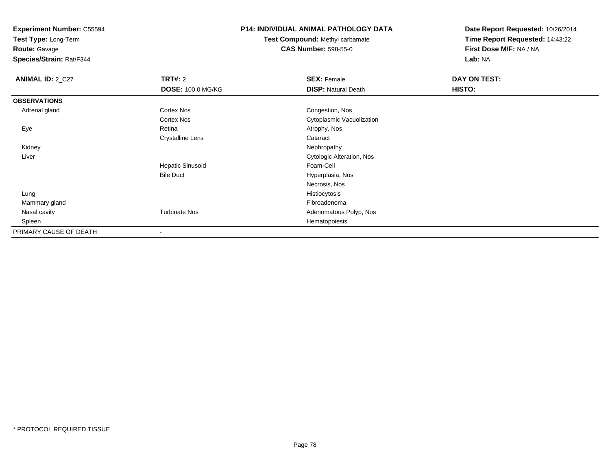**Test Type:** Long-Term

**Route:** Gavage

**Species/Strain:** Rat/F344

### **P14: INDIVIDUAL ANIMAL PATHOLOGY DATA**

**Test Compound:** Methyl carbamate**CAS Number:** 598-55-0

| <b>ANIMAL ID: 2_C27</b> | <b>TRT#: 2</b>           | <b>SEX: Female</b>               | DAY ON TEST: |  |
|-------------------------|--------------------------|----------------------------------|--------------|--|
|                         | <b>DOSE: 100.0 MG/KG</b> | <b>DISP: Natural Death</b>       | HISTO:       |  |
| <b>OBSERVATIONS</b>     |                          |                                  |              |  |
| Adrenal gland           | <b>Cortex Nos</b>        | Congestion, Nos                  |              |  |
|                         | <b>Cortex Nos</b>        | Cytoplasmic Vacuolization        |              |  |
| Eye                     | Retina                   | Atrophy, Nos                     |              |  |
|                         | <b>Crystalline Lens</b>  | Cataract                         |              |  |
| Kidney                  |                          | Nephropathy                      |              |  |
| Liver                   |                          | <b>Cytologic Alteration, Nos</b> |              |  |
|                         | <b>Hepatic Sinusoid</b>  | Foam-Cell                        |              |  |
|                         | <b>Bile Duct</b>         | Hyperplasia, Nos                 |              |  |
|                         |                          | Necrosis, Nos                    |              |  |
| Lung                    |                          | Histiocytosis                    |              |  |
| Mammary gland           |                          | Fibroadenoma                     |              |  |
| Nasal cavity            | <b>Turbinate Nos</b>     | Adenomatous Polyp, Nos           |              |  |
| Spleen                  |                          | Hematopoiesis                    |              |  |
| PRIMARY CAUSE OF DEATH  |                          |                                  |              |  |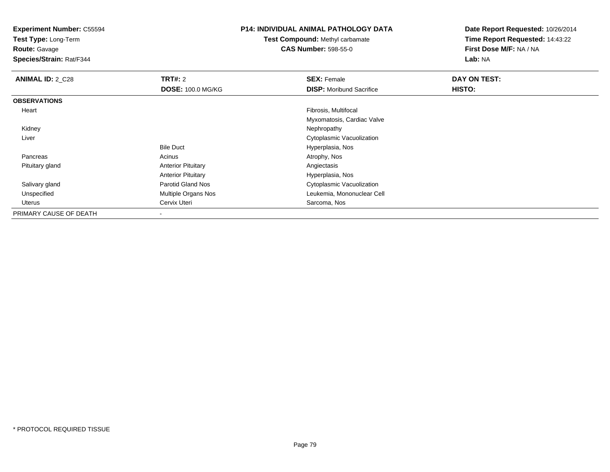**Test Type:** Long-Term

**Route:** Gavage

**Species/Strain:** Rat/F344

### **P14: INDIVIDUAL ANIMAL PATHOLOGY DATA**

**Test Compound:** Methyl carbamate**CAS Number:** 598-55-0

| <b>ANIMAL ID: 2_C28</b> | TRT#: 2                   | <b>SEX: Female</b>              | <b>DAY ON TEST:</b> |
|-------------------------|---------------------------|---------------------------------|---------------------|
|                         | <b>DOSE: 100.0 MG/KG</b>  | <b>DISP:</b> Moribund Sacrifice | HISTO:              |
| <b>OBSERVATIONS</b>     |                           |                                 |                     |
| Heart                   |                           | Fibrosis, Multifocal            |                     |
|                         |                           | Myxomatosis, Cardiac Valve      |                     |
| Kidney                  |                           | Nephropathy                     |                     |
| Liver                   |                           | Cytoplasmic Vacuolization       |                     |
|                         | <b>Bile Duct</b>          | Hyperplasia, Nos                |                     |
| Pancreas                | Acinus                    | Atrophy, Nos                    |                     |
| Pituitary gland         | <b>Anterior Pituitary</b> | Angiectasis                     |                     |
|                         | <b>Anterior Pituitary</b> | Hyperplasia, Nos                |                     |
| Salivary gland          | <b>Parotid Gland Nos</b>  | Cytoplasmic Vacuolization       |                     |
| Unspecified             | Multiple Organs Nos       | Leukemia, Mononuclear Cell      |                     |
| Uterus                  | Cervix Uteri              | Sarcoma, Nos                    |                     |
| PRIMARY CAUSE OF DEATH  |                           |                                 |                     |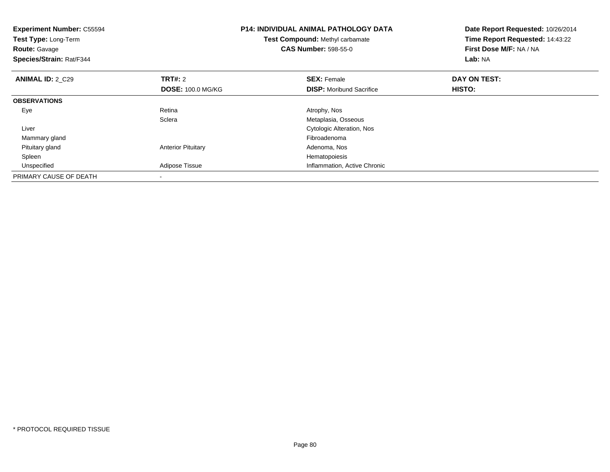| <b>Experiment Number: C55594</b><br>Test Type: Long-Term<br><b>Route: Gavage</b><br>Species/Strain: Rat/F344 |                           | <b>P14: INDIVIDUAL ANIMAL PATHOLOGY DATA</b><br>Test Compound: Methyl carbamate<br><b>CAS Number: 598-55-0</b> | Date Report Requested: 10/26/2014<br>Time Report Requested: 14:43:22<br>First Dose M/F: NA / NA<br>Lab: NA |
|--------------------------------------------------------------------------------------------------------------|---------------------------|----------------------------------------------------------------------------------------------------------------|------------------------------------------------------------------------------------------------------------|
| <b>ANIMAL ID: 2 C29</b>                                                                                      | <b>TRT#: 2</b>            | <b>SEX: Female</b>                                                                                             | DAY ON TEST:                                                                                               |
|                                                                                                              | <b>DOSE: 100.0 MG/KG</b>  | <b>DISP:</b> Moribund Sacrifice                                                                                | HISTO:                                                                                                     |
| <b>OBSERVATIONS</b>                                                                                          |                           |                                                                                                                |                                                                                                            |
| Eye                                                                                                          | Retina                    | Atrophy, Nos                                                                                                   |                                                                                                            |
|                                                                                                              | Sclera                    | Metaplasia, Osseous                                                                                            |                                                                                                            |
| Liver                                                                                                        |                           | Cytologic Alteration, Nos                                                                                      |                                                                                                            |
| Mammary gland                                                                                                |                           | Fibroadenoma                                                                                                   |                                                                                                            |
| Pituitary gland                                                                                              | <b>Anterior Pituitary</b> | Adenoma, Nos                                                                                                   |                                                                                                            |
| Spleen                                                                                                       |                           | Hematopoiesis                                                                                                  |                                                                                                            |
| Unspecified                                                                                                  | Adipose Tissue            | Inflammation, Active Chronic                                                                                   |                                                                                                            |
| PRIMARY CAUSE OF DEATH                                                                                       |                           |                                                                                                                |                                                                                                            |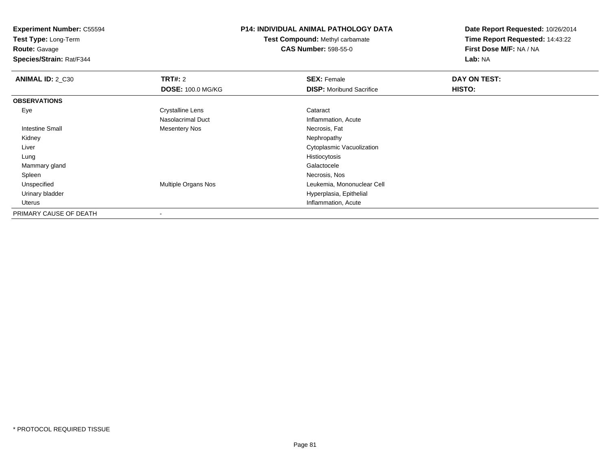**Test Type:** Long-Term

**Route:** Gavage

**Species/Strain:** Rat/F344

## **P14: INDIVIDUAL ANIMAL PATHOLOGY DATA**

**Test Compound:** Methyl carbamate**CAS Number:** 598-55-0

| <b>ANIMAL ID: 2_C30</b> | TRT#: 2                  | <b>SEX: Female</b>              | DAY ON TEST: |  |
|-------------------------|--------------------------|---------------------------------|--------------|--|
|                         | <b>DOSE: 100.0 MG/KG</b> | <b>DISP:</b> Moribund Sacrifice | HISTO:       |  |
| <b>OBSERVATIONS</b>     |                          |                                 |              |  |
| Eye                     | <b>Crystalline Lens</b>  | Cataract                        |              |  |
|                         | Nasolacrimal Duct        | Inflammation, Acute             |              |  |
| Intestine Small         | <b>Mesentery Nos</b>     | Necrosis, Fat                   |              |  |
| Kidney                  |                          | Nephropathy                     |              |  |
| Liver                   |                          | Cytoplasmic Vacuolization       |              |  |
| Lung                    |                          | Histiocytosis                   |              |  |
| Mammary gland           |                          | Galactocele                     |              |  |
| Spleen                  |                          | Necrosis, Nos                   |              |  |
| Unspecified             | Multiple Organs Nos      | Leukemia, Mononuclear Cell      |              |  |
| Urinary bladder         |                          | Hyperplasia, Epithelial         |              |  |
| Uterus                  |                          | Inflammation, Acute             |              |  |
| PRIMARY CAUSE OF DEATH  | $\blacksquare$           |                                 |              |  |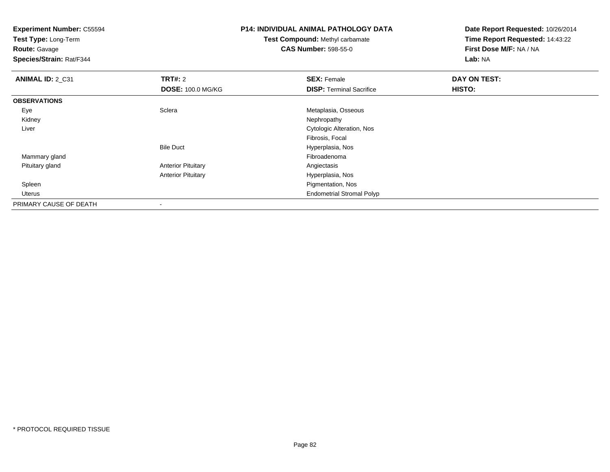**Experiment Number:** C55594**Test Type:** Long-Term

**Route:** Gavage

**Species/Strain:** Rat/F344

# **P14: INDIVIDUAL ANIMAL PATHOLOGY DATA**

**Test Compound:** Methyl carbamate**CAS Number:** 598-55-0

| ANIMAL ID: 2_C31       | TRT#: 2                   | <b>SEX: Female</b>               | DAY ON TEST: |  |
|------------------------|---------------------------|----------------------------------|--------------|--|
|                        | <b>DOSE: 100.0 MG/KG</b>  | <b>DISP:</b> Terminal Sacrifice  | HISTO:       |  |
| <b>OBSERVATIONS</b>    |                           |                                  |              |  |
| Eye                    | Sclera                    | Metaplasia, Osseous              |              |  |
| Kidney                 |                           | Nephropathy                      |              |  |
| Liver                  |                           | Cytologic Alteration, Nos        |              |  |
|                        |                           | Fibrosis, Focal                  |              |  |
|                        | <b>Bile Duct</b>          | Hyperplasia, Nos                 |              |  |
| Mammary gland          |                           | Fibroadenoma                     |              |  |
| Pituitary gland        | <b>Anterior Pituitary</b> | Angiectasis                      |              |  |
|                        | <b>Anterior Pituitary</b> | Hyperplasia, Nos                 |              |  |
| Spleen                 |                           | Pigmentation, Nos                |              |  |
| Uterus                 |                           | <b>Endometrial Stromal Polyp</b> |              |  |
| PRIMARY CAUSE OF DEATH | ۰                         |                                  |              |  |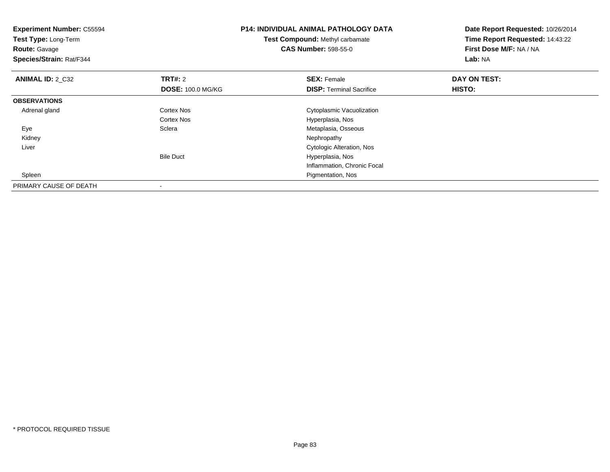| <b>Experiment Number: C55594</b><br>Test Type: Long-Term<br><b>Route: Gavage</b><br>Species/Strain: Rat/F344 |                          | <b>P14: INDIVIDUAL ANIMAL PATHOLOGY DATA</b><br>Test Compound: Methyl carbamate<br><b>CAS Number: 598-55-0</b> | Date Report Requested: 10/26/2014<br>Time Report Requested: 14:43:22<br>First Dose M/F: NA / NA<br>Lab: NA |
|--------------------------------------------------------------------------------------------------------------|--------------------------|----------------------------------------------------------------------------------------------------------------|------------------------------------------------------------------------------------------------------------|
| <b>ANIMAL ID: 2_C32</b>                                                                                      | <b>TRT#: 2</b>           | <b>SEX: Female</b>                                                                                             | DAY ON TEST:                                                                                               |
|                                                                                                              | <b>DOSE: 100.0 MG/KG</b> | <b>DISP:</b> Terminal Sacrifice                                                                                | HISTO:                                                                                                     |
| <b>OBSERVATIONS</b>                                                                                          |                          |                                                                                                                |                                                                                                            |
| Adrenal gland                                                                                                | <b>Cortex Nos</b>        | Cytoplasmic Vacuolization                                                                                      |                                                                                                            |
|                                                                                                              | Cortex Nos               | Hyperplasia, Nos                                                                                               |                                                                                                            |
| Eye                                                                                                          | Sclera                   | Metaplasia, Osseous                                                                                            |                                                                                                            |
| Kidney                                                                                                       |                          | Nephropathy                                                                                                    |                                                                                                            |
| Liver                                                                                                        |                          | Cytologic Alteration, Nos                                                                                      |                                                                                                            |
|                                                                                                              | <b>Bile Duct</b>         | Hyperplasia, Nos                                                                                               |                                                                                                            |
|                                                                                                              |                          | Inflammation, Chronic Focal                                                                                    |                                                                                                            |
| Spleen                                                                                                       |                          | Pigmentation, Nos                                                                                              |                                                                                                            |
| PRIMARY CAUSE OF DEATH                                                                                       |                          |                                                                                                                |                                                                                                            |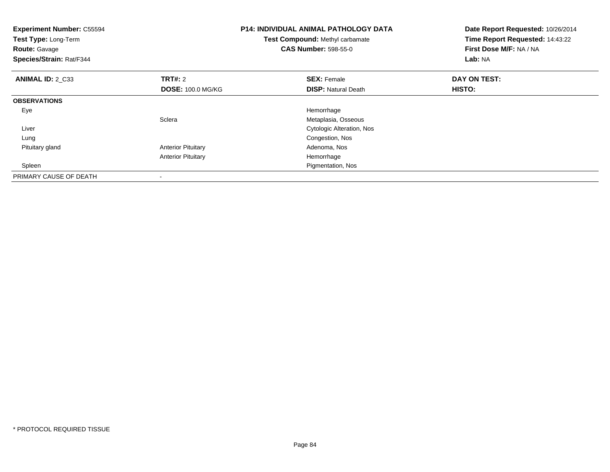| <b>Experiment Number: C55594</b><br>Test Type: Long-Term<br><b>Route: Gavage</b><br>Species/Strain: Rat/F344 |                           | <b>P14: INDIVIDUAL ANIMAL PATHOLOGY DATA</b><br>Test Compound: Methyl carbamate<br><b>CAS Number: 598-55-0</b> | Date Report Requested: 10/26/2014<br>Time Report Requested: 14:43:22<br>First Dose M/F: NA / NA<br>Lab: NA |
|--------------------------------------------------------------------------------------------------------------|---------------------------|----------------------------------------------------------------------------------------------------------------|------------------------------------------------------------------------------------------------------------|
| <b>ANIMAL ID: 2 C33</b>                                                                                      | <b>TRT#: 2</b>            | <b>SEX: Female</b>                                                                                             | DAY ON TEST:                                                                                               |
|                                                                                                              | <b>DOSE: 100.0 MG/KG</b>  | <b>DISP:</b> Natural Death                                                                                     | HISTO:                                                                                                     |
| <b>OBSERVATIONS</b>                                                                                          |                           |                                                                                                                |                                                                                                            |
| Eye                                                                                                          |                           | Hemorrhage                                                                                                     |                                                                                                            |
|                                                                                                              | Sclera                    | Metaplasia, Osseous                                                                                            |                                                                                                            |
| Liver                                                                                                        |                           | <b>Cytologic Alteration, Nos</b>                                                                               |                                                                                                            |
| Lung                                                                                                         |                           | Congestion, Nos                                                                                                |                                                                                                            |
| Pituitary gland                                                                                              | <b>Anterior Pituitary</b> | Adenoma, Nos                                                                                                   |                                                                                                            |
|                                                                                                              | <b>Anterior Pituitary</b> | Hemorrhage                                                                                                     |                                                                                                            |
| Spleen                                                                                                       |                           | Pigmentation, Nos                                                                                              |                                                                                                            |
| PRIMARY CAUSE OF DEATH                                                                                       |                           |                                                                                                                |                                                                                                            |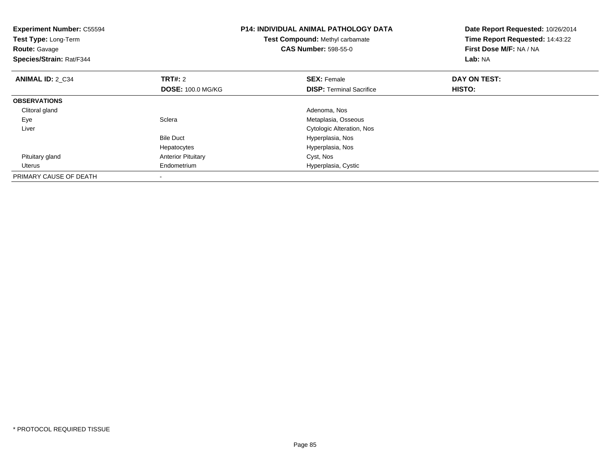| <b>Experiment Number: C55594</b><br>Test Type: Long-Term<br><b>Route: Gavage</b><br>Species/Strain: Rat/F344 |                           | <b>P14: INDIVIDUAL ANIMAL PATHOLOGY DATA</b><br>Test Compound: Methyl carbamate<br><b>CAS Number: 598-55-0</b> | Date Report Requested: 10/26/2014<br>Time Report Requested: 14:43:22<br>First Dose M/F: NA / NA<br>Lab: NA |
|--------------------------------------------------------------------------------------------------------------|---------------------------|----------------------------------------------------------------------------------------------------------------|------------------------------------------------------------------------------------------------------------|
| <b>ANIMAL ID: 2 C34</b>                                                                                      | <b>TRT#: 2</b>            | <b>SEX: Female</b>                                                                                             | DAY ON TEST:                                                                                               |
|                                                                                                              | <b>DOSE: 100.0 MG/KG</b>  | <b>DISP:</b> Terminal Sacrifice                                                                                | HISTO:                                                                                                     |
| <b>OBSERVATIONS</b>                                                                                          |                           |                                                                                                                |                                                                                                            |
| Clitoral gland                                                                                               |                           | Adenoma, Nos                                                                                                   |                                                                                                            |
| Eye                                                                                                          | Sclera                    | Metaplasia, Osseous                                                                                            |                                                                                                            |
| Liver                                                                                                        |                           | Cytologic Alteration, Nos                                                                                      |                                                                                                            |
|                                                                                                              | <b>Bile Duct</b>          | Hyperplasia, Nos                                                                                               |                                                                                                            |
|                                                                                                              | Hepatocytes               | Hyperplasia, Nos                                                                                               |                                                                                                            |
| Pituitary gland                                                                                              | <b>Anterior Pituitary</b> | Cyst, Nos                                                                                                      |                                                                                                            |
| Uterus                                                                                                       | Endometrium               | Hyperplasia, Cystic                                                                                            |                                                                                                            |
| PRIMARY CAUSE OF DEATH                                                                                       |                           |                                                                                                                |                                                                                                            |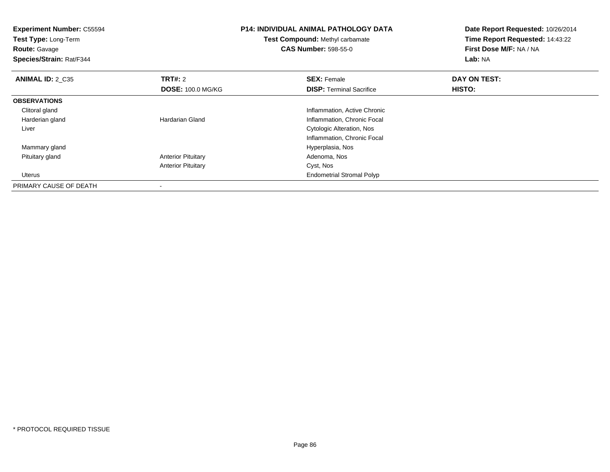| <b>Experiment Number: C55594</b><br>Test Type: Long-Term<br><b>Route: Gavage</b><br>Species/Strain: Rat/F344 |                           | <b>P14: INDIVIDUAL ANIMAL PATHOLOGY DATA</b><br>Test Compound: Methyl carbamate<br><b>CAS Number: 598-55-0</b> | Date Report Requested: 10/26/2014<br>Time Report Requested: 14:43:22<br>First Dose M/F: NA / NA<br>Lab: NA |  |
|--------------------------------------------------------------------------------------------------------------|---------------------------|----------------------------------------------------------------------------------------------------------------|------------------------------------------------------------------------------------------------------------|--|
| <b>ANIMAL ID: 2 C35</b>                                                                                      | <b>TRT#:</b> 2            | <b>SEX: Female</b>                                                                                             | DAY ON TEST:                                                                                               |  |
|                                                                                                              | <b>DOSE: 100.0 MG/KG</b>  | <b>DISP: Terminal Sacrifice</b>                                                                                | <b>HISTO:</b>                                                                                              |  |
| <b>OBSERVATIONS</b>                                                                                          |                           |                                                                                                                |                                                                                                            |  |
| Clitoral gland                                                                                               |                           | Inflammation, Active Chronic                                                                                   |                                                                                                            |  |
| Harderian gland                                                                                              | <b>Hardarian Gland</b>    | Inflammation, Chronic Focal                                                                                    |                                                                                                            |  |
| Liver                                                                                                        |                           | Cytologic Alteration, Nos                                                                                      |                                                                                                            |  |
|                                                                                                              |                           | Inflammation, Chronic Focal                                                                                    |                                                                                                            |  |
| Mammary gland                                                                                                |                           | Hyperplasia, Nos                                                                                               |                                                                                                            |  |
| Pituitary gland                                                                                              | <b>Anterior Pituitary</b> | Adenoma, Nos                                                                                                   |                                                                                                            |  |
|                                                                                                              | <b>Anterior Pituitary</b> | Cyst, Nos                                                                                                      |                                                                                                            |  |
| Uterus                                                                                                       |                           | <b>Endometrial Stromal Polyp</b>                                                                               |                                                                                                            |  |
| PRIMARY CAUSE OF DEATH                                                                                       |                           |                                                                                                                |                                                                                                            |  |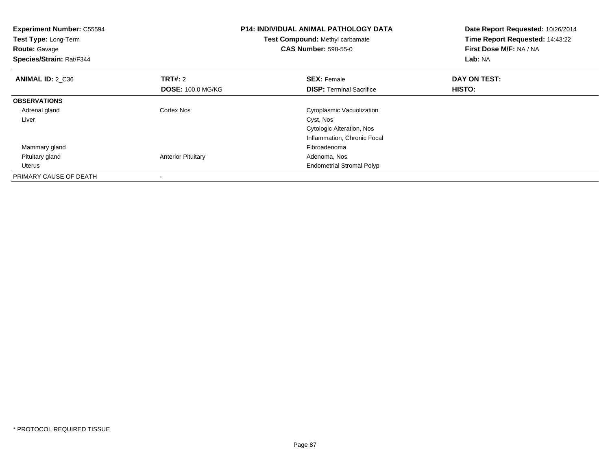| <b>Experiment Number: C55594</b><br>Test Type: Long-Term<br><b>Route: Gavage</b><br>Species/Strain: Rat/F344 |                           | <b>P14: INDIVIDUAL ANIMAL PATHOLOGY DATA</b><br>Test Compound: Methyl carbamate<br><b>CAS Number: 598-55-0</b> | Date Report Requested: 10/26/2014<br>Time Report Requested: 14:43:22<br>First Dose M/F: NA / NA<br>Lab: NA |
|--------------------------------------------------------------------------------------------------------------|---------------------------|----------------------------------------------------------------------------------------------------------------|------------------------------------------------------------------------------------------------------------|
| ANIMAL ID: 2 C36                                                                                             | TRT#: 2                   | <b>SEX: Female</b>                                                                                             | DAY ON TEST:                                                                                               |
|                                                                                                              | <b>DOSE: 100.0 MG/KG</b>  | <b>DISP:</b> Terminal Sacrifice                                                                                | <b>HISTO:</b>                                                                                              |
| <b>OBSERVATIONS</b>                                                                                          |                           |                                                                                                                |                                                                                                            |
| Adrenal gland                                                                                                | Cortex Nos                | Cytoplasmic Vacuolization                                                                                      |                                                                                                            |
| Liver                                                                                                        |                           | Cyst, Nos                                                                                                      |                                                                                                            |
|                                                                                                              |                           | <b>Cytologic Alteration, Nos</b>                                                                               |                                                                                                            |
|                                                                                                              |                           | Inflammation, Chronic Focal                                                                                    |                                                                                                            |
| Mammary gland                                                                                                |                           | Fibroadenoma                                                                                                   |                                                                                                            |
| Pituitary gland                                                                                              | <b>Anterior Pituitary</b> | Adenoma, Nos                                                                                                   |                                                                                                            |
| Uterus                                                                                                       |                           | <b>Endometrial Stromal Polyp</b>                                                                               |                                                                                                            |
| PRIMARY CAUSE OF DEATH                                                                                       | $\overline{\phantom{a}}$  |                                                                                                                |                                                                                                            |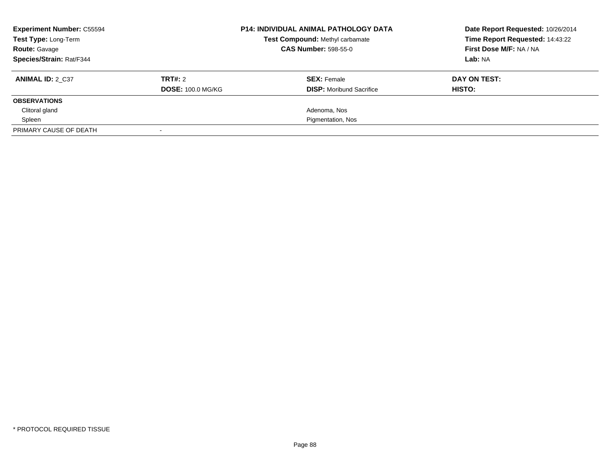| <b>Experiment Number: C55594</b><br>Test Type: Long-Term<br><b>Route: Gavage</b> | <b>P14: INDIVIDUAL ANIMAL PATHOLOGY DATA</b><br><b>Test Compound: Methyl carbamate</b><br><b>CAS Number: 598-55-0</b> |                                 | Date Report Requested: 10/26/2014<br>Time Report Requested: 14:43:22<br>First Dose M/F: NA / NA |
|----------------------------------------------------------------------------------|-----------------------------------------------------------------------------------------------------------------------|---------------------------------|-------------------------------------------------------------------------------------------------|
| Species/Strain: Rat/F344                                                         |                                                                                                                       |                                 | Lab: NA                                                                                         |
| <b>ANIMAL ID: 2 C37</b>                                                          | TRT#: 2                                                                                                               | <b>SEX: Female</b>              | DAY ON TEST:                                                                                    |
|                                                                                  | <b>DOSE: 100.0 MG/KG</b>                                                                                              | <b>DISP:</b> Moribund Sacrifice | HISTO:                                                                                          |
| <b>OBSERVATIONS</b>                                                              |                                                                                                                       |                                 |                                                                                                 |
| Clitoral gland                                                                   |                                                                                                                       | Adenoma, Nos                    |                                                                                                 |
| Spleen                                                                           |                                                                                                                       | Pigmentation, Nos               |                                                                                                 |
| PRIMARY CAUSE OF DEATH                                                           |                                                                                                                       |                                 |                                                                                                 |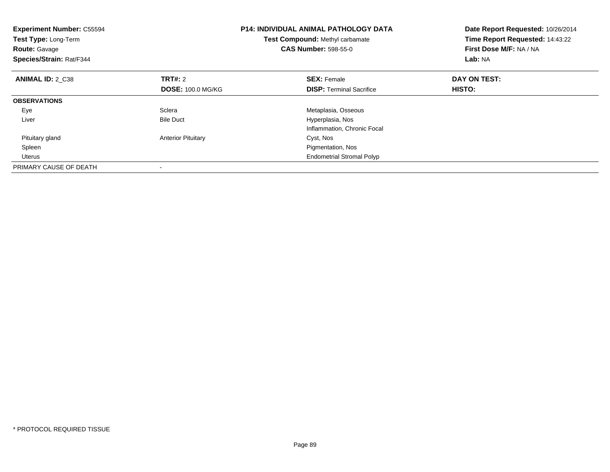| <b>Experiment Number: C55594</b><br><b>Test Type: Long-Term</b><br><b>Route: Gavage</b><br>Species/Strain: Rat/F344 |                           | <b>P14: INDIVIDUAL ANIMAL PATHOLOGY DATA</b><br><b>Test Compound: Methyl carbamate</b><br><b>CAS Number: 598-55-0</b> | Date Report Requested: 10/26/2014<br>Time Report Requested: 14:43:22<br>First Dose M/F: NA / NA<br>Lab: NA |
|---------------------------------------------------------------------------------------------------------------------|---------------------------|-----------------------------------------------------------------------------------------------------------------------|------------------------------------------------------------------------------------------------------------|
| <b>ANIMAL ID: 2 C38</b>                                                                                             | <b>TRT#: 2</b>            | <b>SEX: Female</b>                                                                                                    | DAY ON TEST:                                                                                               |
|                                                                                                                     | <b>DOSE: 100.0 MG/KG</b>  | <b>DISP:</b> Terminal Sacrifice                                                                                       | <b>HISTO:</b>                                                                                              |
| <b>OBSERVATIONS</b>                                                                                                 |                           |                                                                                                                       |                                                                                                            |
| Eye                                                                                                                 | Sclera                    | Metaplasia, Osseous                                                                                                   |                                                                                                            |
| Liver                                                                                                               | <b>Bile Duct</b>          | Hyperplasia, Nos                                                                                                      |                                                                                                            |
|                                                                                                                     |                           | Inflammation, Chronic Focal                                                                                           |                                                                                                            |
| Pituitary gland                                                                                                     | <b>Anterior Pituitary</b> | Cyst, Nos                                                                                                             |                                                                                                            |
| Spleen                                                                                                              |                           | Pigmentation, Nos                                                                                                     |                                                                                                            |
| Uterus                                                                                                              |                           | <b>Endometrial Stromal Polyp</b>                                                                                      |                                                                                                            |
| PRIMARY CAUSE OF DEATH                                                                                              |                           |                                                                                                                       |                                                                                                            |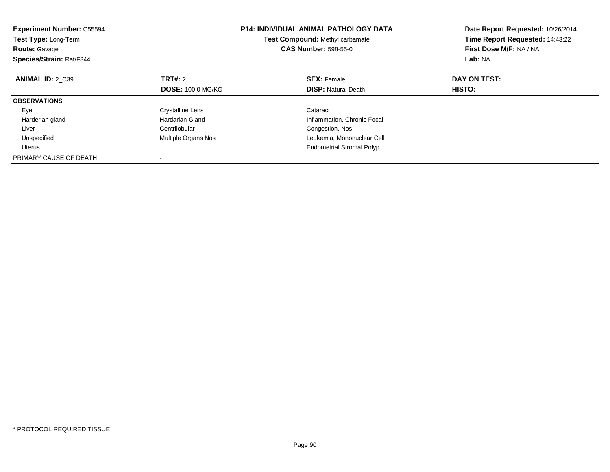| <b>Experiment Number: C55594</b><br>Test Type: Long-Term<br><b>CAS Number: 598-55-0</b><br><b>Route: Gavage</b><br>Species/Strain: Rat/F344 |                          | <b>P14: INDIVIDUAL ANIMAL PATHOLOGY DATA</b><br>Test Compound: Methyl carbamate | Date Report Requested: 10/26/2014<br>Time Report Requested: 14:43:22<br>First Dose M/F: NA / NA<br>Lab: NA |
|---------------------------------------------------------------------------------------------------------------------------------------------|--------------------------|---------------------------------------------------------------------------------|------------------------------------------------------------------------------------------------------------|
| <b>ANIMAL ID: 2 C39</b>                                                                                                                     | <b>TRT#: 2</b>           | <b>SEX: Female</b>                                                              | DAY ON TEST:                                                                                               |
|                                                                                                                                             | <b>DOSE: 100.0 MG/KG</b> | <b>DISP:</b> Natural Death                                                      | <b>HISTO:</b>                                                                                              |
| <b>OBSERVATIONS</b>                                                                                                                         |                          |                                                                                 |                                                                                                            |
| Eye                                                                                                                                         | <b>Crystalline Lens</b>  | Cataract                                                                        |                                                                                                            |
| Harderian gland                                                                                                                             | Hardarian Gland          | Inflammation, Chronic Focal                                                     |                                                                                                            |
| Liver                                                                                                                                       | Centrilobular            | Congestion, Nos                                                                 |                                                                                                            |
| Unspecified                                                                                                                                 | Multiple Organs Nos      | Leukemia, Mononuclear Cell                                                      |                                                                                                            |
| <b>Uterus</b>                                                                                                                               |                          | <b>Endometrial Stromal Polyp</b>                                                |                                                                                                            |
| PRIMARY CAUSE OF DEATH                                                                                                                      |                          |                                                                                 |                                                                                                            |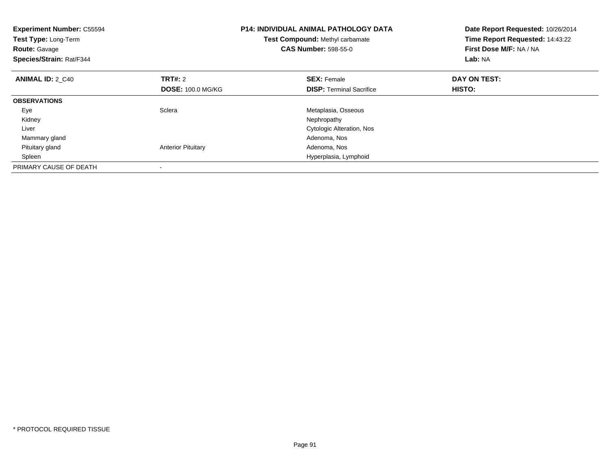| <b>Experiment Number: C55594</b><br>Test Type: Long-Term<br><b>Route: Gavage</b><br>Species/Strain: Rat/F344 |                           | <b>P14: INDIVIDUAL ANIMAL PATHOLOGY DATA</b><br><b>Test Compound: Methyl carbamate</b><br><b>CAS Number: 598-55-0</b> | Date Report Requested: 10/26/2014<br>Time Report Requested: 14:43:22<br>First Dose M/F: NA / NA<br>Lab: NA |
|--------------------------------------------------------------------------------------------------------------|---------------------------|-----------------------------------------------------------------------------------------------------------------------|------------------------------------------------------------------------------------------------------------|
| <b>ANIMAL ID: 2 C40</b>                                                                                      | TRT#: 2                   | <b>SEX: Female</b>                                                                                                    | DAY ON TEST:                                                                                               |
|                                                                                                              | <b>DOSE: 100.0 MG/KG</b>  | <b>DISP:</b> Terminal Sacrifice                                                                                       | <b>HISTO:</b>                                                                                              |
| <b>OBSERVATIONS</b>                                                                                          |                           |                                                                                                                       |                                                                                                            |
| Eye                                                                                                          | Sclera                    | Metaplasia, Osseous                                                                                                   |                                                                                                            |
| Kidney                                                                                                       |                           | Nephropathy                                                                                                           |                                                                                                            |
| Liver                                                                                                        |                           | Cytologic Alteration, Nos                                                                                             |                                                                                                            |
| Mammary gland                                                                                                |                           | Adenoma, Nos                                                                                                          |                                                                                                            |
| Pituitary gland                                                                                              | <b>Anterior Pituitary</b> | Adenoma, Nos                                                                                                          |                                                                                                            |
| Spleen                                                                                                       |                           | Hyperplasia, Lymphoid                                                                                                 |                                                                                                            |
| PRIMARY CAUSE OF DEATH                                                                                       |                           |                                                                                                                       |                                                                                                            |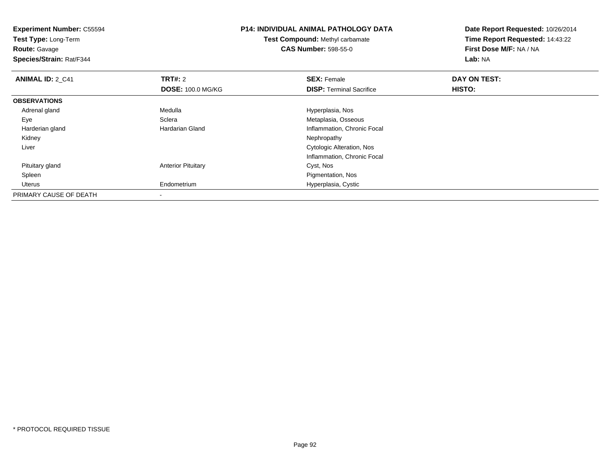**Experiment Number:** C55594**Test Type:** Long-Term**Route:** Gavage **Species/Strain:** Rat/F344**P14: INDIVIDUAL ANIMAL PATHOLOGY DATATest Compound:** Methyl carbamate**CAS Number:** 598-55-0**Date Report Requested:** 10/26/2014**Time Report Requested:** 14:43:22**First Dose M/F:** NA / NA**Lab:** NA**ANIMAL ID: 2 C41 TRT#:** 2 **SEX:** Female **DAY ON TEST: DOSE:** 100.0 MG/KG**DISP:** Terminal Sacrifice **HISTO: OBSERVATIONS** Adrenal gland Medulla Hyperplasia, Nos EyeSclera Metaplasia, Osseous<br>
Hardarian Gland Metaplasia, Osseous<br>
Metaplasia, Osseous Harderian glandInflammation, Chronic Focal<br>Nephropathy Kidneyy the control of the control of the control of the control of the control of the control of the control of the control of the control of the control of the control of the control of the control of the control of the contro Liver Cytologic Alteration, Nos Inflammation, Chronic Focal Pituitary glandAnterior Pituitary **Cyst, Nos**  Spleen Pigmentation, Nos Uterus Endometrium Hyperplasia, Cystic PRIMARY CAUSE OF DEATH-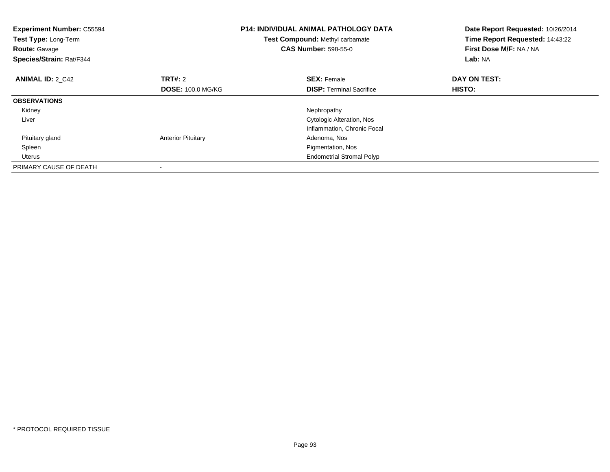| <b>Experiment Number: C55594</b><br>Test Type: Long-Term<br><b>Route: Gavage</b><br>Species/Strain: Rat/F344 |                           | <b>P14: INDIVIDUAL ANIMAL PATHOLOGY DATA</b><br>Test Compound: Methyl carbamate<br><b>CAS Number: 598-55-0</b> | Date Report Requested: 10/26/2014<br>Time Report Requested: 14:43:22<br>First Dose M/F: NA / NA<br>Lab: NA |  |
|--------------------------------------------------------------------------------------------------------------|---------------------------|----------------------------------------------------------------------------------------------------------------|------------------------------------------------------------------------------------------------------------|--|
| <b>ANIMAL ID: 2 C42</b>                                                                                      | <b>TRT#: 2</b>            | <b>SEX: Female</b>                                                                                             | DAY ON TEST:                                                                                               |  |
|                                                                                                              | <b>DOSE: 100.0 MG/KG</b>  | <b>DISP:</b> Terminal Sacrifice                                                                                | <b>HISTO:</b>                                                                                              |  |
| <b>OBSERVATIONS</b>                                                                                          |                           |                                                                                                                |                                                                                                            |  |
| Kidney                                                                                                       |                           | Nephropathy                                                                                                    |                                                                                                            |  |
| Liver                                                                                                        |                           | <b>Cytologic Alteration, Nos</b>                                                                               |                                                                                                            |  |
|                                                                                                              |                           | Inflammation, Chronic Focal                                                                                    |                                                                                                            |  |
| Pituitary gland                                                                                              | <b>Anterior Pituitary</b> | Adenoma, Nos                                                                                                   |                                                                                                            |  |
| Spleen                                                                                                       |                           | Pigmentation, Nos                                                                                              |                                                                                                            |  |
| Uterus                                                                                                       |                           | <b>Endometrial Stromal Polyp</b>                                                                               |                                                                                                            |  |
| PRIMARY CAUSE OF DEATH                                                                                       |                           |                                                                                                                |                                                                                                            |  |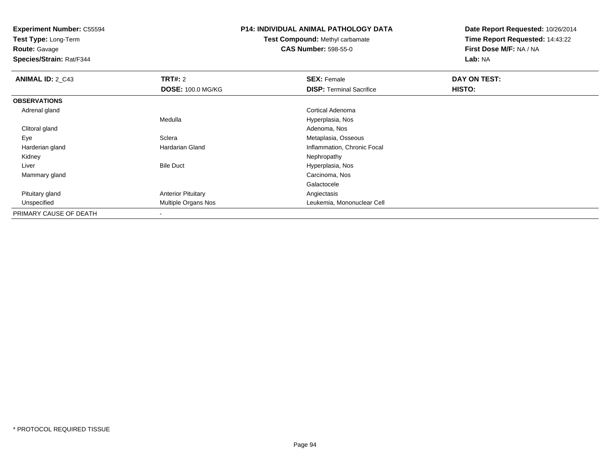**Test Type:** Long-Term

**Route:** Gavage

**Species/Strain:** Rat/F344

### **P14: INDIVIDUAL ANIMAL PATHOLOGY DATA**

**Test Compound:** Methyl carbamate**CAS Number:** 598-55-0

| <b>ANIMAL ID: 2_C43</b> | <b>TRT#: 2</b>             | <b>SEX: Female</b>              | DAY ON TEST: |  |
|-------------------------|----------------------------|---------------------------------|--------------|--|
|                         | <b>DOSE: 100.0 MG/KG</b>   | <b>DISP:</b> Terminal Sacrifice | HISTO:       |  |
| <b>OBSERVATIONS</b>     |                            |                                 |              |  |
| Adrenal gland           |                            | Cortical Adenoma                |              |  |
|                         | Medulla                    | Hyperplasia, Nos                |              |  |
| Clitoral gland          |                            | Adenoma, Nos                    |              |  |
| Eye                     | Sclera                     | Metaplasia, Osseous             |              |  |
| Harderian gland         | Hardarian Gland            | Inflammation, Chronic Focal     |              |  |
| Kidney                  |                            | Nephropathy                     |              |  |
| Liver                   | <b>Bile Duct</b>           | Hyperplasia, Nos                |              |  |
| Mammary gland           |                            | Carcinoma, Nos                  |              |  |
|                         |                            | Galactocele                     |              |  |
| Pituitary gland         | <b>Anterior Pituitary</b>  | Angiectasis                     |              |  |
| Unspecified             | <b>Multiple Organs Nos</b> | Leukemia, Mononuclear Cell      |              |  |
| PRIMARY CAUSE OF DEATH  |                            |                                 |              |  |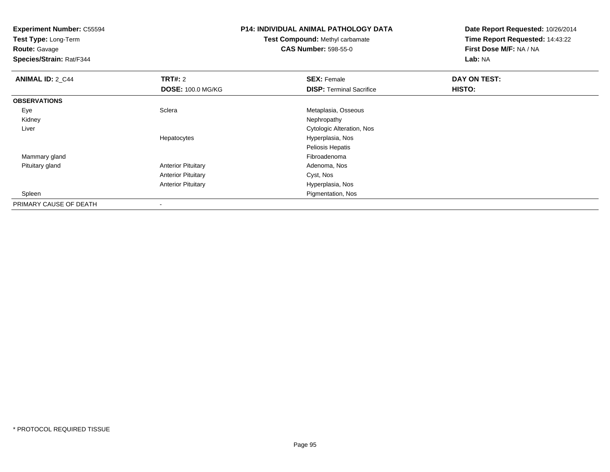**Test Type:** Long-Term

**Route:** Gavage

**Species/Strain:** Rat/F344

# **P14: INDIVIDUAL ANIMAL PATHOLOGY DATA**

# **Test Compound:** Methyl carbamate**CAS Number:** 598-55-0

| <b>ANIMAL ID: 2_C44</b> | TRT#: 2                   | <b>SEX: Female</b>              | DAY ON TEST:  |  |
|-------------------------|---------------------------|---------------------------------|---------------|--|
|                         | <b>DOSE: 100.0 MG/KG</b>  | <b>DISP: Terminal Sacrifice</b> | <b>HISTO:</b> |  |
| <b>OBSERVATIONS</b>     |                           |                                 |               |  |
| Eye                     | Sclera                    | Metaplasia, Osseous             |               |  |
| Kidney                  |                           | Nephropathy                     |               |  |
| Liver                   |                           | Cytologic Alteration, Nos       |               |  |
|                         | Hepatocytes               | Hyperplasia, Nos                |               |  |
|                         |                           | Peliosis Hepatis                |               |  |
| Mammary gland           |                           | Fibroadenoma                    |               |  |
| Pituitary gland         | <b>Anterior Pituitary</b> | Adenoma, Nos                    |               |  |
|                         | <b>Anterior Pituitary</b> | Cyst, Nos                       |               |  |
|                         | <b>Anterior Pituitary</b> | Hyperplasia, Nos                |               |  |
| Spleen                  |                           | Pigmentation, Nos               |               |  |
| PRIMARY CAUSE OF DEATH  | $\overline{\phantom{a}}$  |                                 |               |  |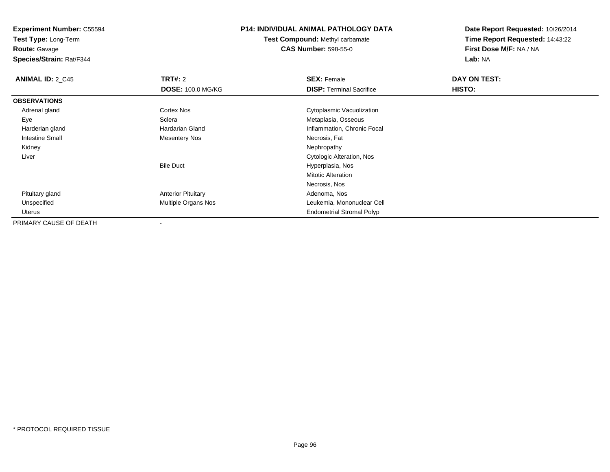**Test Type:** Long-Term**Route:** Gavage

**Species/Strain:** Rat/F344

### **P14: INDIVIDUAL ANIMAL PATHOLOGY DATA**

**Test Compound:** Methyl carbamate**CAS Number:** 598-55-0

| <b>ANIMAL ID: 2_C45</b> | <b>TRT#: 2</b>             | <b>SEX: Female</b>               | DAY ON TEST: |  |
|-------------------------|----------------------------|----------------------------------|--------------|--|
|                         | <b>DOSE: 100.0 MG/KG</b>   | <b>DISP: Terminal Sacrifice</b>  | HISTO:       |  |
| <b>OBSERVATIONS</b>     |                            |                                  |              |  |
| Adrenal gland           | <b>Cortex Nos</b>          | Cytoplasmic Vacuolization        |              |  |
| Eye                     | Sclera                     | Metaplasia, Osseous              |              |  |
| Harderian gland         | Hardarian Gland            | Inflammation, Chronic Focal      |              |  |
| <b>Intestine Small</b>  | Mesentery Nos              | Necrosis, Fat                    |              |  |
| Kidney                  |                            | Nephropathy                      |              |  |
| Liver                   |                            | Cytologic Alteration, Nos        |              |  |
|                         | <b>Bile Duct</b>           | Hyperplasia, Nos                 |              |  |
|                         |                            | <b>Mitotic Alteration</b>        |              |  |
|                         |                            | Necrosis, Nos                    |              |  |
| Pituitary gland         | <b>Anterior Pituitary</b>  | Adenoma, Nos                     |              |  |
| Unspecified             | <b>Multiple Organs Nos</b> | Leukemia, Mononuclear Cell       |              |  |
| Uterus                  |                            | <b>Endometrial Stromal Polyp</b> |              |  |
| PRIMARY CAUSE OF DEATH  |                            |                                  |              |  |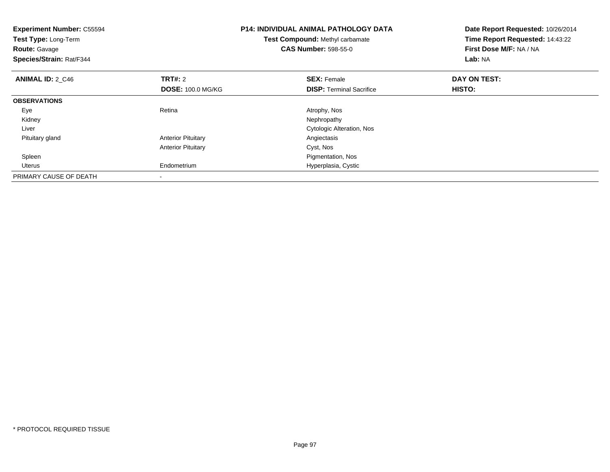| <b>Experiment Number: C55594</b><br>Test Type: Long-Term<br><b>Route: Gavage</b><br>Species/Strain: Rat/F344 |                                            | <b>P14: INDIVIDUAL ANIMAL PATHOLOGY DATA</b><br>Test Compound: Methyl carbamate<br><b>CAS Number: 598-55-0</b> | Date Report Requested: 10/26/2014<br>Time Report Requested: 14:43:22<br>First Dose M/F: NA / NA<br>Lab: NA |
|--------------------------------------------------------------------------------------------------------------|--------------------------------------------|----------------------------------------------------------------------------------------------------------------|------------------------------------------------------------------------------------------------------------|
| <b>ANIMAL ID: 2 C46</b>                                                                                      | <b>TRT#: 2</b><br><b>DOSE: 100.0 MG/KG</b> | <b>SEX: Female</b><br><b>DISP:</b> Terminal Sacrifice                                                          | DAY ON TEST:<br>HISTO:                                                                                     |
| <b>OBSERVATIONS</b>                                                                                          |                                            |                                                                                                                |                                                                                                            |
| Eye                                                                                                          | Retina                                     | Atrophy, Nos                                                                                                   |                                                                                                            |
| Kidney                                                                                                       |                                            | Nephropathy                                                                                                    |                                                                                                            |
| Liver                                                                                                        |                                            | <b>Cytologic Alteration, Nos</b>                                                                               |                                                                                                            |
| Pituitary gland                                                                                              | <b>Anterior Pituitary</b>                  | Angiectasis                                                                                                    |                                                                                                            |
|                                                                                                              | <b>Anterior Pituitary</b>                  | Cyst, Nos                                                                                                      |                                                                                                            |
| Spleen                                                                                                       |                                            | Pigmentation, Nos                                                                                              |                                                                                                            |
| Uterus                                                                                                       | Endometrium                                | Hyperplasia, Cystic                                                                                            |                                                                                                            |
| PRIMARY CAUSE OF DEATH                                                                                       |                                            |                                                                                                                |                                                                                                            |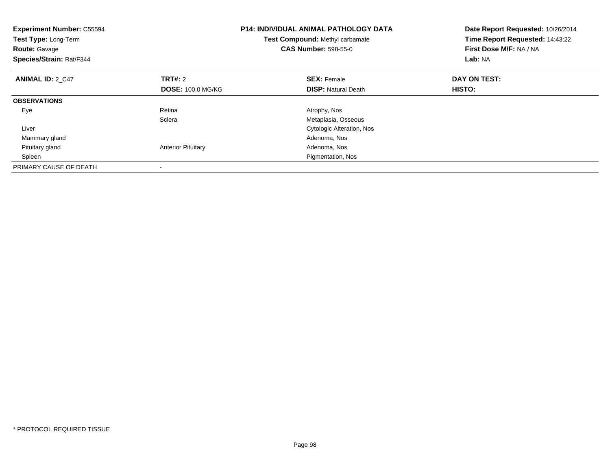| <b>Experiment Number: C55594</b><br>Test Type: Long-Term<br><b>Route: Gavage</b><br>Species/Strain: Rat/F344 |                           | <b>P14: INDIVIDUAL ANIMAL PATHOLOGY DATA</b><br>Test Compound: Methyl carbamate<br><b>CAS Number: 598-55-0</b> | Date Report Requested: 10/26/2014<br>Time Report Requested: 14:43:22<br>First Dose M/F: NA / NA<br>Lab: NA |
|--------------------------------------------------------------------------------------------------------------|---------------------------|----------------------------------------------------------------------------------------------------------------|------------------------------------------------------------------------------------------------------------|
| <b>ANIMAL ID: 2 C47</b>                                                                                      | <b>TRT#: 2</b>            | <b>SEX: Female</b>                                                                                             | DAY ON TEST:                                                                                               |
|                                                                                                              | <b>DOSE: 100.0 MG/KG</b>  | <b>DISP:</b> Natural Death                                                                                     | <b>HISTO:</b>                                                                                              |
| <b>OBSERVATIONS</b>                                                                                          |                           |                                                                                                                |                                                                                                            |
| Eye                                                                                                          | Retina                    | Atrophy, Nos                                                                                                   |                                                                                                            |
|                                                                                                              | Sclera                    | Metaplasia, Osseous                                                                                            |                                                                                                            |
| Liver                                                                                                        |                           | Cytologic Alteration, Nos                                                                                      |                                                                                                            |
| Mammary gland                                                                                                |                           | Adenoma, Nos                                                                                                   |                                                                                                            |
| Pituitary gland                                                                                              | <b>Anterior Pituitary</b> | Adenoma, Nos                                                                                                   |                                                                                                            |
| Spleen                                                                                                       |                           | Pigmentation, Nos                                                                                              |                                                                                                            |
| PRIMARY CAUSE OF DEATH                                                                                       |                           |                                                                                                                |                                                                                                            |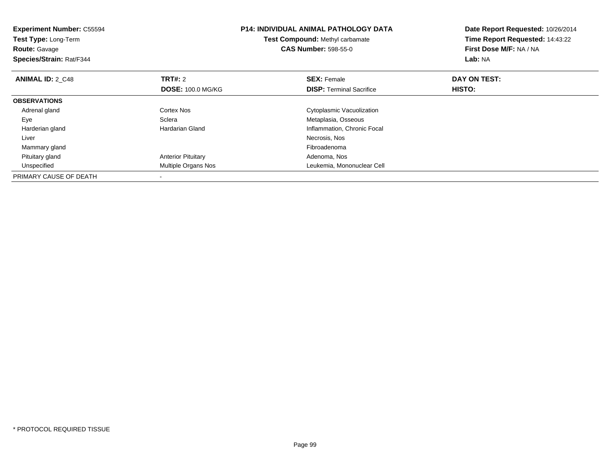| <b>Experiment Number: C55594</b><br>Test Type: Long-Term<br><b>Route: Gavage</b><br>Species/Strain: Rat/F344 |                           | <b>P14: INDIVIDUAL ANIMAL PATHOLOGY DATA</b><br>Test Compound: Methyl carbamate<br><b>CAS Number: 598-55-0</b> | Date Report Requested: 10/26/2014<br>Time Report Requested: 14:43:22<br>First Dose M/F: NA / NA<br>Lab: NA |
|--------------------------------------------------------------------------------------------------------------|---------------------------|----------------------------------------------------------------------------------------------------------------|------------------------------------------------------------------------------------------------------------|
| <b>ANIMAL ID: 2 C48</b>                                                                                      | <b>TRT#: 2</b>            | <b>SEX: Female</b>                                                                                             | DAY ON TEST:                                                                                               |
|                                                                                                              | <b>DOSE: 100.0 MG/KG</b>  | <b>DISP:</b> Terminal Sacrifice                                                                                | <b>HISTO:</b>                                                                                              |
| <b>OBSERVATIONS</b>                                                                                          |                           |                                                                                                                |                                                                                                            |
| Adrenal gland                                                                                                | Cortex Nos                | Cytoplasmic Vacuolization                                                                                      |                                                                                                            |
| Eye                                                                                                          | Sclera                    | Metaplasia, Osseous                                                                                            |                                                                                                            |
| Harderian gland                                                                                              | Hardarian Gland           | Inflammation, Chronic Focal                                                                                    |                                                                                                            |
| Liver                                                                                                        |                           | Necrosis, Nos                                                                                                  |                                                                                                            |
| Mammary gland                                                                                                |                           | Fibroadenoma                                                                                                   |                                                                                                            |
| Pituitary gland                                                                                              | <b>Anterior Pituitary</b> | Adenoma, Nos                                                                                                   |                                                                                                            |
| Unspecified                                                                                                  | Multiple Organs Nos       | Leukemia, Mononuclear Cell                                                                                     |                                                                                                            |
| PRIMARY CAUSE OF DEATH                                                                                       |                           |                                                                                                                |                                                                                                            |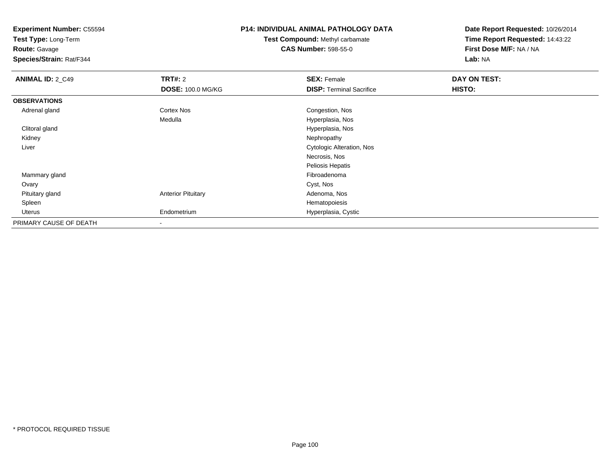**Test Type:** Long-Term

**Route:** Gavage

**Species/Strain:** Rat/F344

## **P14: INDIVIDUAL ANIMAL PATHOLOGY DATA**

**Test Compound:** Methyl carbamate**CAS Number:** 598-55-0

| <b>ANIMAL ID: 2_C49</b> | <b>TRT#: 2</b>            | <b>SEX: Female</b>              | DAY ON TEST: |  |
|-------------------------|---------------------------|---------------------------------|--------------|--|
|                         | <b>DOSE: 100.0 MG/KG</b>  | <b>DISP:</b> Terminal Sacrifice | HISTO:       |  |
| <b>OBSERVATIONS</b>     |                           |                                 |              |  |
| Adrenal gland           | <b>Cortex Nos</b>         | Congestion, Nos                 |              |  |
|                         | Medulla                   | Hyperplasia, Nos                |              |  |
| Clitoral gland          |                           | Hyperplasia, Nos                |              |  |
| Kidney                  |                           | Nephropathy                     |              |  |
| Liver                   |                           | Cytologic Alteration, Nos       |              |  |
|                         |                           | Necrosis, Nos                   |              |  |
|                         |                           | Peliosis Hepatis                |              |  |
| Mammary gland           |                           | Fibroadenoma                    |              |  |
| Ovary                   |                           | Cyst, Nos                       |              |  |
| Pituitary gland         | <b>Anterior Pituitary</b> | Adenoma, Nos                    |              |  |
| Spleen                  |                           | Hematopoiesis                   |              |  |
| Uterus                  | Endometrium               | Hyperplasia, Cystic             |              |  |
| PRIMARY CAUSE OF DEATH  | $\overline{\phantom{a}}$  |                                 |              |  |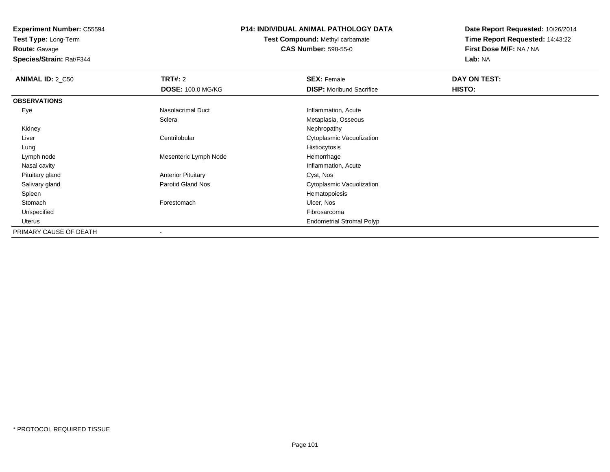**Test Type:** Long-Term

**Route:** Gavage

**Species/Strain:** Rat/F344

### **P14: INDIVIDUAL ANIMAL PATHOLOGY DATA**

**Test Compound:** Methyl carbamate**CAS Number:** 598-55-0

| <b>ANIMAL ID: 2_C50</b> | <b>TRT#: 2</b>            | <b>SEX: Female</b>               | DAY ON TEST: |  |
|-------------------------|---------------------------|----------------------------------|--------------|--|
|                         | <b>DOSE: 100.0 MG/KG</b>  | <b>DISP:</b> Moribund Sacrifice  | HISTO:       |  |
| <b>OBSERVATIONS</b>     |                           |                                  |              |  |
| Eye                     | Nasolacrimal Duct         | Inflammation, Acute              |              |  |
|                         | Sclera                    | Metaplasia, Osseous              |              |  |
| Kidney                  |                           | Nephropathy                      |              |  |
| Liver                   | Centrilobular             | Cytoplasmic Vacuolization        |              |  |
| Lung                    |                           | Histiocytosis                    |              |  |
| Lymph node              | Mesenteric Lymph Node     | Hemorrhage                       |              |  |
| Nasal cavity            |                           | Inflammation, Acute              |              |  |
| Pituitary gland         | <b>Anterior Pituitary</b> | Cyst, Nos                        |              |  |
| Salivary gland          | <b>Parotid Gland Nos</b>  | Cytoplasmic Vacuolization        |              |  |
| Spleen                  |                           | Hematopoiesis                    |              |  |
| Stomach                 | Forestomach               | Ulcer, Nos                       |              |  |
| Unspecified             |                           | Fibrosarcoma                     |              |  |
| Uterus                  |                           | <b>Endometrial Stromal Polyp</b> |              |  |
| PRIMARY CAUSE OF DEATH  |                           |                                  |              |  |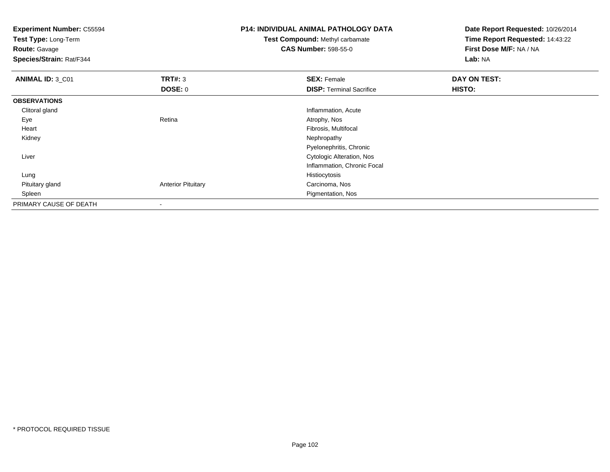**Experiment Number:** C55594**Test Type:** Long-Term**Route:** Gavage **Species/Strain:** Rat/F344**P14: INDIVIDUAL ANIMAL PATHOLOGY DATATest Compound:** Methyl carbamate**CAS Number:** 598-55-0**Date Report Requested:** 10/26/2014**Time Report Requested:** 14:43:22**First Dose M/F:** NA / NA**Lab:** NA**ANIMAL ID:** 3\_C01**TRT#:** 3 **SEX:** Female **DAY ON TEST: DOSE:** 0**DISP:** Terminal Sacrifice **HISTO: OBSERVATIONS** Clitoral gland Inflammation, Acute Eyee and the contract of the Retina Atrophy, Nos and Atrophy, Nos and Atrophy, Nos and Atrophy, Nos and Atrophy, Nos Heart Fibrosis, Multifocal Kidneyy the control of the control of the control of the control of the control of the control of the control of the control of the control of the control of the control of the control of the control of the control of the contro Pyelonephritis, Chronic Cytologic Alteration, Nos Liver Inflammation, Chronic Focal Lungg and the state of the state of the state of the state of the state of the state of the state of the state of the state of the state of the state of the state of the state of the state of the state of the state of the stat Pituitary glandAnterior Pituitary **Carcinoma**, Nos Spleen Pigmentation, Nos PRIMARY CAUSE OF DEATH-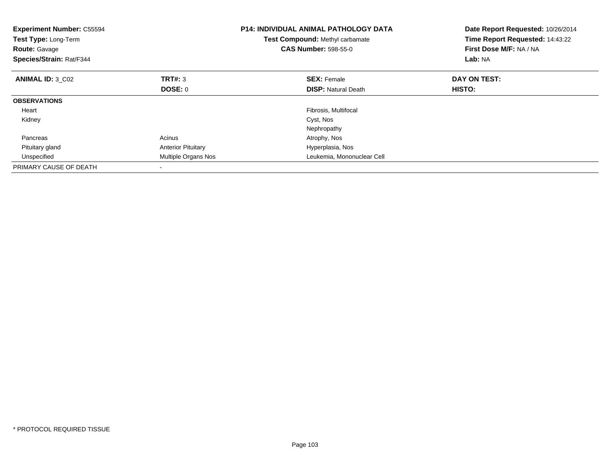| <b>Experiment Number: C55594</b><br>Test Type: Long-Term<br><b>Route: Gavage</b><br>Species/Strain: Rat/F344 |                           | <b>P14: INDIVIDUAL ANIMAL PATHOLOGY DATA</b><br>Test Compound: Methyl carbamate<br><b>CAS Number: 598-55-0</b> | Date Report Requested: 10/26/2014<br>Time Report Requested: 14:43:22<br>First Dose M/F: NA / NA<br>Lab: NA |
|--------------------------------------------------------------------------------------------------------------|---------------------------|----------------------------------------------------------------------------------------------------------------|------------------------------------------------------------------------------------------------------------|
| <b>ANIMAL ID: 3 C02</b>                                                                                      | TRT#: 3                   | <b>SEX: Female</b>                                                                                             | DAY ON TEST:                                                                                               |
|                                                                                                              | DOSE: 0                   | <b>DISP:</b> Natural Death                                                                                     | <b>HISTO:</b>                                                                                              |
| <b>OBSERVATIONS</b>                                                                                          |                           |                                                                                                                |                                                                                                            |
| Heart                                                                                                        |                           | Fibrosis, Multifocal                                                                                           |                                                                                                            |
| Kidney                                                                                                       |                           | Cyst, Nos                                                                                                      |                                                                                                            |
|                                                                                                              |                           | Nephropathy                                                                                                    |                                                                                                            |
| Pancreas                                                                                                     | Acinus                    | Atrophy, Nos                                                                                                   |                                                                                                            |
| Pituitary gland                                                                                              | <b>Anterior Pituitary</b> | Hyperplasia, Nos                                                                                               |                                                                                                            |
| Unspecified                                                                                                  | Multiple Organs Nos       | Leukemia, Mononuclear Cell                                                                                     |                                                                                                            |
| PRIMARY CAUSE OF DEATH                                                                                       |                           |                                                                                                                |                                                                                                            |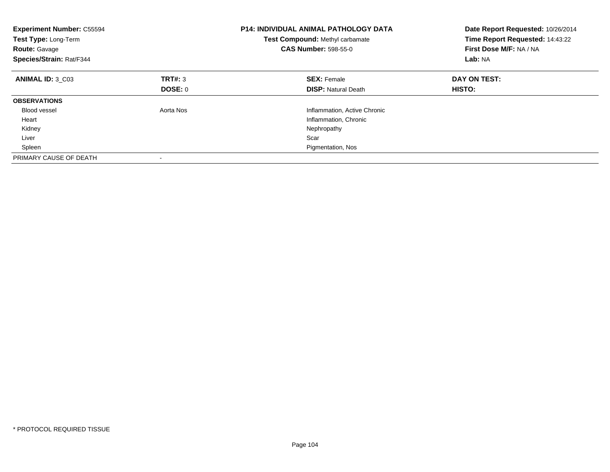| <b>Experiment Number: C55594</b><br>Test Type: Long-Term<br><b>Route: Gavage</b><br>Species/Strain: Rat/F344 |           | <b>P14: INDIVIDUAL ANIMAL PATHOLOGY DATA</b><br>Test Compound: Methyl carbamate<br><b>CAS Number: 598-55-0</b> | Date Report Requested: 10/26/2014<br>Time Report Requested: 14:43:22<br>First Dose M/F: NA / NA<br>Lab: NA |
|--------------------------------------------------------------------------------------------------------------|-----------|----------------------------------------------------------------------------------------------------------------|------------------------------------------------------------------------------------------------------------|
| ANIMAL ID: 3 C03                                                                                             | TRT#: 3   | <b>SEX: Female</b>                                                                                             | DAY ON TEST:                                                                                               |
|                                                                                                              | DOSE: 0   | <b>DISP:</b> Natural Death                                                                                     | <b>HISTO:</b>                                                                                              |
| <b>OBSERVATIONS</b>                                                                                          |           |                                                                                                                |                                                                                                            |
| <b>Blood vessel</b>                                                                                          | Aorta Nos | Inflammation, Active Chronic                                                                                   |                                                                                                            |
| Heart                                                                                                        |           | Inflammation, Chronic                                                                                          |                                                                                                            |
| Kidney                                                                                                       |           | Nephropathy                                                                                                    |                                                                                                            |
| Liver                                                                                                        |           | Scar                                                                                                           |                                                                                                            |
| Spleen                                                                                                       |           | Pigmentation, Nos                                                                                              |                                                                                                            |
| PRIMARY CAUSE OF DEATH                                                                                       |           |                                                                                                                |                                                                                                            |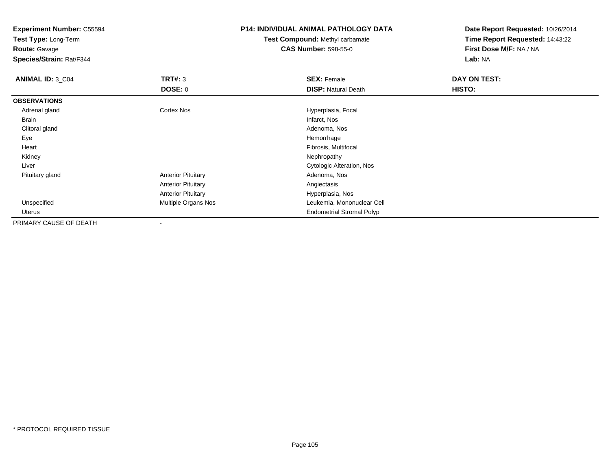**Test Type:** Long-Term

**Route:** Gavage

**Species/Strain:** Rat/F344

### **P14: INDIVIDUAL ANIMAL PATHOLOGY DATA**

**Test Compound:** Methyl carbamate**CAS Number:** 598-55-0

| <b>ANIMAL ID: 3_C04</b> | TRT#: 3                    | <b>SEX: Female</b>               | DAY ON TEST: |  |
|-------------------------|----------------------------|----------------------------------|--------------|--|
|                         | DOSE: 0                    | <b>DISP: Natural Death</b>       | HISTO:       |  |
| <b>OBSERVATIONS</b>     |                            |                                  |              |  |
| Adrenal gland           | <b>Cortex Nos</b>          | Hyperplasia, Focal               |              |  |
| Brain                   |                            | Infarct, Nos                     |              |  |
| Clitoral gland          |                            | Adenoma, Nos                     |              |  |
| Eye                     |                            | Hemorrhage                       |              |  |
| Heart                   |                            | Fibrosis, Multifocal             |              |  |
| Kidney                  |                            | Nephropathy                      |              |  |
| Liver                   |                            | Cytologic Alteration, Nos        |              |  |
| Pituitary gland         | <b>Anterior Pituitary</b>  | Adenoma, Nos                     |              |  |
|                         | <b>Anterior Pituitary</b>  | Angiectasis                      |              |  |
|                         | <b>Anterior Pituitary</b>  | Hyperplasia, Nos                 |              |  |
| Unspecified             | <b>Multiple Organs Nos</b> | Leukemia, Mononuclear Cell       |              |  |
| Uterus                  |                            | <b>Endometrial Stromal Polyp</b> |              |  |
| PRIMARY CAUSE OF DEATH  |                            |                                  |              |  |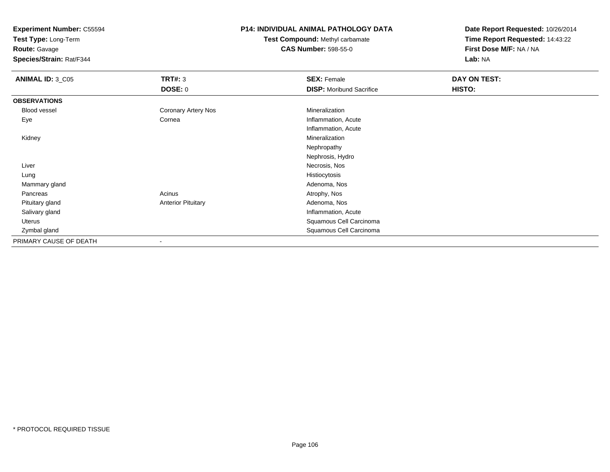**Test Type:** Long-Term

**Route:** Gavage

**Species/Strain:** Rat/F344

### **P14: INDIVIDUAL ANIMAL PATHOLOGY DATA**

**Test Compound:** Methyl carbamate**CAS Number:** 598-55-0

| <b>ANIMAL ID: 3_C05</b> | <b>TRT#: 3</b>            | <b>SEX: Female</b>              | DAY ON TEST: |  |
|-------------------------|---------------------------|---------------------------------|--------------|--|
|                         | <b>DOSE: 0</b>            | <b>DISP:</b> Moribund Sacrifice | HISTO:       |  |
| <b>OBSERVATIONS</b>     |                           |                                 |              |  |
| Blood vessel            | Coronary Artery Nos       | Mineralization                  |              |  |
| Eye                     | Cornea                    | Inflammation, Acute             |              |  |
|                         |                           | Inflammation, Acute             |              |  |
| Kidney                  |                           | Mineralization                  |              |  |
|                         |                           | Nephropathy                     |              |  |
|                         |                           | Nephrosis, Hydro                |              |  |
| Liver                   |                           | Necrosis, Nos                   |              |  |
| Lung                    |                           | Histiocytosis                   |              |  |
| Mammary gland           |                           | Adenoma, Nos                    |              |  |
| Pancreas                | Acinus                    | Atrophy, Nos                    |              |  |
| Pituitary gland         | <b>Anterior Pituitary</b> | Adenoma, Nos                    |              |  |
| Salivary gland          |                           | Inflammation, Acute             |              |  |
| Uterus                  |                           | Squamous Cell Carcinoma         |              |  |
| Zymbal gland            |                           | Squamous Cell Carcinoma         |              |  |
| PRIMARY CAUSE OF DEATH  | $\overline{\phantom{a}}$  |                                 |              |  |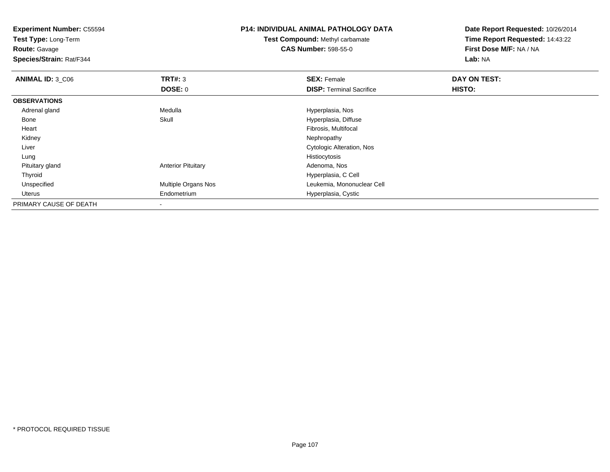**Experiment Number:** C55594**Test Type:** Long-Term**Route:** Gavage **Species/Strain:** Rat/F344**P14: INDIVIDUAL ANIMAL PATHOLOGY DATATest Compound:** Methyl carbamate**CAS Number:** 598-55-0**Date Report Requested:** 10/26/2014**Time Report Requested:** 14:43:22**First Dose M/F:** NA / NA**Lab:** NA**ANIMAL ID: 3 C06 6 SEX:** Female **DAY ON TEST: DAY ON TEST: DOSE:** 0**DISP:** Terminal Sacrifice **HISTO: OBSERVATIONS** Adrenal gland Medulla Hyperplasia, Nos BoneHyperplasia, Diffuse Heart Fibrosis, Multifocal Kidneyy the control of the control of the control of the control of the control of the control of the control of the control of the control of the control of the control of the control of the control of the control of the contro Liver Cytologic Alteration, Nos Lungg and the state of the state of the state of the state of the state of the state of the state of the state of the state of the state of the state of the state of the state of the state of the state of the state of the stat Pituitary glandAnterior Pituitary **Adenoma, Nos** Adenoma, Nos Thyroid Hyperplasia, C Cell UnspecifiedMultiple Organs Nos **Multiple Organs Nos** Leukemia, Mononuclear Cell Uterus Endometrium Hyperplasia, Cystic PRIMARY CAUSE OF DEATH-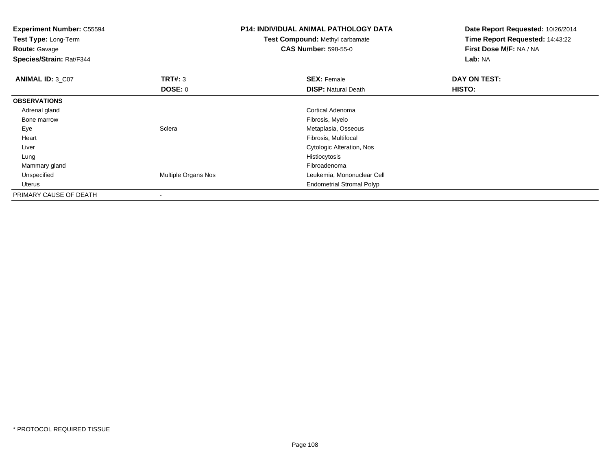| <b>Experiment Number: C55594</b><br>Test Type: Long-Term<br><b>Route: Gavage</b><br>Species/Strain: Rat/F344 |                     | <b>P14: INDIVIDUAL ANIMAL PATHOLOGY DATA</b><br>Test Compound: Methyl carbamate<br><b>CAS Number: 598-55-0</b> | Date Report Requested: 10/26/2014<br>Time Report Requested: 14:43:22<br>First Dose M/F: NA / NA<br>Lab: NA |
|--------------------------------------------------------------------------------------------------------------|---------------------|----------------------------------------------------------------------------------------------------------------|------------------------------------------------------------------------------------------------------------|
| ANIMAL ID: 3_C07                                                                                             | <b>TRT#: 3</b>      | <b>SEX: Female</b>                                                                                             | DAY ON TEST:                                                                                               |
|                                                                                                              | DOSE: 0             | <b>DISP: Natural Death</b>                                                                                     | HISTO:                                                                                                     |
| <b>OBSERVATIONS</b>                                                                                          |                     |                                                                                                                |                                                                                                            |
| Adrenal gland                                                                                                |                     | <b>Cortical Adenoma</b>                                                                                        |                                                                                                            |
| Bone marrow                                                                                                  |                     | Fibrosis, Myelo                                                                                                |                                                                                                            |
| Eye                                                                                                          | Sclera              | Metaplasia, Osseous                                                                                            |                                                                                                            |
| Heart                                                                                                        |                     | Fibrosis, Multifocal                                                                                           |                                                                                                            |
| Liver                                                                                                        |                     | Cytologic Alteration, Nos                                                                                      |                                                                                                            |
| Lung                                                                                                         |                     | Histiocytosis                                                                                                  |                                                                                                            |
| Mammary gland                                                                                                |                     | Fibroadenoma                                                                                                   |                                                                                                            |
| Unspecified                                                                                                  | Multiple Organs Nos | Leukemia, Mononuclear Cell                                                                                     |                                                                                                            |
| Uterus                                                                                                       |                     | <b>Endometrial Stromal Polyp</b>                                                                               |                                                                                                            |
| PRIMARY CAUSE OF DEATH                                                                                       | ۰                   |                                                                                                                |                                                                                                            |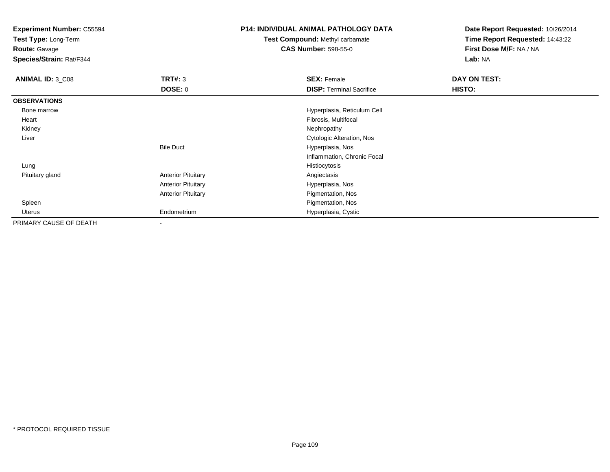**Test Type:** Long-Term

**Route:** Gavage

**Species/Strain:** Rat/F344

# **P14: INDIVIDUAL ANIMAL PATHOLOGY DATA**

**Test Compound:** Methyl carbamate**CAS Number:** 598-55-0

| ANIMAL ID: 3 C08       | TRT#: 3                   | <b>SEX: Female</b>              | DAY ON TEST: |  |
|------------------------|---------------------------|---------------------------------|--------------|--|
|                        | <b>DOSE: 0</b>            | <b>DISP: Terminal Sacrifice</b> | HISTO:       |  |
| <b>OBSERVATIONS</b>    |                           |                                 |              |  |
| Bone marrow            |                           | Hyperplasia, Reticulum Cell     |              |  |
| Heart                  |                           | Fibrosis, Multifocal            |              |  |
| Kidney                 |                           | Nephropathy                     |              |  |
| Liver                  |                           | Cytologic Alteration, Nos       |              |  |
|                        | <b>Bile Duct</b>          | Hyperplasia, Nos                |              |  |
|                        |                           | Inflammation, Chronic Focal     |              |  |
| Lung                   |                           | Histiocytosis                   |              |  |
| Pituitary gland        | <b>Anterior Pituitary</b> | Angiectasis                     |              |  |
|                        | <b>Anterior Pituitary</b> | Hyperplasia, Nos                |              |  |
|                        | <b>Anterior Pituitary</b> | Pigmentation, Nos               |              |  |
| Spleen                 |                           | Pigmentation, Nos               |              |  |
| Uterus                 | Endometrium               | Hyperplasia, Cystic             |              |  |
| PRIMARY CAUSE OF DEATH | $\,$                      |                                 |              |  |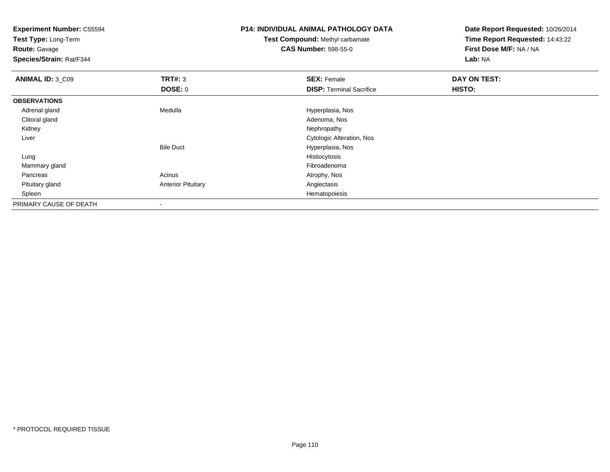**Experiment Number:** C55594**Test Type:** Long-Term**Route:** Gavage **Species/Strain:** Rat/F344**P14: INDIVIDUAL ANIMAL PATHOLOGY DATATest Compound:** Methyl carbamate**CAS Number:** 598-55-0**Date Report Requested:** 10/26/2014**Time Report Requested:** 14:43:22**First Dose M/F:** NA / NA**Lab:** NA**ANIMAL ID: 3 C09 TRT#:** 3 **SEX:** Female **DAY ON TEST: DOSE:** 0**DISP:** Terminal Sacrifice **HISTO: OBSERVATIONS** Adrenal glandMedulla **Medulla** Hyperplasia, Nos<br>
Adenoma, Nos Clitoral glandd and the control of the control of the control of the control of the control of the control of the control of the control of the control of the control of the control of the control of the control of the control of the co Kidneyy the control of the control of the control of the control of the control of the control of the control of the control of the control of the control of the control of the control of the control of the control of the contro Liver Cytologic Alteration, NosBile Duct Hyperplasia, Nos Lungg and the state of the state of the state of the state of the state of the state of the state of the state of the state of the state of the state of the state of the state of the state of the state of the state of the stat Mammary glandd and the control of the control of the control of the control of the control of the control of the control of the control of the control of the control of the control of the control of the control of the control of the co Pancreass and the contract of the contract of the contract of the contract of the contract  $\mathsf{A}$  at  $\mathsf{A}$  and  $\mathsf{A}$  and  $\mathsf{A}$  and  $\mathsf{A}$  and  $\mathsf{A}$  are contract of  $\mathsf{A}$  and  $\mathsf{A}$  and  $\mathsf{A}$  are contract of Pituitary glandAnterior Pituitary **Anterior Pituitary** Anglectasis<br>Hematopoiesis Spleenn and the control of the control of the control of the control of the control of the control of the control of the control of the control of the control of the control of the control of the control of the control of the co PRIMARY CAUSE OF DEATH-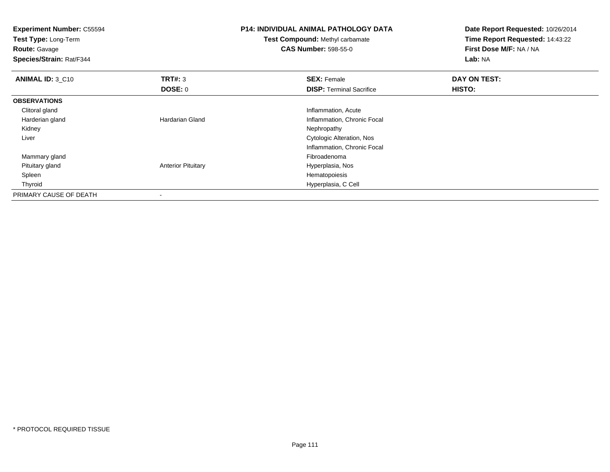| <b>Experiment Number: C55594</b><br>Test Type: Long-Term<br><b>Route: Gavage</b><br>Species/Strain: Rat/F344 |                           | <b>P14: INDIVIDUAL ANIMAL PATHOLOGY DATA</b><br><b>Test Compound: Methyl carbamate</b><br><b>CAS Number: 598-55-0</b> | Date Report Requested: 10/26/2014<br>Time Report Requested: 14:43:22<br>First Dose M/F: NA / NA<br>Lab: NA |
|--------------------------------------------------------------------------------------------------------------|---------------------------|-----------------------------------------------------------------------------------------------------------------------|------------------------------------------------------------------------------------------------------------|
| <b>ANIMAL ID: 3_C10</b>                                                                                      | TRT#: 3                   | <b>SEX: Female</b>                                                                                                    | DAY ON TEST:                                                                                               |
|                                                                                                              | DOSE: 0                   | <b>DISP: Terminal Sacrifice</b>                                                                                       | HISTO:                                                                                                     |
| <b>OBSERVATIONS</b>                                                                                          |                           |                                                                                                                       |                                                                                                            |
| Clitoral gland                                                                                               |                           | Inflammation, Acute                                                                                                   |                                                                                                            |
| Harderian gland                                                                                              | <b>Hardarian Gland</b>    | Inflammation, Chronic Focal                                                                                           |                                                                                                            |
| Kidney                                                                                                       |                           | Nephropathy                                                                                                           |                                                                                                            |
| Liver                                                                                                        |                           | Cytologic Alteration, Nos                                                                                             |                                                                                                            |
|                                                                                                              |                           | Inflammation, Chronic Focal                                                                                           |                                                                                                            |
| Mammary gland                                                                                                |                           | Fibroadenoma                                                                                                          |                                                                                                            |
| Pituitary gland                                                                                              | <b>Anterior Pituitary</b> | Hyperplasia, Nos                                                                                                      |                                                                                                            |
| Spleen                                                                                                       |                           | Hematopoiesis                                                                                                         |                                                                                                            |
| Thyroid                                                                                                      |                           | Hyperplasia, C Cell                                                                                                   |                                                                                                            |
| PRIMARY CAUSE OF DEATH                                                                                       |                           |                                                                                                                       |                                                                                                            |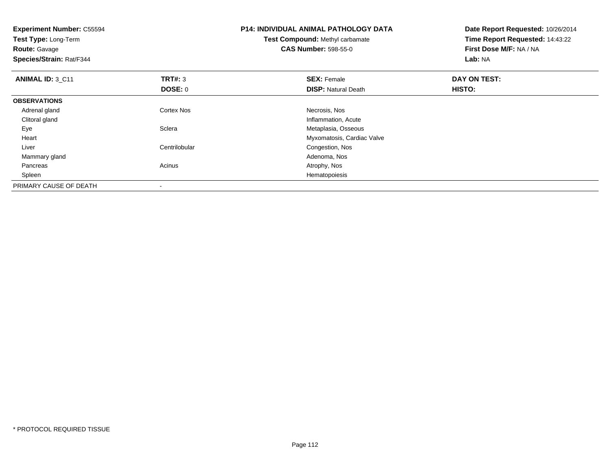| <b>Experiment Number: C55594</b><br>Test Type: Long-Term<br><b>Route: Gavage</b><br>Species/Strain: Rat/F344 |                   | <b>P14: INDIVIDUAL ANIMAL PATHOLOGY DATA</b><br>Test Compound: Methyl carbamate<br><b>CAS Number: 598-55-0</b> | Date Report Requested: 10/26/2014<br>Time Report Requested: 14:43:22<br>First Dose M/F: NA / NA<br>Lab: NA |
|--------------------------------------------------------------------------------------------------------------|-------------------|----------------------------------------------------------------------------------------------------------------|------------------------------------------------------------------------------------------------------------|
| ANIMAL ID: 3 C11                                                                                             | <b>TRT#: 3</b>    | <b>SEX: Female</b>                                                                                             | DAY ON TEST:                                                                                               |
|                                                                                                              | DOSE: 0           | <b>DISP: Natural Death</b>                                                                                     | <b>HISTO:</b>                                                                                              |
| <b>OBSERVATIONS</b>                                                                                          |                   |                                                                                                                |                                                                                                            |
| Adrenal gland                                                                                                | <b>Cortex Nos</b> | Necrosis, Nos                                                                                                  |                                                                                                            |
| Clitoral gland                                                                                               |                   | Inflammation, Acute                                                                                            |                                                                                                            |
| Eye                                                                                                          | Sclera            | Metaplasia, Osseous                                                                                            |                                                                                                            |
| Heart                                                                                                        |                   | Myxomatosis, Cardiac Valve                                                                                     |                                                                                                            |
| Liver                                                                                                        | Centrilobular     | Congestion, Nos                                                                                                |                                                                                                            |
| Mammary gland                                                                                                |                   | Adenoma, Nos                                                                                                   |                                                                                                            |
| Pancreas                                                                                                     | Acinus            | Atrophy, Nos                                                                                                   |                                                                                                            |
| Spleen                                                                                                       |                   | Hematopoiesis                                                                                                  |                                                                                                            |
| PRIMARY CAUSE OF DEATH                                                                                       |                   |                                                                                                                |                                                                                                            |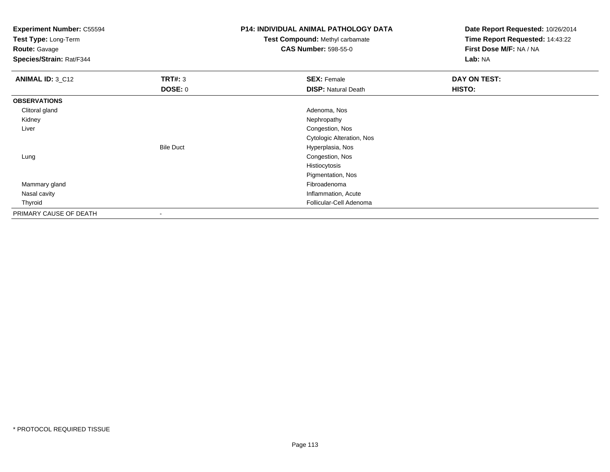**Test Type:** Long-Term

**Route:** Gavage

**Species/Strain:** Rat/F344

# **P14: INDIVIDUAL ANIMAL PATHOLOGY DATA**

**Test Compound:** Methyl carbamate**CAS Number:** 598-55-0

| ANIMAL ID: 3_C12       | TRT#: 3          | <b>SEX: Female</b>         | DAY ON TEST: |  |
|------------------------|------------------|----------------------------|--------------|--|
|                        | <b>DOSE: 0</b>   | <b>DISP: Natural Death</b> | HISTO:       |  |
| <b>OBSERVATIONS</b>    |                  |                            |              |  |
| Clitoral gland         |                  | Adenoma, Nos               |              |  |
| Kidney                 |                  | Nephropathy                |              |  |
| Liver                  |                  | Congestion, Nos            |              |  |
|                        |                  | Cytologic Alteration, Nos  |              |  |
|                        | <b>Bile Duct</b> | Hyperplasia, Nos           |              |  |
| Lung                   |                  | Congestion, Nos            |              |  |
|                        |                  | Histiocytosis              |              |  |
|                        |                  | Pigmentation, Nos          |              |  |
| Mammary gland          |                  | Fibroadenoma               |              |  |
| Nasal cavity           |                  | Inflammation, Acute        |              |  |
| Thyroid                |                  | Follicular-Cell Adenoma    |              |  |
| PRIMARY CAUSE OF DEATH | $\blacksquare$   |                            |              |  |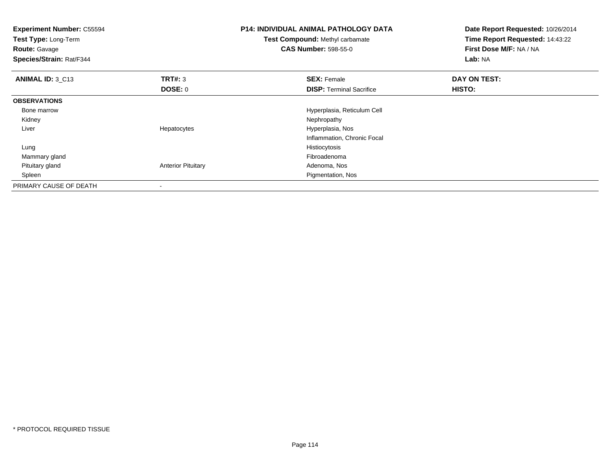| <b>Experiment Number: C55594</b><br>Test Type: Long-Term<br><b>Route: Gavage</b><br>Species/Strain: Rat/F344 |                           | <b>P14: INDIVIDUAL ANIMAL PATHOLOGY DATA</b><br><b>Test Compound: Methyl carbamate</b><br><b>CAS Number: 598-55-0</b> | Date Report Requested: 10/26/2014<br>Time Report Requested: 14:43:22<br>First Dose M/F: NA / NA<br>Lab: NA |
|--------------------------------------------------------------------------------------------------------------|---------------------------|-----------------------------------------------------------------------------------------------------------------------|------------------------------------------------------------------------------------------------------------|
| <b>ANIMAL ID: 3_C13</b>                                                                                      | TRT#: 3                   | <b>SEX: Female</b>                                                                                                    | DAY ON TEST:                                                                                               |
|                                                                                                              | DOSE: 0                   | <b>DISP:</b> Terminal Sacrifice                                                                                       | <b>HISTO:</b>                                                                                              |
| <b>OBSERVATIONS</b>                                                                                          |                           |                                                                                                                       |                                                                                                            |
| Bone marrow                                                                                                  |                           | Hyperplasia, Reticulum Cell                                                                                           |                                                                                                            |
| Kidney                                                                                                       |                           | Nephropathy                                                                                                           |                                                                                                            |
| Liver                                                                                                        | Hepatocytes               | Hyperplasia, Nos                                                                                                      |                                                                                                            |
|                                                                                                              |                           | Inflammation, Chronic Focal                                                                                           |                                                                                                            |
| Lung                                                                                                         |                           | Histiocytosis                                                                                                         |                                                                                                            |
| Mammary gland                                                                                                |                           | Fibroadenoma                                                                                                          |                                                                                                            |
| Pituitary gland                                                                                              | <b>Anterior Pituitary</b> | Adenoma, Nos                                                                                                          |                                                                                                            |
| Spleen                                                                                                       |                           | Pigmentation, Nos                                                                                                     |                                                                                                            |
| PRIMARY CAUSE OF DEATH                                                                                       | $\overline{\phantom{a}}$  |                                                                                                                       |                                                                                                            |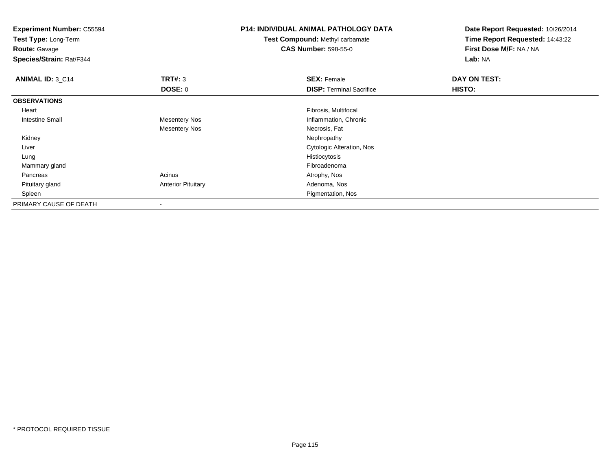| <b>Experiment Number: C55594</b> |                           | <b>P14: INDIVIDUAL ANIMAL PATHOLOGY DATA</b> | Date Report Requested: 10/26/2014 |
|----------------------------------|---------------------------|----------------------------------------------|-----------------------------------|
| Test Type: Long-Term             |                           | <b>Test Compound: Methyl carbamate</b>       | Time Report Requested: 14:43:22   |
| <b>Route: Gavage</b>             |                           | <b>CAS Number: 598-55-0</b>                  | First Dose M/F: NA / NA           |
| Species/Strain: Rat/F344         |                           |                                              | Lab: NA                           |
| <b>ANIMAL ID: 3_C14</b>          | TRT#: 3                   | <b>SEX: Female</b>                           | DAY ON TEST:                      |
|                                  | <b>DOSE: 0</b>            | <b>DISP: Terminal Sacrifice</b>              | HISTO:                            |
| <b>OBSERVATIONS</b>              |                           |                                              |                                   |
| Heart                            |                           | Fibrosis, Multifocal                         |                                   |
| Intestine Small                  | <b>Mesentery Nos</b>      | Inflammation, Chronic                        |                                   |
|                                  | <b>Mesentery Nos</b>      | Necrosis, Fat                                |                                   |
| Kidney                           |                           | Nephropathy                                  |                                   |
| Liver                            |                           | Cytologic Alteration, Nos                    |                                   |
| Lung                             |                           | Histiocytosis                                |                                   |
| Mammary gland                    |                           | Fibroadenoma                                 |                                   |
| Pancreas                         | Acinus                    | Atrophy, Nos                                 |                                   |
| Pituitary gland                  | <b>Anterior Pituitary</b> | Adenoma, Nos                                 |                                   |
| Spleen                           |                           | Pigmentation, Nos                            |                                   |
| PRIMARY CAUSE OF DEATH           |                           |                                              |                                   |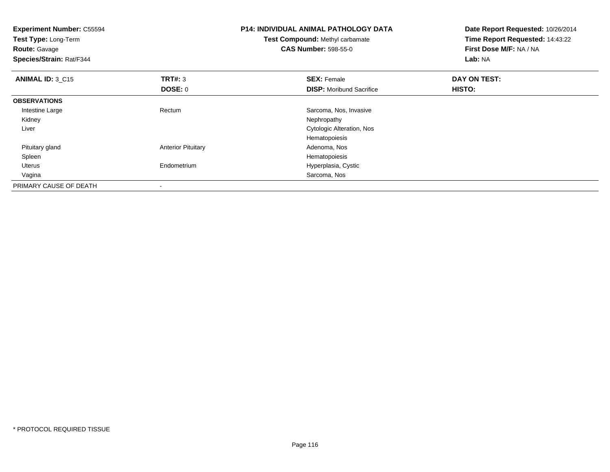| <b>Experiment Number: C55594</b><br>Test Type: Long-Term<br><b>Route: Gavage</b><br>Species/Strain: Rat/F344 |                           | <b>P14: INDIVIDUAL ANIMAL PATHOLOGY DATA</b><br>Test Compound: Methyl carbamate<br><b>CAS Number: 598-55-0</b> | Date Report Requested: 10/26/2014<br>Time Report Requested: 14:43:22<br>First Dose M/F: NA / NA<br>Lab: NA |
|--------------------------------------------------------------------------------------------------------------|---------------------------|----------------------------------------------------------------------------------------------------------------|------------------------------------------------------------------------------------------------------------|
| <b>ANIMAL ID: 3 C15</b>                                                                                      | <b>TRT#: 3</b>            | <b>SEX: Female</b>                                                                                             | DAY ON TEST:                                                                                               |
|                                                                                                              | DOSE: 0                   | <b>DISP:</b> Moribund Sacrifice                                                                                | <b>HISTO:</b>                                                                                              |
| <b>OBSERVATIONS</b>                                                                                          |                           |                                                                                                                |                                                                                                            |
| Intestine Large                                                                                              | Rectum                    | Sarcoma, Nos, Invasive                                                                                         |                                                                                                            |
| Kidney                                                                                                       |                           | Nephropathy                                                                                                    |                                                                                                            |
| Liver                                                                                                        |                           | Cytologic Alteration, Nos                                                                                      |                                                                                                            |
|                                                                                                              |                           | Hematopoiesis                                                                                                  |                                                                                                            |
| Pituitary gland                                                                                              | <b>Anterior Pituitary</b> | Adenoma, Nos                                                                                                   |                                                                                                            |
| Spleen                                                                                                       |                           | Hematopoiesis                                                                                                  |                                                                                                            |
| Uterus                                                                                                       | Endometrium               | Hyperplasia, Cystic                                                                                            |                                                                                                            |
| Vagina                                                                                                       |                           | Sarcoma, Nos                                                                                                   |                                                                                                            |
| PRIMARY CAUSE OF DEATH                                                                                       |                           |                                                                                                                |                                                                                                            |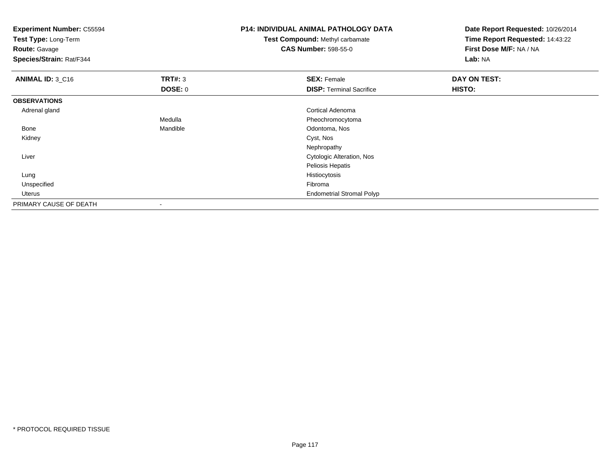| <b>Experiment Number: C55594</b><br>Test Type: Long-Term<br><b>Route: Gavage</b><br>Species/Strain: Rat/F344 |                | P14: INDIVIDUAL ANIMAL PATHOLOGY DATA<br><b>Test Compound: Methyl carbamate</b><br><b>CAS Number: 598-55-0</b> | Date Report Requested: 10/26/2014<br>Time Report Requested: 14:43:22<br>First Dose M/F: NA / NA<br>Lab: NA |
|--------------------------------------------------------------------------------------------------------------|----------------|----------------------------------------------------------------------------------------------------------------|------------------------------------------------------------------------------------------------------------|
| <b>ANIMAL ID: 3_C16</b>                                                                                      | TRT#: 3        | <b>SEX: Female</b>                                                                                             | DAY ON TEST:                                                                                               |
|                                                                                                              | <b>DOSE: 0</b> | <b>DISP: Terminal Sacrifice</b>                                                                                | HISTO:                                                                                                     |
| <b>OBSERVATIONS</b>                                                                                          |                |                                                                                                                |                                                                                                            |
| Adrenal gland                                                                                                |                | Cortical Adenoma                                                                                               |                                                                                                            |
|                                                                                                              | Medulla        | Pheochromocytoma                                                                                               |                                                                                                            |
| Bone                                                                                                         | Mandible       | Odontoma, Nos                                                                                                  |                                                                                                            |
| Kidney                                                                                                       |                | Cyst, Nos                                                                                                      |                                                                                                            |
|                                                                                                              |                | Nephropathy                                                                                                    |                                                                                                            |
| Liver                                                                                                        |                | Cytologic Alteration, Nos                                                                                      |                                                                                                            |
|                                                                                                              |                | Peliosis Hepatis                                                                                               |                                                                                                            |
| Lung                                                                                                         |                | Histiocytosis                                                                                                  |                                                                                                            |
| Unspecified                                                                                                  |                | Fibroma                                                                                                        |                                                                                                            |
| Uterus                                                                                                       |                | <b>Endometrial Stromal Polyp</b>                                                                               |                                                                                                            |
| PRIMARY CAUSE OF DEATH                                                                                       |                |                                                                                                                |                                                                                                            |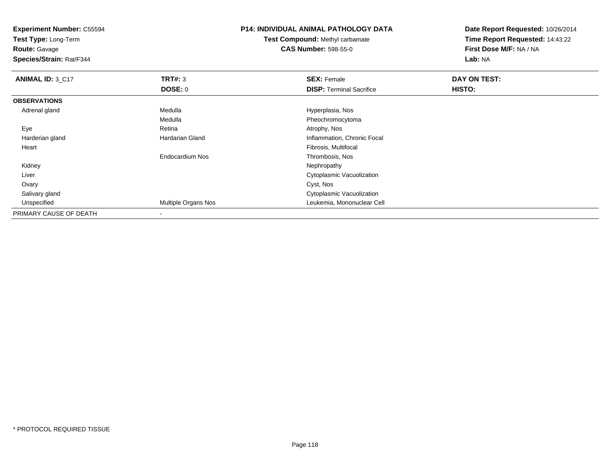**Test Type:** Long-Term

**Route:** Gavage

**Species/Strain:** Rat/F344

# **P14: INDIVIDUAL ANIMAL PATHOLOGY DATA**

**Test Compound:** Methyl carbamate**CAS Number:** 598-55-0

| ANIMAL ID: 3_C17       | TRT#: 3                | <b>SEX: Female</b>              | DAY ON TEST: |  |
|------------------------|------------------------|---------------------------------|--------------|--|
|                        | DOSE: 0                | <b>DISP: Terminal Sacrifice</b> | HISTO:       |  |
| <b>OBSERVATIONS</b>    |                        |                                 |              |  |
| Adrenal gland          | Medulla                | Hyperplasia, Nos                |              |  |
|                        | Medulla                | Pheochromocytoma                |              |  |
| Eye                    | Retina                 | Atrophy, Nos                    |              |  |
| Harderian gland        | <b>Hardarian Gland</b> | Inflammation, Chronic Focal     |              |  |
| Heart                  |                        | Fibrosis, Multifocal            |              |  |
|                        | Endocardium Nos        | Thrombosis, Nos                 |              |  |
| Kidney                 |                        | Nephropathy                     |              |  |
| Liver                  |                        | Cytoplasmic Vacuolization       |              |  |
| Ovary                  |                        | Cyst, Nos                       |              |  |
| Salivary gland         |                        | Cytoplasmic Vacuolization       |              |  |
| Unspecified            | Multiple Organs Nos    | Leukemia, Mononuclear Cell      |              |  |
| PRIMARY CAUSE OF DEATH |                        |                                 |              |  |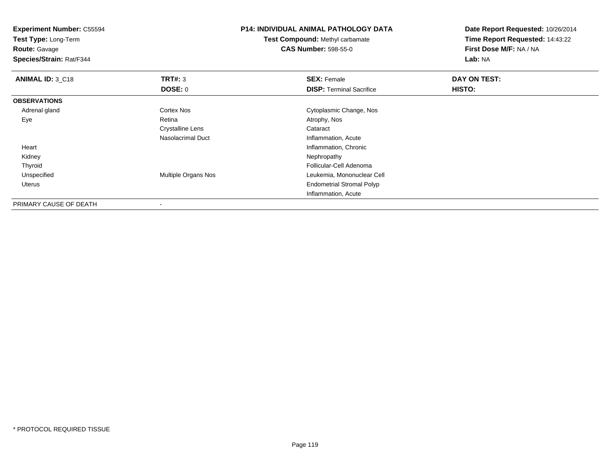| <b>Experiment Number: C55594</b><br>Test Type: Long-Term<br><b>Route: Gavage</b><br>Species/Strain: Rat/F344 |                     | <b>P14: INDIVIDUAL ANIMAL PATHOLOGY DATA</b><br>Test Compound: Methyl carbamate<br><b>CAS Number: 598-55-0</b> | Date Report Requested: 10/26/2014<br>Time Report Requested: 14:43:22<br>First Dose M/F: NA / NA<br>Lab: NA |
|--------------------------------------------------------------------------------------------------------------|---------------------|----------------------------------------------------------------------------------------------------------------|------------------------------------------------------------------------------------------------------------|
| ANIMAL ID: 3_C18                                                                                             | TRT#: 3             | <b>SEX: Female</b>                                                                                             | DAY ON TEST:                                                                                               |
|                                                                                                              | <b>DOSE: 0</b>      | <b>DISP: Terminal Sacrifice</b>                                                                                | HISTO:                                                                                                     |
| <b>OBSERVATIONS</b>                                                                                          |                     |                                                                                                                |                                                                                                            |
| Adrenal gland                                                                                                | Cortex Nos          | Cytoplasmic Change, Nos                                                                                        |                                                                                                            |
| Eye                                                                                                          | Retina              | Atrophy, Nos                                                                                                   |                                                                                                            |
|                                                                                                              | Crystalline Lens    | Cataract                                                                                                       |                                                                                                            |
|                                                                                                              | Nasolacrimal Duct   | Inflammation, Acute                                                                                            |                                                                                                            |
| Heart                                                                                                        |                     | Inflammation, Chronic                                                                                          |                                                                                                            |
| Kidney                                                                                                       |                     | Nephropathy                                                                                                    |                                                                                                            |
| Thyroid                                                                                                      |                     | Follicular-Cell Adenoma                                                                                        |                                                                                                            |
| Unspecified                                                                                                  | Multiple Organs Nos | Leukemia, Mononuclear Cell                                                                                     |                                                                                                            |
| Uterus                                                                                                       |                     | <b>Endometrial Stromal Polyp</b>                                                                               |                                                                                                            |
|                                                                                                              |                     | Inflammation, Acute                                                                                            |                                                                                                            |
| PRIMARY CAUSE OF DEATH                                                                                       |                     |                                                                                                                |                                                                                                            |

-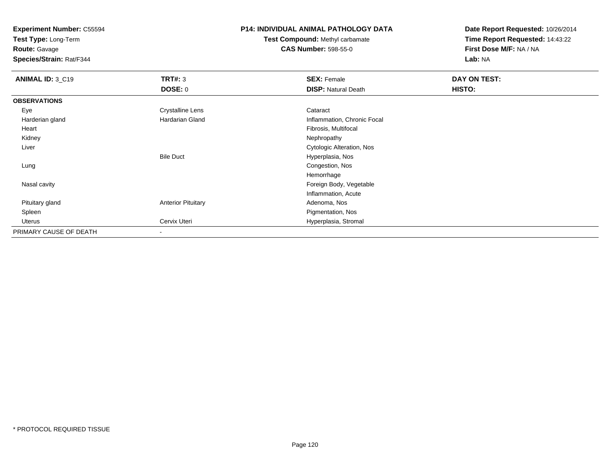**Test Type:** Long-Term

**Route:** Gavage

**Species/Strain:** Rat/F344

# **P14: INDIVIDUAL ANIMAL PATHOLOGY DATA**

**Test Compound:** Methyl carbamate**CAS Number:** 598-55-0

| ANIMAL ID: 3_C19       | TRT#: 3                   | <b>SEX: Female</b>          | DAY ON TEST: |  |
|------------------------|---------------------------|-----------------------------|--------------|--|
|                        | DOSE: 0                   | <b>DISP: Natural Death</b>  | HISTO:       |  |
| <b>OBSERVATIONS</b>    |                           |                             |              |  |
| Eye                    | <b>Crystalline Lens</b>   | Cataract                    |              |  |
| Harderian gland        | Hardarian Gland           | Inflammation, Chronic Focal |              |  |
| Heart                  |                           | Fibrosis, Multifocal        |              |  |
| Kidney                 |                           | Nephropathy                 |              |  |
| Liver                  |                           | Cytologic Alteration, Nos   |              |  |
|                        | <b>Bile Duct</b>          | Hyperplasia, Nos            |              |  |
| Lung                   |                           | Congestion, Nos             |              |  |
|                        |                           | Hemorrhage                  |              |  |
| Nasal cavity           |                           | Foreign Body, Vegetable     |              |  |
|                        |                           | Inflammation, Acute         |              |  |
| Pituitary gland        | <b>Anterior Pituitary</b> | Adenoma, Nos                |              |  |
| Spleen                 |                           | Pigmentation, Nos           |              |  |
| Uterus                 | Cervix Uteri              | Hyperplasia, Stromal        |              |  |
| PRIMARY CAUSE OF DEATH | ۰                         |                             |              |  |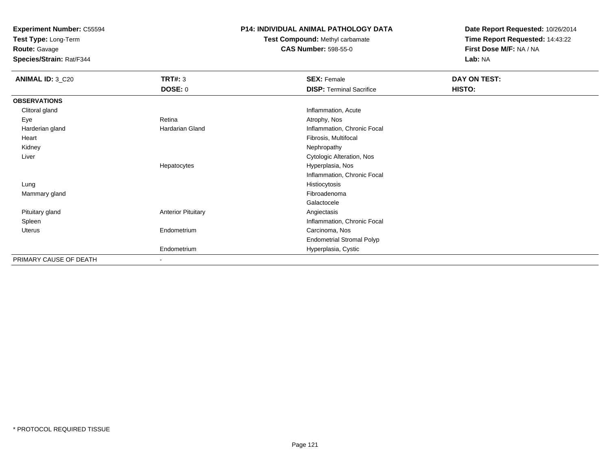**Test Type:** Long-Term

**Route:** Gavage

**Species/Strain:** Rat/F344

# **P14: INDIVIDUAL ANIMAL PATHOLOGY DATA**

**Test Compound:** Methyl carbamate**CAS Number:** 598-55-0

| <b>ANIMAL ID: 3_C20</b> | TRT#: 3                   | <b>SEX: Female</b>               | DAY ON TEST: |  |
|-------------------------|---------------------------|----------------------------------|--------------|--|
|                         | <b>DOSE: 0</b>            | <b>DISP: Terminal Sacrifice</b>  | HISTO:       |  |
| <b>OBSERVATIONS</b>     |                           |                                  |              |  |
| Clitoral gland          |                           | Inflammation, Acute              |              |  |
| Eye                     | Retina                    | Atrophy, Nos                     |              |  |
| Harderian gland         | Hardarian Gland           | Inflammation, Chronic Focal      |              |  |
| Heart                   |                           | Fibrosis, Multifocal             |              |  |
| Kidney                  |                           | Nephropathy                      |              |  |
| Liver                   |                           | Cytologic Alteration, Nos        |              |  |
|                         | Hepatocytes               | Hyperplasia, Nos                 |              |  |
|                         |                           | Inflammation, Chronic Focal      |              |  |
| Lung                    |                           | Histiocytosis                    |              |  |
| Mammary gland           |                           | Fibroadenoma                     |              |  |
|                         |                           | Galactocele                      |              |  |
| Pituitary gland         | <b>Anterior Pituitary</b> | Angiectasis                      |              |  |
| Spleen                  |                           | Inflammation, Chronic Focal      |              |  |
| Uterus                  | Endometrium               | Carcinoma, Nos                   |              |  |
|                         |                           | <b>Endometrial Stromal Polyp</b> |              |  |
|                         | Endometrium               | Hyperplasia, Cystic              |              |  |
| PRIMARY CAUSE OF DEATH  | $\overline{\phantom{a}}$  |                                  |              |  |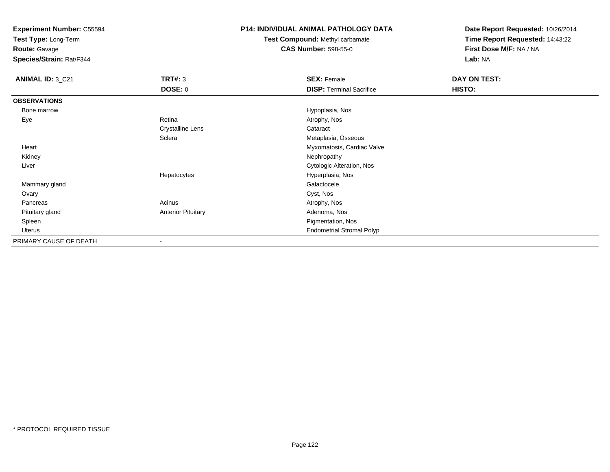**Test Type:** Long-Term

**Route:** Gavage

**Species/Strain:** Rat/F344

# **P14: INDIVIDUAL ANIMAL PATHOLOGY DATA**

**Test Compound:** Methyl carbamate**CAS Number:** 598-55-0

| ANIMAL ID: 3_C21       | <b>TRT#: 3</b>            | <b>SEX: Female</b>               | DAY ON TEST: |  |
|------------------------|---------------------------|----------------------------------|--------------|--|
|                        | DOSE: 0                   | <b>DISP: Terminal Sacrifice</b>  | HISTO:       |  |
| <b>OBSERVATIONS</b>    |                           |                                  |              |  |
| Bone marrow            |                           | Hypoplasia, Nos                  |              |  |
| Eye                    | Retina                    | Atrophy, Nos                     |              |  |
|                        | <b>Crystalline Lens</b>   | Cataract                         |              |  |
|                        | Sclera                    | Metaplasia, Osseous              |              |  |
| Heart                  |                           | Myxomatosis, Cardiac Valve       |              |  |
| Kidney                 |                           | Nephropathy                      |              |  |
| Liver                  |                           | Cytologic Alteration, Nos        |              |  |
|                        | Hepatocytes               | Hyperplasia, Nos                 |              |  |
| Mammary gland          |                           | Galactocele                      |              |  |
| Ovary                  |                           | Cyst, Nos                        |              |  |
| Pancreas               | Acinus                    | Atrophy, Nos                     |              |  |
| Pituitary gland        | <b>Anterior Pituitary</b> | Adenoma, Nos                     |              |  |
| Spleen                 |                           | Pigmentation, Nos                |              |  |
| Uterus                 |                           | <b>Endometrial Stromal Polyp</b> |              |  |
| PRIMARY CAUSE OF DEATH | $\overline{\phantom{a}}$  |                                  |              |  |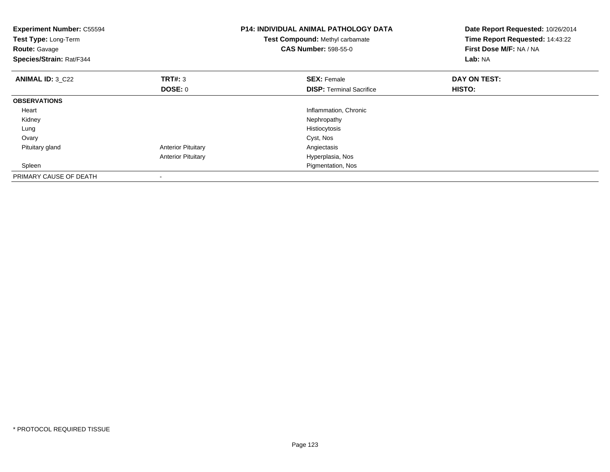| <b>Experiment Number: C55594</b><br>Test Type: Long-Term<br><b>Route: Gavage</b><br>Species/Strain: Rat/F344 |                           | <b>P14: INDIVIDUAL ANIMAL PATHOLOGY DATA</b><br>Test Compound: Methyl carbamate<br><b>CAS Number: 598-55-0</b> | Date Report Requested: 10/26/2014<br>Time Report Requested: 14:43:22<br>First Dose M/F: NA / NA<br>Lab: NA |
|--------------------------------------------------------------------------------------------------------------|---------------------------|----------------------------------------------------------------------------------------------------------------|------------------------------------------------------------------------------------------------------------|
| <b>ANIMAL ID: 3 C22</b>                                                                                      | <b>TRT#: 3</b>            | <b>SEX: Female</b>                                                                                             | DAY ON TEST:                                                                                               |
|                                                                                                              | <b>DOSE: 0</b>            | <b>DISP:</b> Terminal Sacrifice                                                                                | HISTO:                                                                                                     |
| <b>OBSERVATIONS</b>                                                                                          |                           |                                                                                                                |                                                                                                            |
| Heart                                                                                                        |                           | Inflammation, Chronic                                                                                          |                                                                                                            |
| Kidney                                                                                                       |                           | Nephropathy                                                                                                    |                                                                                                            |
| Lung                                                                                                         |                           | Histiocytosis                                                                                                  |                                                                                                            |
| Ovary                                                                                                        |                           | Cyst, Nos                                                                                                      |                                                                                                            |
| Pituitary gland                                                                                              | <b>Anterior Pituitary</b> | Angiectasis                                                                                                    |                                                                                                            |
|                                                                                                              | <b>Anterior Pituitary</b> | Hyperplasia, Nos                                                                                               |                                                                                                            |
| Spleen                                                                                                       |                           | Pigmentation, Nos                                                                                              |                                                                                                            |
| PRIMARY CAUSE OF DEATH                                                                                       |                           |                                                                                                                |                                                                                                            |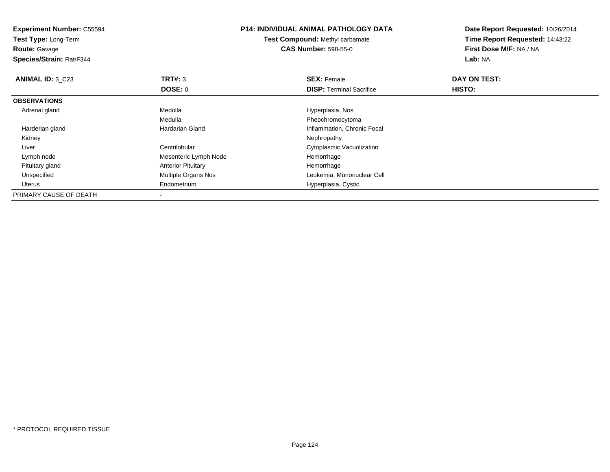| <b>Experiment Number: C55594</b><br>Test Type: Long-Term<br><b>Route: Gavage</b><br>Species/Strain: Rat/F344 |                           | <b>P14: INDIVIDUAL ANIMAL PATHOLOGY DATA</b><br>Test Compound: Methyl carbamate<br><b>CAS Number: 598-55-0</b> | Date Report Requested: 10/26/2014<br>Time Report Requested: 14:43:22<br>First Dose M/F: NA / NA<br>Lab: NA |  |
|--------------------------------------------------------------------------------------------------------------|---------------------------|----------------------------------------------------------------------------------------------------------------|------------------------------------------------------------------------------------------------------------|--|
| ANIMAL ID: 3 C23                                                                                             | TRT#: 3                   | <b>SEX: Female</b>                                                                                             | DAY ON TEST:                                                                                               |  |
|                                                                                                              | DOSE: 0                   | <b>DISP:</b> Terminal Sacrifice                                                                                | HISTO:                                                                                                     |  |
| <b>OBSERVATIONS</b>                                                                                          |                           |                                                                                                                |                                                                                                            |  |
| Adrenal gland                                                                                                | Medulla                   | Hyperplasia, Nos                                                                                               |                                                                                                            |  |
|                                                                                                              | Medulla                   | Pheochromocytoma                                                                                               |                                                                                                            |  |
| Harderian gland                                                                                              | Hardarian Gland           | Inflammation, Chronic Focal                                                                                    |                                                                                                            |  |
| Kidney                                                                                                       |                           | Nephropathy                                                                                                    |                                                                                                            |  |
| Liver                                                                                                        | Centrilobular             | Cytoplasmic Vacuolization                                                                                      |                                                                                                            |  |
| Lymph node                                                                                                   | Mesenteric Lymph Node     | Hemorrhage                                                                                                     |                                                                                                            |  |
| Pituitary gland                                                                                              | <b>Anterior Pituitary</b> | Hemorrhage                                                                                                     |                                                                                                            |  |
| Unspecified                                                                                                  | Multiple Organs Nos       | Leukemia, Mononuclear Cell                                                                                     |                                                                                                            |  |
| Uterus                                                                                                       | Endometrium               | Hyperplasia, Cystic                                                                                            |                                                                                                            |  |
| PRIMARY CAUSE OF DEATH                                                                                       |                           |                                                                                                                |                                                                                                            |  |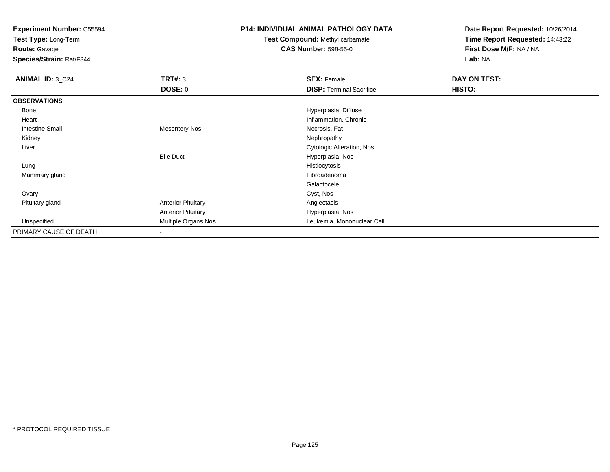**Test Type:** Long-Term

**Route:** Gavage

**Species/Strain:** Rat/F344

#### **P14: INDIVIDUAL ANIMAL PATHOLOGY DATA**

# **Test Compound:** Methyl carbamate**CAS Number:** 598-55-0

| ANIMAL ID: 3_C24       | <b>TRT#: 3</b>            | <b>SEX: Female</b>              | DAY ON TEST: |  |
|------------------------|---------------------------|---------------------------------|--------------|--|
|                        | <b>DOSE: 0</b>            | <b>DISP: Terminal Sacrifice</b> | HISTO:       |  |
| <b>OBSERVATIONS</b>    |                           |                                 |              |  |
| Bone                   |                           | Hyperplasia, Diffuse            |              |  |
| Heart                  |                           | Inflammation, Chronic           |              |  |
| <b>Intestine Small</b> | <b>Mesentery Nos</b>      | Necrosis, Fat                   |              |  |
| Kidney                 |                           | Nephropathy                     |              |  |
| Liver                  |                           | Cytologic Alteration, Nos       |              |  |
|                        | <b>Bile Duct</b>          | Hyperplasia, Nos                |              |  |
| Lung                   |                           | Histiocytosis                   |              |  |
| Mammary gland          |                           | Fibroadenoma                    |              |  |
|                        |                           | Galactocele                     |              |  |
| Ovary                  |                           | Cyst, Nos                       |              |  |
| Pituitary gland        | <b>Anterior Pituitary</b> | Angiectasis                     |              |  |
|                        | <b>Anterior Pituitary</b> | Hyperplasia, Nos                |              |  |
| Unspecified            | Multiple Organs Nos       | Leukemia, Mononuclear Cell      |              |  |
| PRIMARY CAUSE OF DEATH | $\blacksquare$            |                                 |              |  |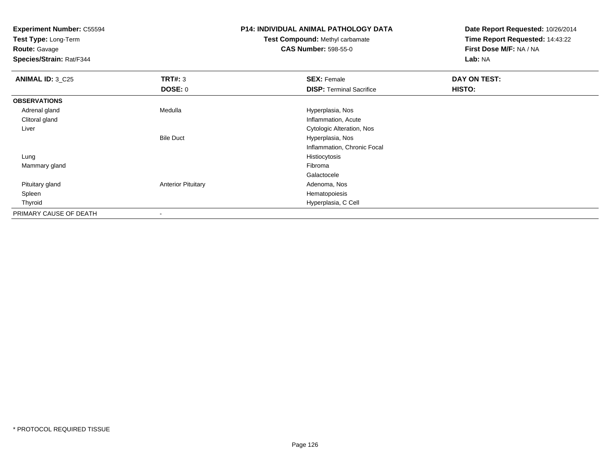**Test Type:** Long-Term

**Route:** Gavage

**Species/Strain:** Rat/F344

# **P14: INDIVIDUAL ANIMAL PATHOLOGY DATA**

**Test Compound:** Methyl carbamate**CAS Number:** 598-55-0

| <b>ANIMAL ID: 3_C25</b> | TRT#: 3                   | <b>SEX: Female</b>              | DAY ON TEST: |
|-------------------------|---------------------------|---------------------------------|--------------|
|                         | DOSE: 0                   | <b>DISP: Terminal Sacrifice</b> | HISTO:       |
| <b>OBSERVATIONS</b>     |                           |                                 |              |
| Adrenal gland           | Medulla                   | Hyperplasia, Nos                |              |
| Clitoral gland          |                           | Inflammation, Acute             |              |
| Liver                   |                           | Cytologic Alteration, Nos       |              |
|                         | <b>Bile Duct</b>          | Hyperplasia, Nos                |              |
|                         |                           | Inflammation, Chronic Focal     |              |
| Lung                    |                           | Histiocytosis                   |              |
| Mammary gland           |                           | Fibroma                         |              |
|                         |                           | Galactocele                     |              |
| Pituitary gland         | <b>Anterior Pituitary</b> | Adenoma, Nos                    |              |
| Spleen                  |                           | Hematopoiesis                   |              |
| Thyroid                 |                           | Hyperplasia, C Cell             |              |
| PRIMARY CAUSE OF DEATH  | -                         |                                 |              |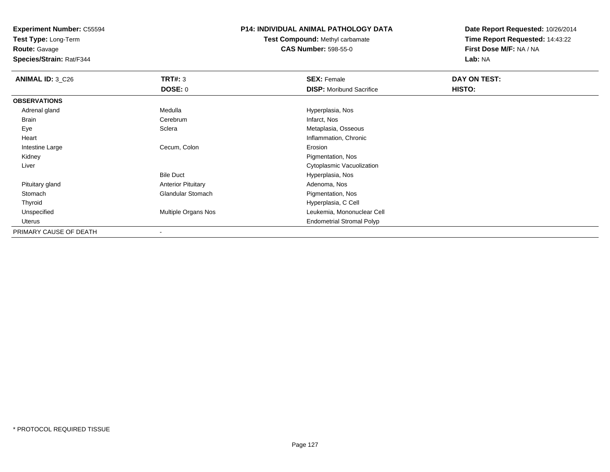**Test Type:** Long-Term

**Route:** Gavage

**Species/Strain:** Rat/F344

### **P14: INDIVIDUAL ANIMAL PATHOLOGY DATA**

**Test Compound:** Methyl carbamate**CAS Number:** 598-55-0

| <b>ANIMAL ID: 3_C26</b> | TRT#: 3                    | <b>SEX: Female</b>               | DAY ON TEST: |  |
|-------------------------|----------------------------|----------------------------------|--------------|--|
|                         | <b>DOSE: 0</b>             | <b>DISP:</b> Moribund Sacrifice  | HISTO:       |  |
| <b>OBSERVATIONS</b>     |                            |                                  |              |  |
| Adrenal gland           | Medulla                    | Hyperplasia, Nos                 |              |  |
| Brain                   | Cerebrum                   | Infarct, Nos                     |              |  |
| Eye                     | Sclera                     | Metaplasia, Osseous              |              |  |
| Heart                   |                            | Inflammation, Chronic            |              |  |
| Intestine Large         | Cecum, Colon               | Erosion                          |              |  |
| Kidney                  |                            | Pigmentation, Nos                |              |  |
| Liver                   |                            | Cytoplasmic Vacuolization        |              |  |
|                         | <b>Bile Duct</b>           | Hyperplasia, Nos                 |              |  |
| Pituitary gland         | <b>Anterior Pituitary</b>  | Adenoma, Nos                     |              |  |
| Stomach                 | <b>Glandular Stomach</b>   | Pigmentation, Nos                |              |  |
| Thyroid                 |                            | Hyperplasia, C Cell              |              |  |
| Unspecified             | <b>Multiple Organs Nos</b> | Leukemia, Mononuclear Cell       |              |  |
| Uterus                  |                            | <b>Endometrial Stromal Polyp</b> |              |  |
| PRIMARY CAUSE OF DEATH  |                            |                                  |              |  |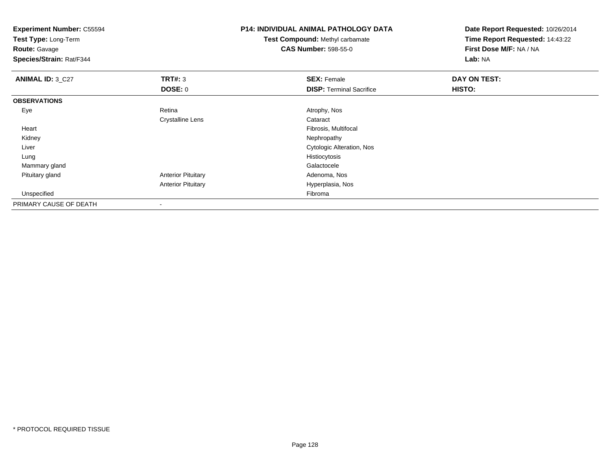**Experiment Number:** C55594**Test Type:** Long-Term**Route:** Gavage **Species/Strain:** Rat/F344**P14: INDIVIDUAL ANIMAL PATHOLOGY DATATest Compound:** Methyl carbamate**CAS Number:** 598-55-0**Date Report Requested:** 10/26/2014**Time Report Requested:** 14:43:22**First Dose M/F:** NA / NA**Lab:** NA**ANIMAL ID: 3 C27 TRT#:** 3 **SEX:** Female **DAY ON TEST: DOSE:** 0**DISP:** Terminal Sacrifice **HISTO: OBSERVATIONS** Eyee and the contract of the Retina Atrophy, Nos and Atrophy, Nos and Atrophy, Nos and Atrophy, Nos and Atrophy, Nos Crystalline Lens Cataract Heart Fibrosis, Multifocal Kidneyy the control of the control of the control of the control of the control of the control of the control of the control of the control of the control of the control of the control of the control of the control of the contro Liver Cytologic Alteration, Nos Lungg and the state of the state of the state of the state of the state of the state of the state of the state of the state of the state of the state of the state of the state of the state of the state of the state of the stat Mammary glandd Galactocele and the control of the control of the control of the Galactocele and the Galactocele Pituitary glandAnterior Pituitary **Adenoma, Nos** Adenoma, Nos Anterior Pituitary Hyperplasia, Nos Unspecifiedd Fibroma and the contract of the contract of the contract of the contract of the contract of the contract of the contract of the contract of the contract of the contract of the contract of the contract of the contract of PRIMARY CAUSE OF DEATH-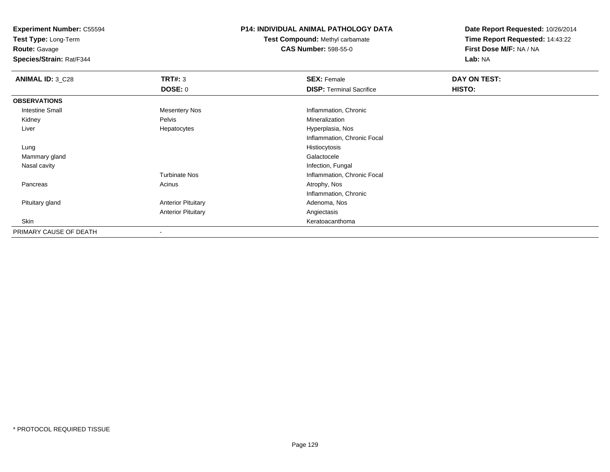**Test Type:** Long-Term

**Route:** Gavage

**Species/Strain:** Rat/F344

# **P14: INDIVIDUAL ANIMAL PATHOLOGY DATA**

**Test Compound:** Methyl carbamate**CAS Number:** 598-55-0

| <b>ANIMAL ID: 3_C28</b> | TRT#: 3                   | <b>SEX: Female</b>              | DAY ON TEST: |  |
|-------------------------|---------------------------|---------------------------------|--------------|--|
|                         | DOSE: 0                   | <b>DISP: Terminal Sacrifice</b> | HISTO:       |  |
| <b>OBSERVATIONS</b>     |                           |                                 |              |  |
| <b>Intestine Small</b>  | <b>Mesentery Nos</b>      | Inflammation, Chronic           |              |  |
| Kidney                  | Pelvis                    | Mineralization                  |              |  |
| Liver                   | Hepatocytes               | Hyperplasia, Nos                |              |  |
|                         |                           | Inflammation, Chronic Focal     |              |  |
| Lung                    |                           | Histiocytosis                   |              |  |
| Mammary gland           |                           | Galactocele                     |              |  |
| Nasal cavity            |                           | Infection, Fungal               |              |  |
|                         | <b>Turbinate Nos</b>      | Inflammation, Chronic Focal     |              |  |
| Pancreas                | Acinus                    | Atrophy, Nos                    |              |  |
|                         |                           | Inflammation, Chronic           |              |  |
| Pituitary gland         | <b>Anterior Pituitary</b> | Adenoma, Nos                    |              |  |
|                         | <b>Anterior Pituitary</b> | Angiectasis                     |              |  |
| Skin                    |                           | Keratoacanthoma                 |              |  |
| PRIMARY CAUSE OF DEATH  | $\,$                      |                                 |              |  |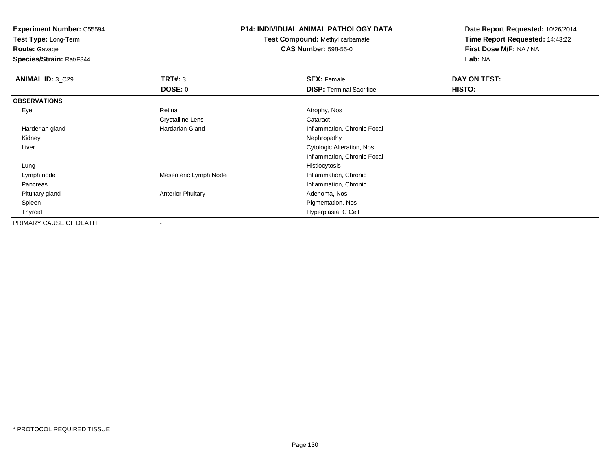**Test Type:** Long-Term

**Route:** Gavage

**Species/Strain:** Rat/F344

# **P14: INDIVIDUAL ANIMAL PATHOLOGY DATA**

**Test Compound:** Methyl carbamate**CAS Number:** 598-55-0

| <b>ANIMAL ID: 3_C29</b> | TRT#: 3                   | <b>SEX: Female</b>              | DAY ON TEST: |  |
|-------------------------|---------------------------|---------------------------------|--------------|--|
|                         | <b>DOSE: 0</b>            | <b>DISP:</b> Terminal Sacrifice | HISTO:       |  |
| <b>OBSERVATIONS</b>     |                           |                                 |              |  |
| Eye                     | Retina                    | Atrophy, Nos                    |              |  |
|                         | <b>Crystalline Lens</b>   | Cataract                        |              |  |
| Harderian gland         | Hardarian Gland           | Inflammation, Chronic Focal     |              |  |
| Kidney                  |                           | Nephropathy                     |              |  |
| Liver                   |                           | Cytologic Alteration, Nos       |              |  |
|                         |                           | Inflammation, Chronic Focal     |              |  |
| Lung                    |                           | Histiocytosis                   |              |  |
| Lymph node              | Mesenteric Lymph Node     | Inflammation, Chronic           |              |  |
| Pancreas                |                           | Inflammation, Chronic           |              |  |
| Pituitary gland         | <b>Anterior Pituitary</b> | Adenoma, Nos                    |              |  |
| Spleen                  |                           | Pigmentation, Nos               |              |  |
| Thyroid                 |                           | Hyperplasia, C Cell             |              |  |
| PRIMARY CAUSE OF DEATH  |                           |                                 |              |  |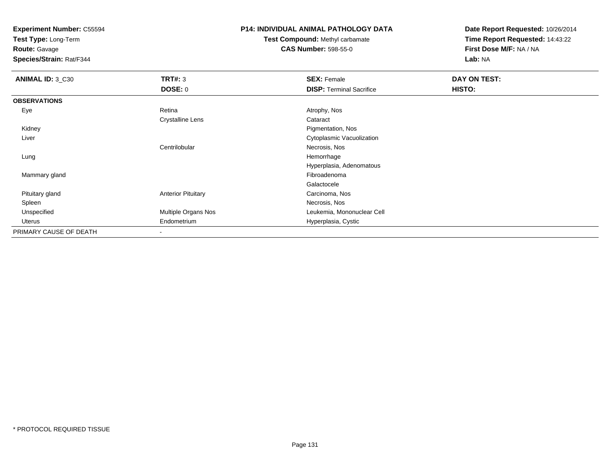**Test Type:** Long-Term

**Route:** Gavage

**Species/Strain:** Rat/F344

# **P14: INDIVIDUAL ANIMAL PATHOLOGY DATA**

**Test Compound:** Methyl carbamate**CAS Number:** 598-55-0

| ANIMAL ID: 3_C30       | TRT#: 3                   | <b>SEX: Female</b>              | DAY ON TEST: |  |
|------------------------|---------------------------|---------------------------------|--------------|--|
|                        | <b>DOSE: 0</b>            | <b>DISP: Terminal Sacrifice</b> | HISTO:       |  |
| <b>OBSERVATIONS</b>    |                           |                                 |              |  |
| Eye                    | Retina                    | Atrophy, Nos                    |              |  |
|                        | <b>Crystalline Lens</b>   | Cataract                        |              |  |
| Kidney                 |                           | Pigmentation, Nos               |              |  |
| Liver                  |                           | Cytoplasmic Vacuolization       |              |  |
|                        | Centrilobular             | Necrosis, Nos                   |              |  |
| Lung                   |                           | Hemorrhage                      |              |  |
|                        |                           | Hyperplasia, Adenomatous        |              |  |
| Mammary gland          |                           | Fibroadenoma                    |              |  |
|                        |                           | Galactocele                     |              |  |
| Pituitary gland        | <b>Anterior Pituitary</b> | Carcinoma, Nos                  |              |  |
| Spleen                 |                           | Necrosis, Nos                   |              |  |
| Unspecified            | Multiple Organs Nos       | Leukemia, Mononuclear Cell      |              |  |
| Uterus                 | Endometrium               | Hyperplasia, Cystic             |              |  |
| PRIMARY CAUSE OF DEATH | $\overline{\phantom{a}}$  |                                 |              |  |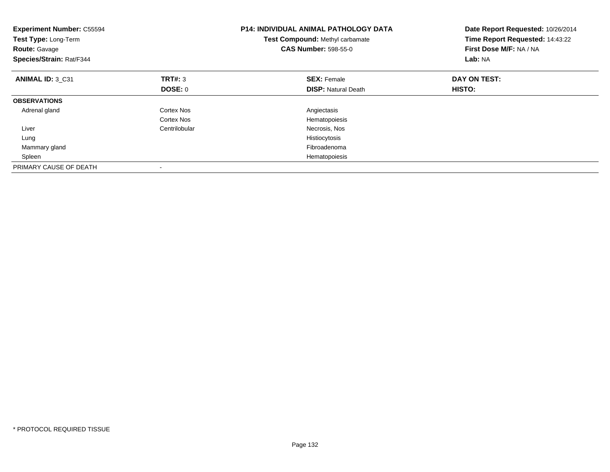| <b>Experiment Number: C55594</b><br>Test Type: Long-Term<br><b>Route: Gavage</b><br>Species/Strain: Rat/F344 |               | <b>P14: INDIVIDUAL ANIMAL PATHOLOGY DATA</b><br>Test Compound: Methyl carbamate<br><b>CAS Number: 598-55-0</b> | Date Report Requested: 10/26/2014<br>Time Report Requested: 14:43:22<br>First Dose M/F: NA / NA<br>Lab: NA |
|--------------------------------------------------------------------------------------------------------------|---------------|----------------------------------------------------------------------------------------------------------------|------------------------------------------------------------------------------------------------------------|
| ANIMAL ID: 3 C31                                                                                             | TRT#: 3       | <b>SEX: Female</b>                                                                                             | DAY ON TEST:                                                                                               |
|                                                                                                              | DOSE: 0       | <b>DISP: Natural Death</b>                                                                                     | <b>HISTO:</b>                                                                                              |
| <b>OBSERVATIONS</b>                                                                                          |               |                                                                                                                |                                                                                                            |
| Adrenal gland                                                                                                | Cortex Nos    | Angiectasis                                                                                                    |                                                                                                            |
|                                                                                                              | Cortex Nos    | Hematopoiesis                                                                                                  |                                                                                                            |
| Liver                                                                                                        | Centrilobular | Necrosis, Nos                                                                                                  |                                                                                                            |
| Lung                                                                                                         |               | Histiocytosis                                                                                                  |                                                                                                            |
| Mammary gland                                                                                                |               | Fibroadenoma                                                                                                   |                                                                                                            |
| Spleen                                                                                                       |               | Hematopoiesis                                                                                                  |                                                                                                            |
| PRIMARY CAUSE OF DEATH                                                                                       |               |                                                                                                                |                                                                                                            |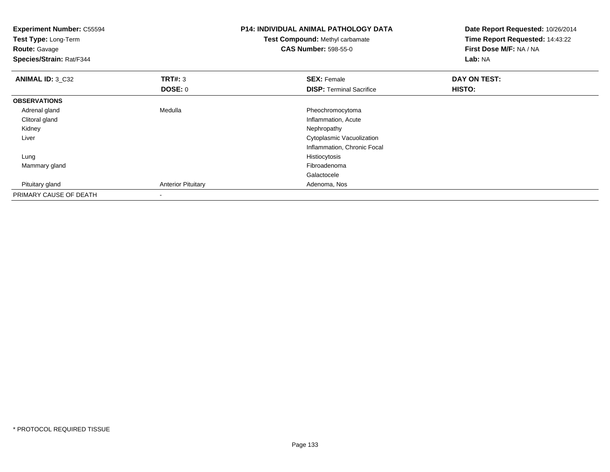| <b>Experiment Number: C55594</b><br>Test Type: Long-Term<br><b>Route: Gavage</b><br>Species/Strain: Rat/F344 |                           | <b>P14: INDIVIDUAL ANIMAL PATHOLOGY DATA</b><br>Test Compound: Methyl carbamate<br><b>CAS Number: 598-55-0</b> | Date Report Requested: 10/26/2014<br>Time Report Requested: 14:43:22<br>First Dose M/F: NA / NA<br>Lab: NA |  |
|--------------------------------------------------------------------------------------------------------------|---------------------------|----------------------------------------------------------------------------------------------------------------|------------------------------------------------------------------------------------------------------------|--|
| <b>ANIMAL ID: 3_C32</b>                                                                                      | <b>TRT#: 3</b>            | <b>SEX: Female</b>                                                                                             | DAY ON TEST:                                                                                               |  |
|                                                                                                              | <b>DOSE: 0</b>            | <b>DISP: Terminal Sacrifice</b>                                                                                | <b>HISTO:</b>                                                                                              |  |
| <b>OBSERVATIONS</b>                                                                                          |                           |                                                                                                                |                                                                                                            |  |
| Adrenal gland                                                                                                | Medulla                   | Pheochromocytoma                                                                                               |                                                                                                            |  |
| Clitoral gland                                                                                               |                           | Inflammation, Acute                                                                                            |                                                                                                            |  |
| Kidney                                                                                                       |                           | Nephropathy                                                                                                    |                                                                                                            |  |
| Liver                                                                                                        |                           | Cytoplasmic Vacuolization                                                                                      |                                                                                                            |  |
|                                                                                                              |                           | Inflammation, Chronic Focal                                                                                    |                                                                                                            |  |
| Lung                                                                                                         |                           | Histiocytosis                                                                                                  |                                                                                                            |  |
| Mammary gland                                                                                                |                           | Fibroadenoma                                                                                                   |                                                                                                            |  |
|                                                                                                              |                           | Galactocele                                                                                                    |                                                                                                            |  |
| Pituitary gland                                                                                              | <b>Anterior Pituitary</b> | Adenoma, Nos                                                                                                   |                                                                                                            |  |
| PRIMARY CAUSE OF DEATH                                                                                       | $\blacksquare$            |                                                                                                                |                                                                                                            |  |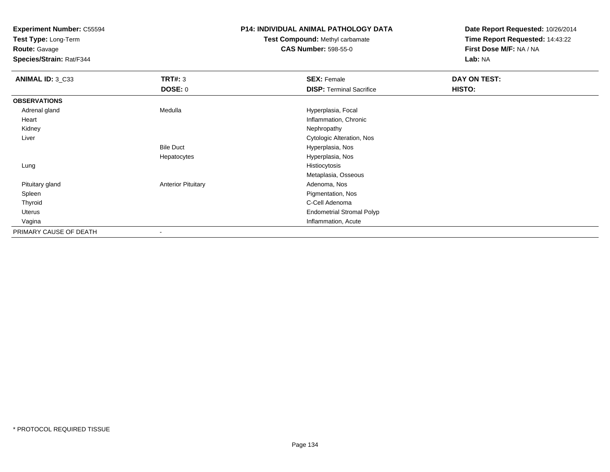**Test Type:** Long-Term

**Route:** Gavage

**Species/Strain:** Rat/F344

# **P14: INDIVIDUAL ANIMAL PATHOLOGY DATA**

**Test Compound:** Methyl carbamate**CAS Number:** 598-55-0

| ANIMAL ID: 3_C33       | <b>TRT#: 3</b>            | <b>SEX: Female</b>               | <b>DAY ON TEST:</b> |  |
|------------------------|---------------------------|----------------------------------|---------------------|--|
|                        | <b>DOSE: 0</b>            | <b>DISP: Terminal Sacrifice</b>  | HISTO:              |  |
| <b>OBSERVATIONS</b>    |                           |                                  |                     |  |
| Adrenal gland          | Medulla                   | Hyperplasia, Focal               |                     |  |
| Heart                  |                           | Inflammation, Chronic            |                     |  |
| Kidney                 |                           | Nephropathy                      |                     |  |
| Liver                  |                           | Cytologic Alteration, Nos        |                     |  |
|                        | <b>Bile Duct</b>          | Hyperplasia, Nos                 |                     |  |
|                        | Hepatocytes               | Hyperplasia, Nos                 |                     |  |
| Lung                   |                           | Histiocytosis                    |                     |  |
|                        |                           | Metaplasia, Osseous              |                     |  |
| Pituitary gland        | <b>Anterior Pituitary</b> | Adenoma, Nos                     |                     |  |
| Spleen                 |                           | Pigmentation, Nos                |                     |  |
| Thyroid                |                           | C-Cell Adenoma                   |                     |  |
| Uterus                 |                           | <b>Endometrial Stromal Polyp</b> |                     |  |
| Vagina                 |                           | Inflammation, Acute              |                     |  |
| PRIMARY CAUSE OF DEATH |                           |                                  |                     |  |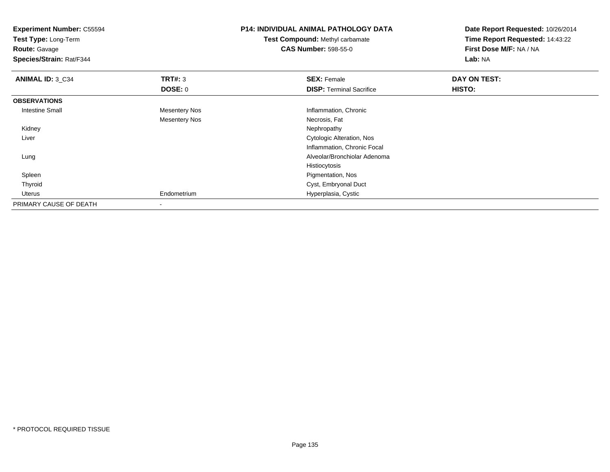| <b>Experiment Number: C55594</b><br>Test Type: Long-Term |                      | <b>P14: INDIVIDUAL ANIMAL PATHOLOGY DATA</b> | Date Report Requested: 10/26/2014<br>Time Report Requested: 14:43:22 |  |
|----------------------------------------------------------|----------------------|----------------------------------------------|----------------------------------------------------------------------|--|
|                                                          |                      | <b>Test Compound: Methyl carbamate</b>       |                                                                      |  |
| <b>Route: Gavage</b>                                     |                      | <b>CAS Number: 598-55-0</b>                  | First Dose M/F: NA / NA                                              |  |
| Species/Strain: Rat/F344                                 |                      |                                              | Lab: NA                                                              |  |
| <b>ANIMAL ID: 3_C34</b>                                  | TRT#: 3              | <b>SEX: Female</b>                           | DAY ON TEST:                                                         |  |
|                                                          | <b>DOSE: 0</b>       | <b>DISP:</b> Terminal Sacrifice              | HISTO:                                                               |  |
| <b>OBSERVATIONS</b>                                      |                      |                                              |                                                                      |  |
| <b>Intestine Small</b>                                   | <b>Mesentery Nos</b> | Inflammation, Chronic                        |                                                                      |  |
|                                                          | <b>Mesentery Nos</b> | Necrosis, Fat                                |                                                                      |  |
| Kidney                                                   |                      | Nephropathy                                  |                                                                      |  |
| Liver                                                    |                      | Cytologic Alteration, Nos                    |                                                                      |  |
|                                                          |                      | Inflammation, Chronic Focal                  |                                                                      |  |
| Lung                                                     |                      | Alveolar/Bronchiolar Adenoma                 |                                                                      |  |
|                                                          |                      | Histiocytosis                                |                                                                      |  |
| Spleen                                                   |                      | Pigmentation, Nos                            |                                                                      |  |
| Thyroid                                                  |                      | Cyst, Embryonal Duct                         |                                                                      |  |
| Uterus                                                   | Endometrium          | Hyperplasia, Cystic                          |                                                                      |  |
| PRIMARY CAUSE OF DEATH                                   |                      |                                              |                                                                      |  |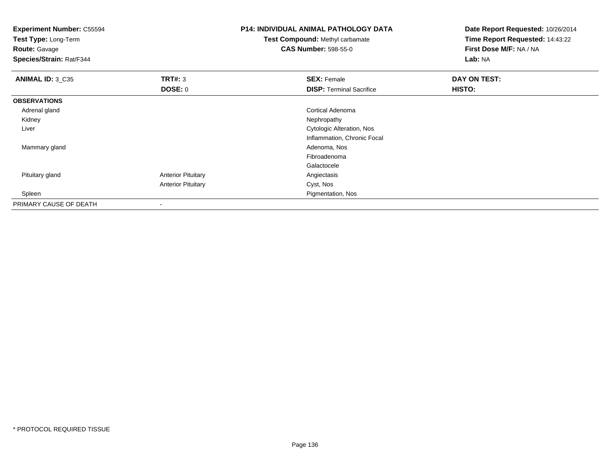| <b>Experiment Number: C55594</b><br>Test Type: Long-Term<br><b>Route: Gavage</b><br>Species/Strain: Rat/F344 |                           | P14: INDIVIDUAL ANIMAL PATHOLOGY DATA<br>Test Compound: Methyl carbamate<br><b>CAS Number: 598-55-0</b> | Date Report Requested: 10/26/2014<br>Time Report Requested: 14:43:22<br>First Dose M/F: NA / NA<br>Lab: NA |
|--------------------------------------------------------------------------------------------------------------|---------------------------|---------------------------------------------------------------------------------------------------------|------------------------------------------------------------------------------------------------------------|
| ANIMAL ID: 3_C35                                                                                             | <b>TRT#: 3</b>            | <b>SEX: Female</b>                                                                                      | DAY ON TEST:                                                                                               |
|                                                                                                              | <b>DOSE: 0</b>            | <b>DISP: Terminal Sacrifice</b>                                                                         | HISTO:                                                                                                     |
| <b>OBSERVATIONS</b>                                                                                          |                           |                                                                                                         |                                                                                                            |
| Adrenal gland                                                                                                |                           | Cortical Adenoma                                                                                        |                                                                                                            |
| Kidney                                                                                                       |                           | Nephropathy                                                                                             |                                                                                                            |
| Liver                                                                                                        |                           | Cytologic Alteration, Nos                                                                               |                                                                                                            |
|                                                                                                              |                           | Inflammation, Chronic Focal                                                                             |                                                                                                            |
| Mammary gland                                                                                                |                           | Adenoma, Nos                                                                                            |                                                                                                            |
|                                                                                                              |                           | Fibroadenoma                                                                                            |                                                                                                            |
|                                                                                                              |                           | Galactocele                                                                                             |                                                                                                            |
| Pituitary gland                                                                                              | <b>Anterior Pituitary</b> | Angiectasis                                                                                             |                                                                                                            |
|                                                                                                              | <b>Anterior Pituitary</b> | Cyst, Nos                                                                                               |                                                                                                            |
| Spleen                                                                                                       |                           | Pigmentation, Nos                                                                                       |                                                                                                            |
| PRIMARY CAUSE OF DEATH                                                                                       |                           |                                                                                                         |                                                                                                            |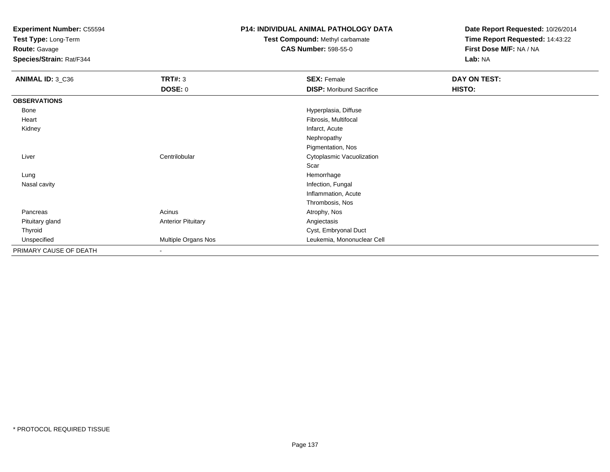**Test Type:** Long-Term

**Route:** Gavage

**Species/Strain:** Rat/F344

# **P14: INDIVIDUAL ANIMAL PATHOLOGY DATA**

# **Test Compound:** Methyl carbamate**CAS Number:** 598-55-0

| ANIMAL ID: 3_C36       | <b>TRT#: 3</b>            | <b>SEX: Female</b>              | DAY ON TEST: |
|------------------------|---------------------------|---------------------------------|--------------|
|                        | <b>DOSE: 0</b>            | <b>DISP:</b> Moribund Sacrifice | HISTO:       |
| <b>OBSERVATIONS</b>    |                           |                                 |              |
| Bone                   |                           | Hyperplasia, Diffuse            |              |
| Heart                  |                           | Fibrosis, Multifocal            |              |
| Kidney                 |                           | Infarct, Acute                  |              |
|                        |                           | Nephropathy                     |              |
|                        |                           | Pigmentation, Nos               |              |
| Liver                  | Centrilobular             | Cytoplasmic Vacuolization       |              |
|                        |                           | Scar                            |              |
| Lung                   |                           | Hemorrhage                      |              |
| Nasal cavity           |                           | Infection, Fungal               |              |
|                        |                           | Inflammation, Acute             |              |
|                        |                           | Thrombosis, Nos                 |              |
| Pancreas               | Acinus                    | Atrophy, Nos                    |              |
| Pituitary gland        | <b>Anterior Pituitary</b> | Angiectasis                     |              |
| Thyroid                |                           | Cyst, Embryonal Duct            |              |
| Unspecified            | Multiple Organs Nos       | Leukemia, Mononuclear Cell      |              |
| PRIMARY CAUSE OF DEATH | $\overline{\phantom{a}}$  |                                 |              |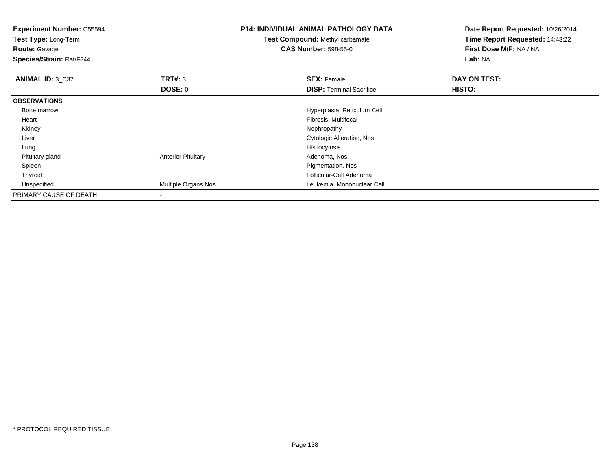| <b>Experiment Number: C55594</b><br>Test Type: Long-Term<br><b>Route: Gavage</b><br>Species/Strain: Rat/F344 |                           | <b>P14: INDIVIDUAL ANIMAL PATHOLOGY DATA</b><br>Test Compound: Methyl carbamate<br><b>CAS Number: 598-55-0</b> | Date Report Requested: 10/26/2014<br>Time Report Requested: 14:43:22<br>First Dose M/F: NA / NA<br>Lab: NA |
|--------------------------------------------------------------------------------------------------------------|---------------------------|----------------------------------------------------------------------------------------------------------------|------------------------------------------------------------------------------------------------------------|
| <b>ANIMAL ID: 3_C37</b>                                                                                      | TRT#: 3                   | <b>SEX: Female</b>                                                                                             | DAY ON TEST:                                                                                               |
|                                                                                                              | <b>DOSE: 0</b>            | <b>DISP: Terminal Sacrifice</b>                                                                                | HISTO:                                                                                                     |
| <b>OBSERVATIONS</b>                                                                                          |                           |                                                                                                                |                                                                                                            |
| Bone marrow                                                                                                  |                           | Hyperplasia, Reticulum Cell                                                                                    |                                                                                                            |
| Heart                                                                                                        |                           | Fibrosis, Multifocal                                                                                           |                                                                                                            |
| Kidney                                                                                                       |                           | Nephropathy                                                                                                    |                                                                                                            |
| Liver                                                                                                        |                           | Cytologic Alteration, Nos                                                                                      |                                                                                                            |
| Lung                                                                                                         |                           | Histiocytosis                                                                                                  |                                                                                                            |
| Pituitary gland                                                                                              | <b>Anterior Pituitary</b> | Adenoma, Nos                                                                                                   |                                                                                                            |
| Spleen                                                                                                       |                           | Pigmentation, Nos                                                                                              |                                                                                                            |
| Thyroid                                                                                                      |                           | Follicular-Cell Adenoma                                                                                        |                                                                                                            |
| Unspecified                                                                                                  | Multiple Organs Nos       | Leukemia, Mononuclear Cell                                                                                     |                                                                                                            |
| PRIMARY CAUSE OF DEATH                                                                                       |                           |                                                                                                                |                                                                                                            |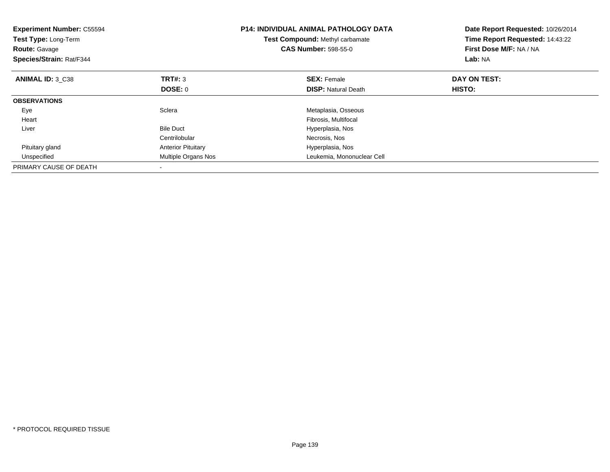| <b>Experiment Number: C55594</b><br>Test Type: Long-Term<br><b>Route: Gavage</b><br>Species/Strain: Rat/F344 |                           | <b>P14: INDIVIDUAL ANIMAL PATHOLOGY DATA</b><br><b>Test Compound: Methyl carbamate</b><br><b>CAS Number: 598-55-0</b> | Date Report Requested: 10/26/2014<br>Time Report Requested: 14:43:22<br>First Dose M/F: NA / NA<br>Lab: NA |
|--------------------------------------------------------------------------------------------------------------|---------------------------|-----------------------------------------------------------------------------------------------------------------------|------------------------------------------------------------------------------------------------------------|
| ANIMAL ID: 3 C38                                                                                             | TRT#: 3                   | <b>SEX: Female</b>                                                                                                    | DAY ON TEST:                                                                                               |
|                                                                                                              | <b>DOSE: 0</b>            | <b>DISP:</b> Natural Death                                                                                            | <b>HISTO:</b>                                                                                              |
| <b>OBSERVATIONS</b>                                                                                          |                           |                                                                                                                       |                                                                                                            |
| Eye                                                                                                          | Sclera                    | Metaplasia, Osseous                                                                                                   |                                                                                                            |
| Heart                                                                                                        |                           | Fibrosis, Multifocal                                                                                                  |                                                                                                            |
| Liver                                                                                                        | <b>Bile Duct</b>          | Hyperplasia, Nos                                                                                                      |                                                                                                            |
|                                                                                                              | Centrilobular             | Necrosis, Nos                                                                                                         |                                                                                                            |
| Pituitary gland                                                                                              | <b>Anterior Pituitary</b> | Hyperplasia, Nos                                                                                                      |                                                                                                            |
| Unspecified                                                                                                  | Multiple Organs Nos       | Leukemia, Mononuclear Cell                                                                                            |                                                                                                            |
| PRIMARY CAUSE OF DEATH                                                                                       |                           |                                                                                                                       |                                                                                                            |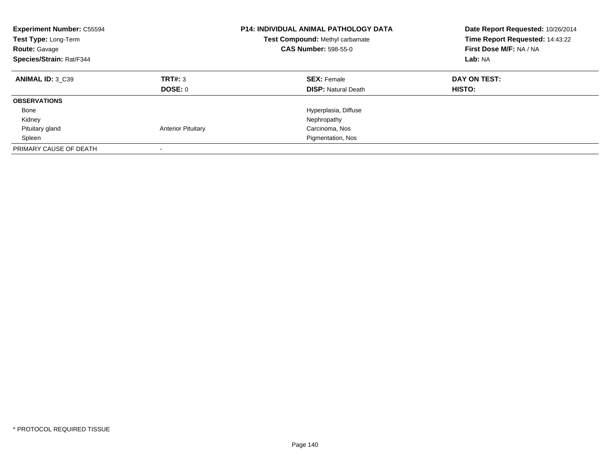| <b>Experiment Number: C55594</b><br>Test Type: Long-Term<br><b>Route: Gavage</b><br>Species/Strain: Rat/F344 |                           | <b>P14: INDIVIDUAL ANIMAL PATHOLOGY DATA</b><br>Test Compound: Methyl carbamate<br><b>CAS Number: 598-55-0</b> | Date Report Requested: 10/26/2014<br>Time Report Requested: 14:43:22<br>First Dose M/F: NA / NA<br>Lab: NA |
|--------------------------------------------------------------------------------------------------------------|---------------------------|----------------------------------------------------------------------------------------------------------------|------------------------------------------------------------------------------------------------------------|
| <b>ANIMAL ID: 3 C39</b>                                                                                      | TRT#: 3                   | <b>SEX: Female</b>                                                                                             | DAY ON TEST:                                                                                               |
|                                                                                                              | DOSE: 0                   | <b>DISP:</b> Natural Death                                                                                     | HISTO:                                                                                                     |
| <b>OBSERVATIONS</b>                                                                                          |                           |                                                                                                                |                                                                                                            |
| Bone                                                                                                         |                           | Hyperplasia, Diffuse                                                                                           |                                                                                                            |
| Kidney                                                                                                       |                           | Nephropathy                                                                                                    |                                                                                                            |
| Pituitary gland                                                                                              | <b>Anterior Pituitary</b> | Carcinoma, Nos                                                                                                 |                                                                                                            |
| Spleen                                                                                                       |                           | Pigmentation, Nos                                                                                              |                                                                                                            |
| PRIMARY CAUSE OF DEATH                                                                                       |                           |                                                                                                                |                                                                                                            |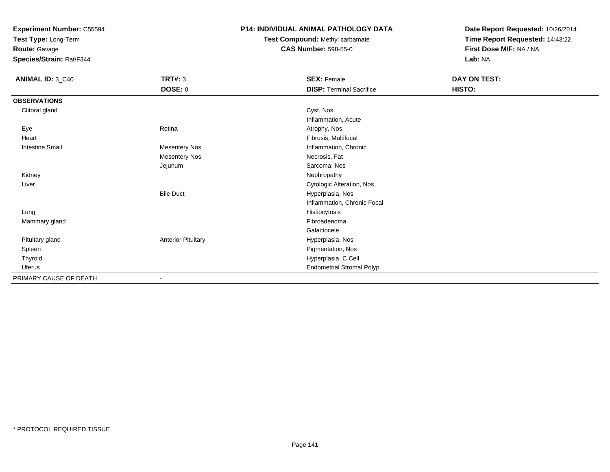**Test Type:** Long-Term

**Route:** Gavage

**Species/Strain:** Rat/F344

# **P14: INDIVIDUAL ANIMAL PATHOLOGY DATA**

**Test Compound:** Methyl carbamate**CAS Number:** 598-55-0

| <b>ANIMAL ID: 3_C40</b> | <b>TRT#: 3</b>            | <b>SEX: Female</b>               | DAY ON TEST: |
|-------------------------|---------------------------|----------------------------------|--------------|
|                         | <b>DOSE: 0</b>            | <b>DISP: Terminal Sacrifice</b>  | HISTO:       |
| <b>OBSERVATIONS</b>     |                           |                                  |              |
| Clitoral gland          |                           | Cyst, Nos                        |              |
|                         |                           | Inflammation, Acute              |              |
| Eye                     | Retina                    | Atrophy, Nos                     |              |
| Heart                   |                           | Fibrosis, Multifocal             |              |
| <b>Intestine Small</b>  | <b>Mesentery Nos</b>      | Inflammation, Chronic            |              |
|                         | <b>Mesentery Nos</b>      | Necrosis, Fat                    |              |
|                         | Jejunum                   | Sarcoma, Nos                     |              |
| Kidney                  |                           | Nephropathy                      |              |
| Liver                   |                           | Cytologic Alteration, Nos        |              |
|                         | <b>Bile Duct</b>          | Hyperplasia, Nos                 |              |
|                         |                           | Inflammation, Chronic Focal      |              |
| Lung                    |                           | Histiocytosis                    |              |
| Mammary gland           |                           | Fibroadenoma                     |              |
|                         |                           | Galactocele                      |              |
| Pituitary gland         | <b>Anterior Pituitary</b> | Hyperplasia, Nos                 |              |
| Spleen                  |                           | Pigmentation, Nos                |              |
| Thyroid                 |                           | Hyperplasia, C Cell              |              |
| Uterus                  |                           | <b>Endometrial Stromal Polyp</b> |              |
| PRIMARY CAUSE OF DEATH  | ٠                         |                                  |              |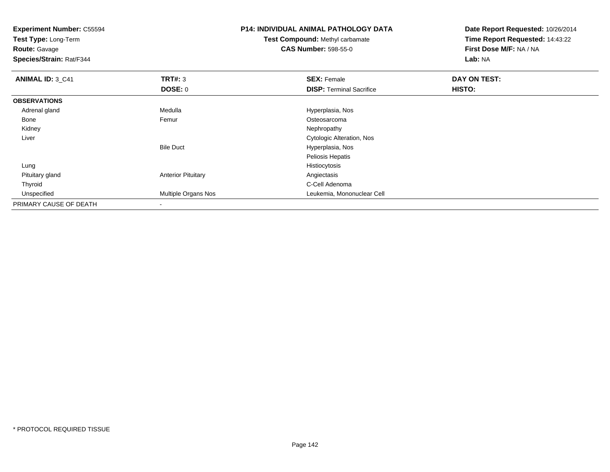**Experiment Number:** C55594**Test Type:** Long-Term**Route:** Gavage **Species/Strain:** Rat/F344**P14: INDIVIDUAL ANIMAL PATHOLOGY DATATest Compound:** Methyl carbamate**CAS Number:** 598-55-0**Date Report Requested:** 10/26/2014**Time Report Requested:** 14:43:22**First Dose M/F:** NA / NA**Lab:** NA**ANIMAL ID: 3 C41 TRT#:** 3 **SEX:** Female **DAY ON TEST: DOSE:** 0**DISP:** Terminal Sacrifice **HISTO: OBSERVATIONS** Adrenal glandMedulla **Medulla** Hyperplasia, Nostro Hyperplasia, Nostro Hyperplasia, Nostro Hyperplasia, Nostro Hyperplasia, No<br>
Hyperplasia diameter and the Medulla Hyperplasia (Nostro Hyperplasia Medulla Hyperplasia Medulla Hyperplasi Bonee and the settlement of the Femur and the settlement of the Second Costeosarcoma Kidneyy the control of the control of the control of the control of the control of the control of the control of the control of the control of the control of the control of the control of the control of the control of the contro Liver Cytologic Alteration, NosBile Duct Hyperplasia, Nos Peliosis Hepatis Lungg and the state of the state of the state of the state of the state of the state of the state of the state of the state of the state of the state of the state of the state of the state of the state of the state of the stat Pituitary glandAnterior Pituitary **Anterior Pituitary** Angiectasis<br>C-Cell Adenoma Thyroidd C-Cell Adenoma and the control of the control of the control of the control of the control of the control of the control of the control of the control of the control of the control of the control of the control of the co Unspecified Multiple Organs Nos Leukemia, Mononuclear Cell PRIMARY CAUSE OF DEATH-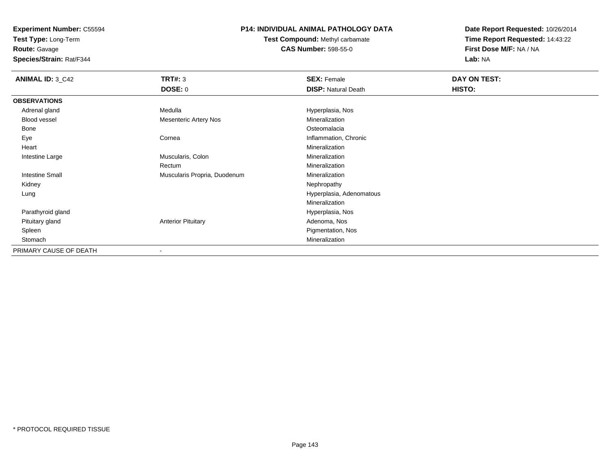**Test Type:** Long-Term

**Route:** Gavage

**Species/Strain:** Rat/F344

# **P14: INDIVIDUAL ANIMAL PATHOLOGY DATA**

**Test Compound:** Methyl carbamate**CAS Number:** 598-55-0

| <b>ANIMAL ID: 3_C42</b> | <b>TRT#: 3</b>               | <b>SEX: Female</b>         | DAY ON TEST: |  |
|-------------------------|------------------------------|----------------------------|--------------|--|
|                         | <b>DOSE: 0</b>               | <b>DISP: Natural Death</b> | HISTO:       |  |
| <b>OBSERVATIONS</b>     |                              |                            |              |  |
| Adrenal gland           | Medulla                      | Hyperplasia, Nos           |              |  |
| Blood vessel            | <b>Mesenteric Artery Nos</b> | Mineralization             |              |  |
| Bone                    |                              | Osteomalacia               |              |  |
| Eye                     | Cornea                       | Inflammation, Chronic      |              |  |
| Heart                   |                              | Mineralization             |              |  |
| Intestine Large         | Muscularis, Colon            | Mineralization             |              |  |
|                         | Rectum                       | Mineralization             |              |  |
| Intestine Small         | Muscularis Propria, Duodenum | Mineralization             |              |  |
| Kidney                  |                              | Nephropathy                |              |  |
| Lung                    |                              | Hyperplasia, Adenomatous   |              |  |
|                         |                              | Mineralization             |              |  |
| Parathyroid gland       |                              | Hyperplasia, Nos           |              |  |
| Pituitary gland         | <b>Anterior Pituitary</b>    | Adenoma, Nos               |              |  |
| Spleen                  |                              | Pigmentation, Nos          |              |  |
| Stomach                 |                              | Mineralization             |              |  |
| PRIMARY CAUSE OF DEATH  |                              |                            |              |  |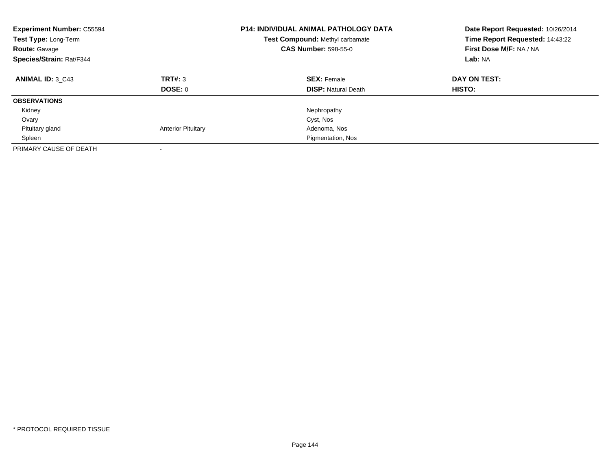| <b>Experiment Number: C55594</b><br>Test Type: Long-Term<br><b>Route: Gavage</b><br>Species/Strain: Rat/F344 |                           | <b>P14: INDIVIDUAL ANIMAL PATHOLOGY DATA</b><br>Test Compound: Methyl carbamate<br><b>CAS Number: 598-55-0</b> | Date Report Requested: 10/26/2014<br>Time Report Requested: 14:43:22<br>First Dose M/F: NA / NA<br>Lab: NA |
|--------------------------------------------------------------------------------------------------------------|---------------------------|----------------------------------------------------------------------------------------------------------------|------------------------------------------------------------------------------------------------------------|
| <b>ANIMAL ID: 3 C43</b>                                                                                      | TRT#: 3<br>DOSE: 0        | <b>SEX: Female</b><br><b>DISP:</b> Natural Death                                                               | DAY ON TEST:<br><b>HISTO:</b>                                                                              |
| <b>OBSERVATIONS</b>                                                                                          |                           |                                                                                                                |                                                                                                            |
| Kidney                                                                                                       |                           | Nephropathy                                                                                                    |                                                                                                            |
| Ovary                                                                                                        |                           | Cyst, Nos                                                                                                      |                                                                                                            |
| Pituitary gland                                                                                              | <b>Anterior Pituitary</b> | Adenoma, Nos                                                                                                   |                                                                                                            |
| Spleen                                                                                                       |                           | Pigmentation, Nos                                                                                              |                                                                                                            |
| PRIMARY CAUSE OF DEATH                                                                                       |                           |                                                                                                                |                                                                                                            |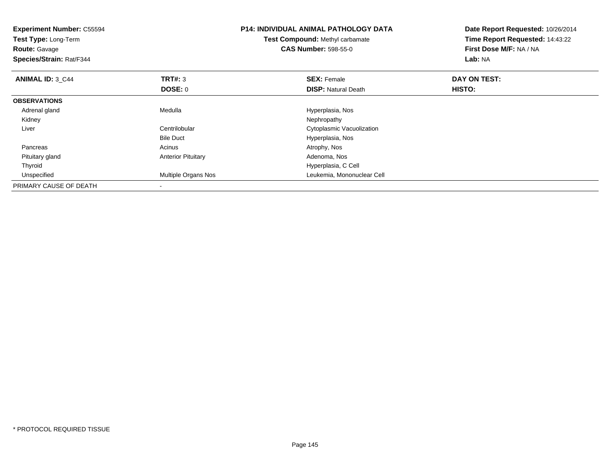| <b>Experiment Number: C55594</b><br><b>Test Type: Long-Term</b><br><b>Route: Gavage</b><br>Species/Strain: Rat/F344 |                           | <b>P14: INDIVIDUAL ANIMAL PATHOLOGY DATA</b><br>Test Compound: Methyl carbamate<br><b>CAS Number: 598-55-0</b> | Date Report Requested: 10/26/2014<br>Time Report Requested: 14:43:22<br>First Dose M/F: NA / NA<br>Lab: NA |
|---------------------------------------------------------------------------------------------------------------------|---------------------------|----------------------------------------------------------------------------------------------------------------|------------------------------------------------------------------------------------------------------------|
| <b>ANIMAL ID: 3 C44</b>                                                                                             | <b>TRT#: 3</b>            | <b>SEX: Female</b>                                                                                             | DAY ON TEST:                                                                                               |
|                                                                                                                     | DOSE: 0                   | <b>DISP:</b> Natural Death                                                                                     | <b>HISTO:</b>                                                                                              |
| <b>OBSERVATIONS</b>                                                                                                 |                           |                                                                                                                |                                                                                                            |
| Adrenal gland                                                                                                       | Medulla                   | Hyperplasia, Nos                                                                                               |                                                                                                            |
| Kidney                                                                                                              |                           | Nephropathy                                                                                                    |                                                                                                            |
| Liver                                                                                                               | Centrilobular             | Cytoplasmic Vacuolization                                                                                      |                                                                                                            |
|                                                                                                                     | <b>Bile Duct</b>          | Hyperplasia, Nos                                                                                               |                                                                                                            |
| Pancreas                                                                                                            | Acinus                    | Atrophy, Nos                                                                                                   |                                                                                                            |
| Pituitary gland                                                                                                     | <b>Anterior Pituitary</b> | Adenoma, Nos                                                                                                   |                                                                                                            |
| Thyroid                                                                                                             |                           | Hyperplasia, C Cell                                                                                            |                                                                                                            |
| Unspecified                                                                                                         | Multiple Organs Nos       | Leukemia, Mononuclear Cell                                                                                     |                                                                                                            |
| PRIMARY CAUSE OF DEATH                                                                                              |                           |                                                                                                                |                                                                                                            |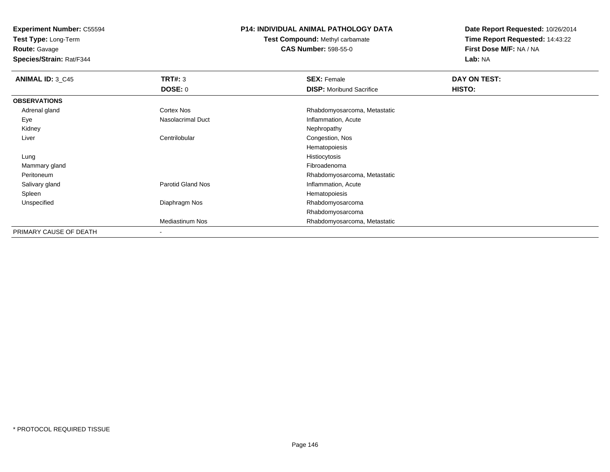**Test Type:** Long-Term

**Route:** Gavage

**Species/Strain:** Rat/F344

## **P14: INDIVIDUAL ANIMAL PATHOLOGY DATA**

**Test Compound:** Methyl carbamate**CAS Number:** 598-55-0

| <b>ANIMAL ID: 3_C45</b> | TRT#: 3                | <b>SEX: Female</b>              | <b>DAY ON TEST:</b> |  |
|-------------------------|------------------------|---------------------------------|---------------------|--|
|                         | <b>DOSE: 0</b>         | <b>DISP:</b> Moribund Sacrifice | <b>HISTO:</b>       |  |
| <b>OBSERVATIONS</b>     |                        |                                 |                     |  |
| Adrenal gland           | Cortex Nos             | Rhabdomyosarcoma, Metastatic    |                     |  |
| Eye                     | Nasolacrimal Duct      | Inflammation, Acute             |                     |  |
| Kidney                  |                        | Nephropathy                     |                     |  |
| Liver                   | Centrilobular          | Congestion, Nos                 |                     |  |
|                         |                        | Hematopoiesis                   |                     |  |
| Lung                    |                        | Histiocytosis                   |                     |  |
| Mammary gland           |                        | Fibroadenoma                    |                     |  |
| Peritoneum              |                        | Rhabdomyosarcoma, Metastatic    |                     |  |
| Salivary gland          | Parotid Gland Nos      | Inflammation, Acute             |                     |  |
| Spleen                  |                        | Hematopoiesis                   |                     |  |
| Unspecified             | Diaphragm Nos          | Rhabdomyosarcoma                |                     |  |
|                         |                        | Rhabdomyosarcoma                |                     |  |
|                         | <b>Mediastinum Nos</b> | Rhabdomyosarcoma, Metastatic    |                     |  |
| PRIMARY CAUSE OF DEATH  | $\blacksquare$         |                                 |                     |  |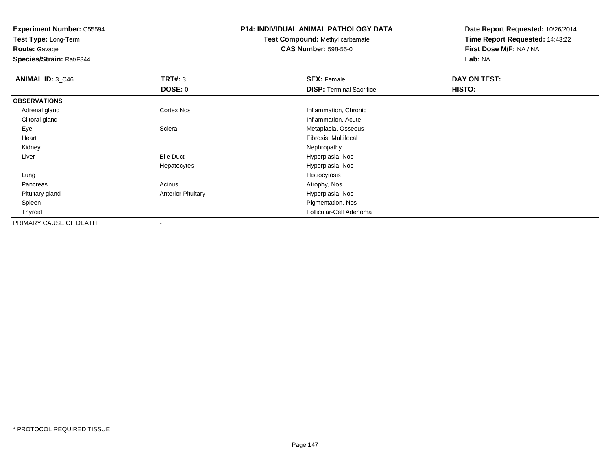**Test Type:** Long-Term

**Route:** Gavage

**Species/Strain:** Rat/F344

## **P14: INDIVIDUAL ANIMAL PATHOLOGY DATA**

**Test Compound:** Methyl carbamate**CAS Number:** 598-55-0

| <b>ANIMAL ID: 3_C46</b> | TRT#: 3                   | <b>SEX: Female</b>              | DAY ON TEST: |  |
|-------------------------|---------------------------|---------------------------------|--------------|--|
|                         | <b>DOSE: 0</b>            | <b>DISP:</b> Terminal Sacrifice | HISTO:       |  |
| <b>OBSERVATIONS</b>     |                           |                                 |              |  |
| Adrenal gland           | <b>Cortex Nos</b>         | Inflammation, Chronic           |              |  |
| Clitoral gland          |                           | Inflammation, Acute             |              |  |
| Eye                     | Sclera                    | Metaplasia, Osseous             |              |  |
| Heart                   |                           | Fibrosis, Multifocal            |              |  |
| Kidney                  |                           | Nephropathy                     |              |  |
| Liver                   | <b>Bile Duct</b>          | Hyperplasia, Nos                |              |  |
|                         | Hepatocytes               | Hyperplasia, Nos                |              |  |
| Lung                    |                           | Histiocytosis                   |              |  |
| Pancreas                | Acinus                    | Atrophy, Nos                    |              |  |
| Pituitary gland         | <b>Anterior Pituitary</b> | Hyperplasia, Nos                |              |  |
| Spleen                  |                           | Pigmentation, Nos               |              |  |
| Thyroid                 |                           | Follicular-Cell Adenoma         |              |  |
| PRIMARY CAUSE OF DEATH  | $\overline{\phantom{a}}$  |                                 |              |  |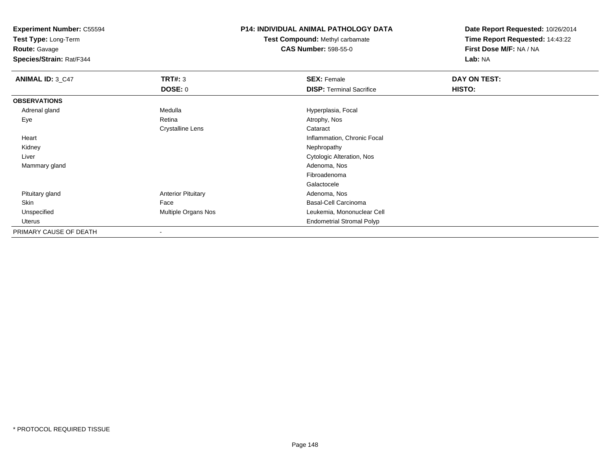**Test Type:** Long-Term

**Route:** Gavage

**Species/Strain:** Rat/F344

## **P14: INDIVIDUAL ANIMAL PATHOLOGY DATA**

**Test Compound:** Methyl carbamate**CAS Number:** 598-55-0

| <b>ANIMAL ID: 3_C47</b> | <b>TRT#: 3</b>            | <b>SEX: Female</b>               | DAY ON TEST: |  |
|-------------------------|---------------------------|----------------------------------|--------------|--|
|                         | DOSE: 0                   | <b>DISP: Terminal Sacrifice</b>  | HISTO:       |  |
| <b>OBSERVATIONS</b>     |                           |                                  |              |  |
| Adrenal gland           | Medulla                   | Hyperplasia, Focal               |              |  |
| Eye                     | Retina                    | Atrophy, Nos                     |              |  |
|                         | <b>Crystalline Lens</b>   | Cataract                         |              |  |
| Heart                   |                           | Inflammation, Chronic Focal      |              |  |
| Kidney                  |                           | Nephropathy                      |              |  |
| Liver                   |                           | Cytologic Alteration, Nos        |              |  |
| Mammary gland           |                           | Adenoma, Nos                     |              |  |
|                         |                           | Fibroadenoma                     |              |  |
|                         |                           | Galactocele                      |              |  |
| Pituitary gland         | <b>Anterior Pituitary</b> | Adenoma, Nos                     |              |  |
| Skin                    | Face                      | Basal-Cell Carcinoma             |              |  |
| Unspecified             | Multiple Organs Nos       | Leukemia, Mononuclear Cell       |              |  |
| Uterus                  |                           | <b>Endometrial Stromal Polyp</b> |              |  |
| PRIMARY CAUSE OF DEATH  | $\overline{\phantom{a}}$  |                                  |              |  |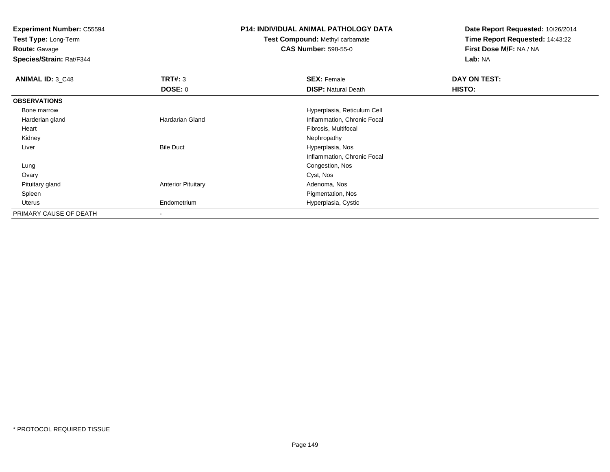**Test Type:** Long-Term

**Route:** Gavage

**Species/Strain:** Rat/F344

## **P14: INDIVIDUAL ANIMAL PATHOLOGY DATA**

**Test Compound:** Methyl carbamate**CAS Number:** 598-55-0

| <b>ANIMAL ID: 3_C48</b> | TRT#: 3                   | <b>SEX: Female</b>          | DAY ON TEST: |  |
|-------------------------|---------------------------|-----------------------------|--------------|--|
|                         | DOSE: 0                   | <b>DISP: Natural Death</b>  | HISTO:       |  |
| <b>OBSERVATIONS</b>     |                           |                             |              |  |
| Bone marrow             |                           | Hyperplasia, Reticulum Cell |              |  |
| Harderian gland         | <b>Hardarian Gland</b>    | Inflammation, Chronic Focal |              |  |
| Heart                   |                           | Fibrosis, Multifocal        |              |  |
| Kidney                  |                           | Nephropathy                 |              |  |
| Liver                   | <b>Bile Duct</b>          | Hyperplasia, Nos            |              |  |
|                         |                           | Inflammation, Chronic Focal |              |  |
| Lung                    |                           | Congestion, Nos             |              |  |
| Ovary                   |                           | Cyst, Nos                   |              |  |
| Pituitary gland         | <b>Anterior Pituitary</b> | Adenoma, Nos                |              |  |
| Spleen                  |                           | Pigmentation, Nos           |              |  |
| Uterus                  | Endometrium               | Hyperplasia, Cystic         |              |  |
| PRIMARY CAUSE OF DEATH  |                           |                             |              |  |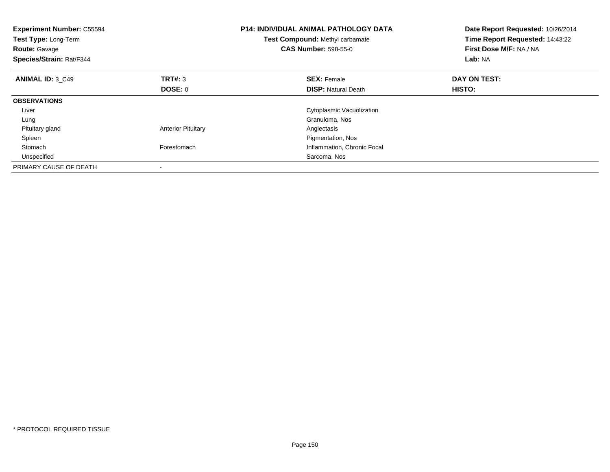| <b>Experiment Number: C55594</b><br>Test Type: Long-Term<br><b>Route: Gavage</b><br>Species/Strain: Rat/F344 |                           | <b>P14: INDIVIDUAL ANIMAL PATHOLOGY DATA</b><br>Test Compound: Methyl carbamate<br><b>CAS Number: 598-55-0</b> | Date Report Requested: 10/26/2014<br>Time Report Requested: 14:43:22<br>First Dose M/F: NA / NA<br>Lab: NA |
|--------------------------------------------------------------------------------------------------------------|---------------------------|----------------------------------------------------------------------------------------------------------------|------------------------------------------------------------------------------------------------------------|
| ANIMAL ID: 3 C49                                                                                             | TRT#: 3                   | <b>SEX: Female</b>                                                                                             | DAY ON TEST:                                                                                               |
|                                                                                                              | DOSE: 0                   | <b>DISP:</b> Natural Death                                                                                     | HISTO:                                                                                                     |
| <b>OBSERVATIONS</b>                                                                                          |                           |                                                                                                                |                                                                                                            |
| Liver                                                                                                        |                           | Cytoplasmic Vacuolization                                                                                      |                                                                                                            |
| Lung                                                                                                         |                           | Granuloma, Nos                                                                                                 |                                                                                                            |
| Pituitary gland                                                                                              | <b>Anterior Pituitary</b> | Angiectasis                                                                                                    |                                                                                                            |
| Spleen                                                                                                       |                           | Pigmentation, Nos                                                                                              |                                                                                                            |
| Stomach                                                                                                      | Forestomach               | Inflammation, Chronic Focal                                                                                    |                                                                                                            |
| Unspecified                                                                                                  |                           | Sarcoma, Nos                                                                                                   |                                                                                                            |
| PRIMARY CAUSE OF DEATH                                                                                       |                           |                                                                                                                |                                                                                                            |